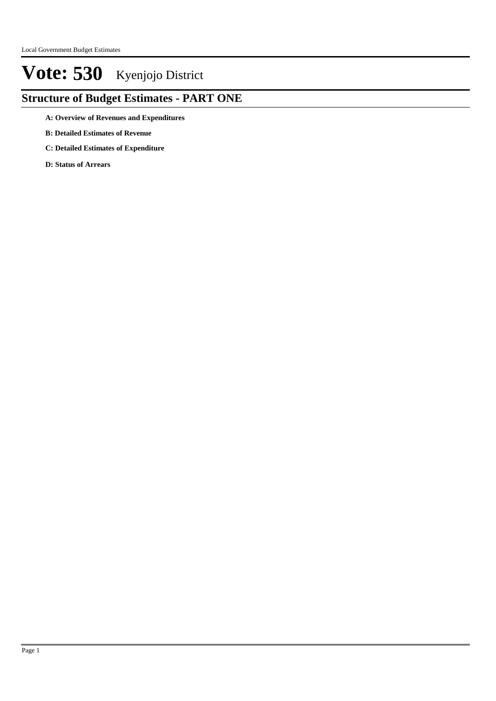### **Structure of Budget Estimates - PART ONE**

- **A: Overview of Revenues and Expenditures**
- **B: Detailed Estimates of Revenue**
- **C: Detailed Estimates of Expenditure**
- **D: Status of Arrears**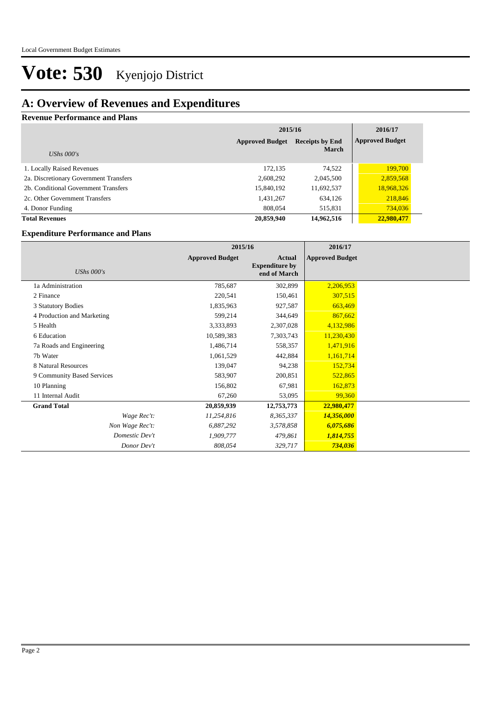### **A: Overview of Revenues and Expenditures**

### **Revenue Performance and Plans**

|                                        | 2015/16                | 2016/17                |                        |
|----------------------------------------|------------------------|------------------------|------------------------|
|                                        | <b>Approved Budget</b> | <b>Receipts by End</b> | <b>Approved Budget</b> |
| UShs $000's$                           |                        | <b>March</b>           |                        |
| 1. Locally Raised Revenues             | 172,135                | 74,522                 | 199,700                |
| 2a. Discretionary Government Transfers | 2,608,292              | 2,045,500              | 2,859,568              |
| 2b. Conditional Government Transfers   | 15,840,192             | 11,692,537             | 18,968,326             |
| 2c. Other Government Transfers         | 1,431,267              | 634,126                | 218,846                |
| 4. Donor Funding                       | 808,054                | 515,831                | 734,036                |
| <b>Total Revenues</b>                  | 20,859,940             | 14,962,516             | 22,980,477             |

#### **Expenditure Performance and Plans**

|                            | 2015/16                |                                                 | 2016/17                |  |
|----------------------------|------------------------|-------------------------------------------------|------------------------|--|
| UShs $000's$               | <b>Approved Budget</b> | Actual<br><b>Expenditure by</b><br>end of March | <b>Approved Budget</b> |  |
| 1a Administration          | 785,687                | 302,899                                         | 2,206,953              |  |
| 2 Finance                  | 220,541                | 150,461                                         | 307,515                |  |
| 3 Statutory Bodies         | 1,835,963              | 927,587                                         | 663,469                |  |
| 4 Production and Marketing | 599,214                | 344,649                                         | 867,662                |  |
| 5 Health                   | 3,333,893              | 2,307,028                                       | 4,132,986              |  |
| 6 Education                | 10,589,383             | 7,303,743                                       | 11,230,430             |  |
| 7a Roads and Engineering   | 1,486,714              | 558,357                                         | 1,471,916              |  |
| 7b Water                   | 1,061,529              | 442,884                                         | 1,161,714              |  |
| 8 Natural Resources        | 139,047                | 94,238                                          | 152,734                |  |
| 9 Community Based Services | 583,907                | 200,851                                         | 522,865                |  |
| 10 Planning                | 156,802                | 67,981                                          | 162,873                |  |
| 11 Internal Audit          | 67,260                 | 53,095                                          | 99,360                 |  |
| <b>Grand Total</b>         | 20,859,939             | 12,753,773                                      | 22,980,477             |  |
| Wage Rec't:                | 11,254,816             | 8,365,337                                       | 14,356,000             |  |
| Non Wage Rec't:            | 6,887,292              | 3,578,858                                       | 6,075,686              |  |
| Domestic Dev't             | 1,909,777              | 479,861                                         | 1,814,755              |  |
| Donor Dev't                | 808,054                | 329,717                                         | 734,036                |  |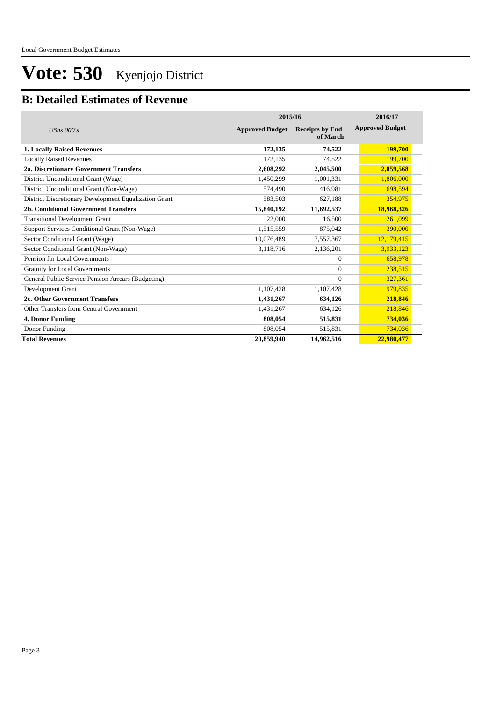### **B: Detailed Estimates of Revenue**

|                                                       | 2015/16                | 2016/17                            |                        |
|-------------------------------------------------------|------------------------|------------------------------------|------------------------|
| UShs $000's$                                          | <b>Approved Budget</b> | <b>Receipts by End</b><br>of March | <b>Approved Budget</b> |
| <b>1. Locally Raised Revenues</b>                     | 172,135                | 74,522                             | 199,700                |
| <b>Locally Raised Revenues</b>                        | 172,135                | 74,522                             | 199,700                |
| 2a. Discretionary Government Transfers                | 2,608,292              | 2,045,500                          | 2,859,568              |
| District Unconditional Grant (Wage)                   | 1,450,299              | 1,001,331                          | 1,806,000              |
| District Unconditional Grant (Non-Wage)               | 574,490                | 416,981                            | 698,594                |
| District Discretionary Development Equalization Grant | 583,503                | 627,188                            | 354,975                |
| 2b. Conditional Government Transfers                  | 15,840,192             | 11,692,537                         | 18,968,326             |
| <b>Transitional Development Grant</b>                 | 22,000                 | 16,500                             | 261,099                |
| Support Services Conditional Grant (Non-Wage)         | 1,515,559              | 875,042                            | 390,000                |
| Sector Conditional Grant (Wage)                       | 10,076,489             | 7,557,367                          | 12,179,415             |
| Sector Conditional Grant (Non-Wage)                   | 3,118,716              | 2,136,201                          | 3,933,123              |
| Pension for Local Governments                         |                        | $\mathbf{0}$                       | 658,978                |
| <b>Gratuity for Local Governments</b>                 |                        | $\Omega$                           | 238,515                |
| General Public Service Pension Arrears (Budgeting)    |                        | $\Omega$                           | 327,361                |
| Development Grant                                     | 1,107,428              | 1,107,428                          | 979,835                |
| 2c. Other Government Transfers                        | 1,431,267              | 634,126                            | 218,846                |
| Other Transfers from Central Government               | 1,431,267              | 634,126                            | 218,846                |
| 4. Donor Funding                                      | 808.054                | 515,831                            | 734,036                |
| Donor Funding                                         | 808,054                | 515,831                            | 734,036                |
| <b>Total Revenues</b>                                 | 20,859,940             | 14,962,516                         | 22,980,477             |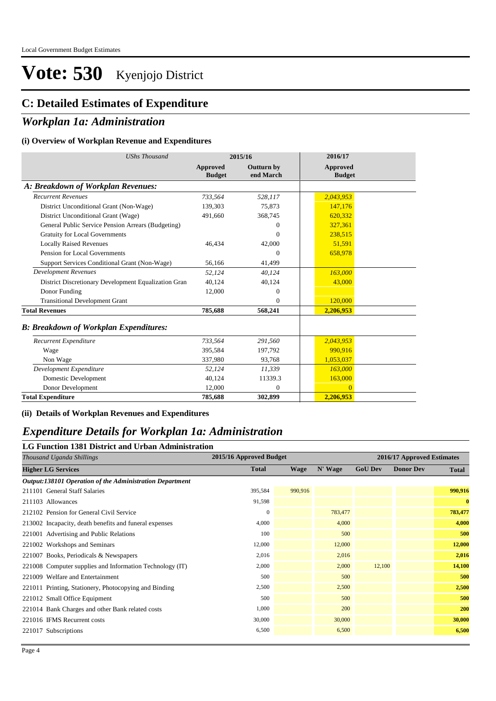### **C: Detailed Estimates of Expenditure**

### *Workplan 1a: Administration*

#### **(i) Overview of Workplan Revenue and Expenditures**

| <b>UShs Thousand</b>                                 | 2015/16                   |                                | 2016/17                          |
|------------------------------------------------------|---------------------------|--------------------------------|----------------------------------|
|                                                      | Approved<br><b>Budget</b> | <b>Outturn by</b><br>end March | <b>Approved</b><br><b>Budget</b> |
| A: Breakdown of Workplan Revenues:                   |                           |                                |                                  |
| <b>Recurrent Revenues</b>                            | 733.564                   | 528,117                        | 2,043,953                        |
| District Unconditional Grant (Non-Wage)              | 139.303                   | 75,873                         | 147,176                          |
| District Unconditional Grant (Wage)                  | 491,660                   | 368,745                        | 620,332                          |
| General Public Service Pension Arrears (Budgeting)   |                           | $\Omega$                       | 327.361                          |
| <b>Gratuity for Local Governments</b>                |                           | $\Omega$                       | 238,515                          |
| <b>Locally Raised Revenues</b>                       | 46,434                    | 42,000                         | 51,591                           |
| Pension for Local Governments                        |                           | $\Omega$                       | 658,978                          |
| Support Services Conditional Grant (Non-Wage)        | 56,166                    | 41,499                         |                                  |
| <b>Development Revenues</b>                          | 52,124                    | 40.124                         | 163,000                          |
| District Discretionary Development Equalization Gran | 40,124                    | 40,124                         | 43,000                           |
| Donor Funding                                        | 12,000                    | $\mathbf{0}$                   |                                  |
| <b>Transitional Development Grant</b>                |                           | $\Omega$                       | 120,000                          |
| <b>Total Revenues</b>                                | 785,688                   | 568,241                        | 2,206,953                        |
| <b>B: Breakdown of Workplan Expenditures:</b>        |                           |                                |                                  |
| Recurrent Expenditure                                | 733,564                   | 291,560                        | 2,043,953                        |
| Wage                                                 | 395,584                   | 197,792                        | 990,916                          |
| Non Wage                                             | 337,980                   | 93,768                         | 1,053,037                        |
| Development Expenditure                              | 52,124                    | 11,339                         | 163,000                          |
| Domestic Development                                 | 40.124                    | 11339.3                        | 163,000                          |
| Donor Development                                    | 12.000                    | $\mathbf{0}$                   | $\overline{0}$                   |
| <b>Total Expenditure</b>                             | 785,688                   | 302,899                        | 2,206,953                        |

#### **(ii) Details of Workplan Revenues and Expenditures**

### *Expenditure Details for Workplan 1a: Administration*

#### **LG Function 1381 District and Urban Administration**

| 2015/16 Approved Budget |             |         |                | 2016/17 Approved Estimates |                  |
|-------------------------|-------------|---------|----------------|----------------------------|------------------|
| <b>Total</b>            | <b>Wage</b> | N' Wage | <b>GoU Dev</b> |                            | <b>Total</b>     |
|                         |             |         |                |                            |                  |
| 395,584                 | 990,916     |         |                |                            | 990,916          |
| 91,598                  |             |         |                |                            | $\mathbf{0}$     |
| $\mathbf{0}$            |             | 783,477 |                |                            | 783,477          |
| 4,000                   |             | 4,000   |                |                            | 4,000            |
| 100                     |             | 500     |                |                            | 500              |
| 12,000                  |             | 12,000  |                |                            | 12,000           |
| 2,016                   |             | 2,016   |                |                            | 2,016            |
| 2,000                   |             | 2,000   | 12,100         |                            | 14,100           |
| 500                     |             | 500     |                |                            | 500              |
| 2,500                   |             | 2,500   |                |                            | 2,500            |
| 500                     |             | 500     |                |                            | 500              |
| 1,000                   |             | 200     |                |                            | 200              |
| 30,000                  |             | 30,000  |                |                            | 30,000           |
| 6,500                   |             | 6,500   |                |                            | 6,500            |
|                         |             |         |                |                            | <b>Donor Dev</b> |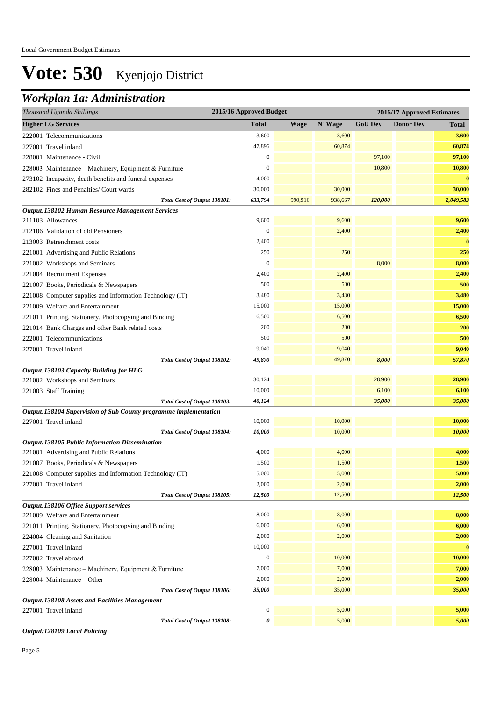### *Workplan 1a: Administration*

| 2015/16 Approved Budget<br>Thousand Uganda Shillings             |                  |             |         |                | 2016/17 Approved Estimates |              |
|------------------------------------------------------------------|------------------|-------------|---------|----------------|----------------------------|--------------|
| <b>Higher LG Services</b>                                        | <b>Total</b>     | <b>Wage</b> | N' Wage | <b>GoU Dev</b> | <b>Donor Dev</b>           | <b>Total</b> |
| 222001 Telecommunications                                        | 3,600            |             | 3,600   |                |                            | 3,600        |
| 227001 Travel inland                                             | 47,896           |             | 60,874  |                |                            | 60,874       |
| 228001 Maintenance - Civil                                       | $\boldsymbol{0}$ |             |         | 97,100         |                            | 97,100       |
| 228003 Maintenance - Machinery, Equipment & Furniture            | $\boldsymbol{0}$ |             |         | 10,800         |                            | 10,800       |
| 273102 Incapacity, death benefits and funeral expenses           | 4,000            |             |         |                |                            | $\bf{0}$     |
| 282102 Fines and Penalties/ Court wards                          | 30,000           |             | 30,000  |                |                            | 30,000       |
| Total Cost of Output 138101:                                     | 633,794          | 990,916     | 938,667 | 120,000        |                            | 2,049,583    |
| Output:138102 Human Resource Management Services                 |                  |             |         |                |                            |              |
| 211103 Allowances                                                | 9,600            |             | 9,600   |                |                            | 9,600        |
| 212106 Validation of old Pensioners                              | $\overline{0}$   |             | 2,400   |                |                            | 2,400        |
| 213003 Retrenchment costs                                        | 2,400            |             |         |                |                            | $\bf{0}$     |
| 221001 Advertising and Public Relations                          | 250              |             | 250     |                |                            | 250          |
| 221002 Workshops and Seminars                                    | $\boldsymbol{0}$ |             |         | 8,000          |                            | 8,000        |
| 221004 Recruitment Expenses                                      | 2,400            |             | 2,400   |                |                            | 2,400        |
| 221007 Books, Periodicals & Newspapers                           | 500              |             | 500     |                |                            | 500          |
| 221008 Computer supplies and Information Technology (IT)         | 3,480            |             | 3,480   |                |                            | 3,480        |
| 221009 Welfare and Entertainment                                 | 15,000           |             | 15,000  |                |                            | 15,000       |
| 221011 Printing, Stationery, Photocopying and Binding            | 6,500            |             | 6,500   |                |                            | 6,500        |
| 221014 Bank Charges and other Bank related costs                 | 200              |             | 200     |                |                            | 200          |
| 222001 Telecommunications                                        | 500              |             | 500     |                |                            | 500          |
| 227001 Travel inland                                             | 9,040            |             | 9,040   |                |                            | 9,040        |
| Total Cost of Output 138102:                                     | 49,870           |             | 49,870  | 8,000          |                            | 57,870       |
| Output:138103 Capacity Building for HLG                          |                  |             |         |                |                            |              |
| 221002 Workshops and Seminars                                    | 30,124           |             |         | 28,900         |                            | 28,900       |
| 221003 Staff Training                                            | 10,000           |             |         | 6,100          |                            | 6,100        |
| Total Cost of Output 138103:                                     | 40,124           |             |         | 35,000         |                            | 35,000       |
| Output:138104 Supervision of Sub County programme implementation |                  |             |         |                |                            |              |
| 227001 Travel inland                                             | 10,000           |             | 10,000  |                |                            | 10,000       |
| Total Cost of Output 138104:                                     | 10,000           |             | 10,000  |                |                            | 10,000       |
| Output:138105 Public Information Dissemination                   |                  |             |         |                |                            |              |
| 221001 Advertising and Public Relations                          | 4,000            |             | 4,000   |                |                            | 4,000        |
| 221007 Books, Periodicals & Newspapers                           | 1,500            |             | 1,500   |                |                            | 1,500        |
| 221008 Computer supplies and Information Technology (IT)         | 5,000            |             | 5,000   |                |                            | 5,000        |
| 227001 Travel inland                                             | 2,000            |             | 2,000   |                |                            | 2,000        |
| Total Cost of Output 138105:                                     | 12,500           |             | 12,500  |                |                            | 12,500       |
| Output:138106 Office Support services                            |                  |             |         |                |                            |              |
| 221009 Welfare and Entertainment                                 | 8,000            |             | 8,000   |                |                            | 8,000        |
| 221011 Printing, Stationery, Photocopying and Binding            | 6,000            |             | 6,000   |                |                            | 6,000        |
| 224004 Cleaning and Sanitation                                   | 2,000            |             | 2,000   |                |                            | 2,000        |
| 227001 Travel inland                                             | 10,000           |             |         |                |                            | $\bf{0}$     |
| 227002 Travel abroad                                             | $\boldsymbol{0}$ |             | 10,000  |                |                            | 10,000       |
| 228003 Maintenance - Machinery, Equipment & Furniture            | 7,000            |             | 7,000   |                |                            | 7,000        |
| 228004 Maintenance - Other                                       | 2,000            |             | 2,000   |                |                            | 2,000        |
| Total Cost of Output 138106:                                     | 35,000           |             | 35,000  |                |                            | 35,000       |
| Output:138108 Assets and Facilities Management                   |                  |             |         |                |                            |              |
| 227001 Travel inland                                             | $\boldsymbol{0}$ |             | 5,000   |                |                            | 5,000        |
| Total Cost of Output 138108:                                     | 0                |             | 5,000   |                |                            | 5,000        |
| <b>Output:128109 Local Policing</b>                              |                  |             |         |                |                            |              |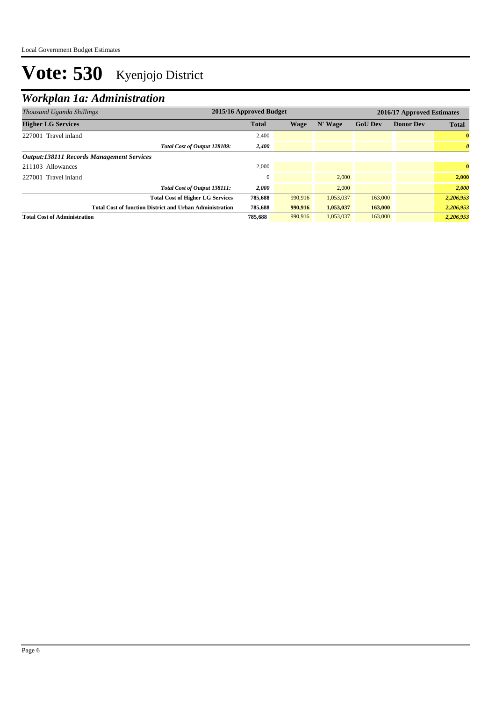## *Workplan 1a: Administration*

| Thousand Uganda Shillings                                       | 2015/16 Approved Budget |         |           |                | 2016/17 Approved Estimates |                       |
|-----------------------------------------------------------------|-------------------------|---------|-----------|----------------|----------------------------|-----------------------|
| <b>Higher LG Services</b>                                       | <b>Total</b>            | Wage    | N' Wage   | <b>GoU Dev</b> | <b>Donor Dev</b>           | <b>Total</b>          |
| 227001 Travel inland                                            | 2,400                   |         |           |                |                            | $\bf{0}$              |
| Total Cost of Output 128109:                                    | 2,400                   |         |           |                |                            | $\boldsymbol{\theta}$ |
| <b>Output:138111 Records Management Services</b>                |                         |         |           |                |                            |                       |
| 211103 Allowances                                               | 2,000                   |         |           |                |                            | $\mathbf{0}$          |
| 227001 Travel inland                                            |                         |         | 2.000     |                |                            | 2.000                 |
| Total Cost of Output 138111:                                    | 2,000                   |         | 2.000     |                |                            | 2,000                 |
| <b>Total Cost of Higher LG Services</b>                         | 785,688                 | 990,916 | 1,053,037 | 163,000        |                            | 2,206,953             |
| <b>Total Cost of function District and Urban Administration</b> | 785,688                 | 990,916 | 1,053,037 | 163,000        |                            | 2,206,953             |
| <b>Total Cost of Administration</b>                             | 785,688                 | 990,916 | 1,053,037 | 163,000        |                            | 2,206,953             |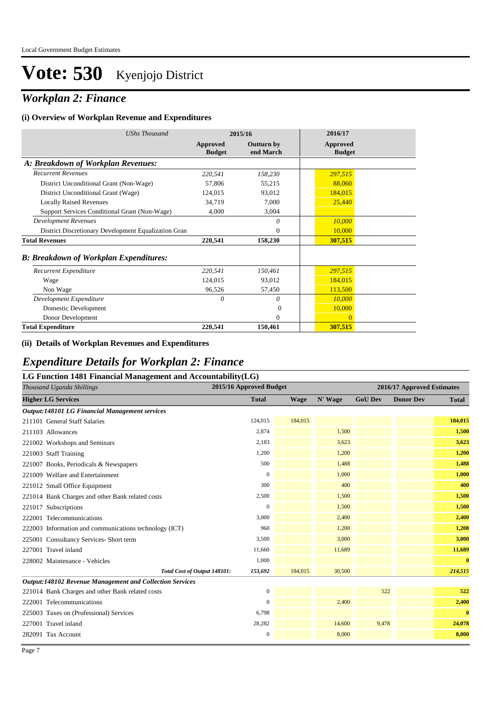## *Workplan 2: Finance*

#### **(i) Overview of Workplan Revenue and Expenditures**

| <b>UShs Thousand</b>                                 |                           | 2015/16                        | 2016/17                   |
|------------------------------------------------------|---------------------------|--------------------------------|---------------------------|
|                                                      | Approved<br><b>Budget</b> | <b>Outturn by</b><br>end March | Approved<br><b>Budget</b> |
| A: Breakdown of Workplan Revenues:                   |                           |                                |                           |
| <b>Recurrent Revenues</b>                            | 220,541                   | 158,230                        | 297,515                   |
| District Unconditional Grant (Non-Wage)              | 57,806                    | 55,215                         | 88,060                    |
| District Unconditional Grant (Wage)                  | 124,015                   | 93,012                         | 184,015                   |
| <b>Locally Raised Revenues</b>                       | 34,719                    | 7,000                          | 25,440                    |
| Support Services Conditional Grant (Non-Wage)        | 4,000                     | 3,004                          |                           |
| <b>Development Revenues</b>                          |                           | 0                              | 10,000                    |
| District Discretionary Development Equalization Gran |                           | $\mathbf{0}$                   | 10,000                    |
| <b>Total Revenues</b>                                | 220,541                   | 158,230                        | 307,515                   |
| <b>B: Breakdown of Workplan Expenditures:</b>        |                           |                                |                           |
| Recurrent Expenditure                                | 220,541                   | 150,461                        | 297,515                   |
| Wage                                                 | 124,015                   | 93,012                         | 184,015                   |
| Non Wage                                             | 96,526                    | 57,450                         | 113,500                   |
| Development Expenditure                              | 0                         | 0                              | 10,000                    |
| Domestic Development                                 |                           | $\Omega$                       | 10,000                    |
| Donor Development                                    |                           | $\Omega$                       | $\mathbf{0}$              |
| <b>Total Expenditure</b>                             | 220,541                   | 150,461                        | 307,515                   |

#### **(ii) Details of Workplan Revenues and Expenditures**

### *Expenditure Details for Workplan 2: Finance*

| LG Function 1481 Financial Management and Accountability(LG) |             |                         |                            |                  |              |  |  |  |  |
|--------------------------------------------------------------|-------------|-------------------------|----------------------------|------------------|--------------|--|--|--|--|
|                                                              |             |                         | 2016/17 Approved Estimates |                  |              |  |  |  |  |
| <b>Total</b>                                                 | <b>Wage</b> | N' Wage                 | <b>GoU Dev</b>             | <b>Donor Dev</b> | <b>Total</b> |  |  |  |  |
|                                                              |             |                         |                            |                  |              |  |  |  |  |
| 124,015                                                      | 184,015     |                         |                            |                  | 184,015      |  |  |  |  |
| 2,874                                                        |             | 1,500                   |                            |                  | 1,500        |  |  |  |  |
| 2,183                                                        |             | 3,623                   |                            |                  | 3,623        |  |  |  |  |
| 1,200                                                        |             | 1,200                   |                            |                  | 1,200        |  |  |  |  |
| 500                                                          |             | 1,488                   |                            |                  | 1,488        |  |  |  |  |
| $\mathbf{0}$                                                 |             | 1,000                   |                            |                  | 1,000        |  |  |  |  |
| 300                                                          |             | 400                     |                            |                  | 400          |  |  |  |  |
| 2,500                                                        |             | 1,500                   |                            |                  | 1,500        |  |  |  |  |
| $\mathbf{0}$                                                 |             | 1,500                   |                            |                  | 1,500        |  |  |  |  |
| 3,000                                                        |             | 2,400                   |                            |                  | 2,400        |  |  |  |  |
| 960                                                          |             | 1,200                   |                            |                  | 1,200        |  |  |  |  |
| 3,500                                                        |             | 3,000                   |                            |                  | 3,000        |  |  |  |  |
| 11,660                                                       |             | 11,689                  |                            |                  | 11,689       |  |  |  |  |
| 1,000                                                        |             |                         |                            |                  | $\bf{0}$     |  |  |  |  |
| 153,692<br>Total Cost of Output 148101:                      | 184,015     | 30,500                  |                            |                  | 214,515      |  |  |  |  |
|                                                              |             |                         |                            |                  |              |  |  |  |  |
| $\boldsymbol{0}$                                             |             |                         |                            |                  | 522          |  |  |  |  |
| $\overline{0}$                                               |             | 2,400                   |                            |                  | 2,400        |  |  |  |  |
| 6,798                                                        |             |                         |                            |                  | $\mathbf{0}$ |  |  |  |  |
| 28,282                                                       |             | 14,600                  |                            |                  | 24,078       |  |  |  |  |
| 0                                                            |             | 8,000                   |                            |                  | 8,000        |  |  |  |  |
|                                                              |             | 2015/16 Approved Budget |                            |                  | 522<br>9,478 |  |  |  |  |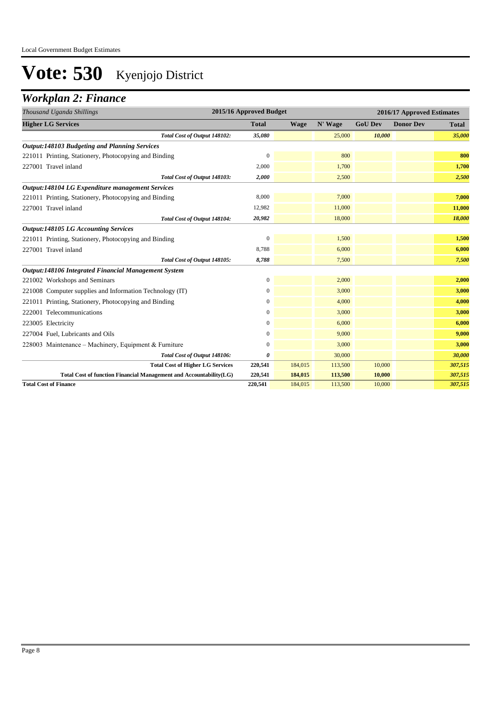## *Workplan 2: Finance*

| Thousand Uganda Shillings                                          | 2015/16 Approved Budget |             |         |                | 2016/17 Approved Estimates |              |  |  |
|--------------------------------------------------------------------|-------------------------|-------------|---------|----------------|----------------------------|--------------|--|--|
| <b>Higher LG Services</b>                                          | <b>Total</b>            | <b>Wage</b> | N' Wage | <b>GoU Dev</b> | <b>Donor Dev</b>           | <b>Total</b> |  |  |
| Total Cost of Output 148102:                                       | 35,080                  |             | 25,000  | 10,000         |                            | 35,000       |  |  |
| <b>Output:148103 Budgeting and Planning Services</b>               |                         |             |         |                |                            |              |  |  |
| 221011 Printing, Stationery, Photocopying and Binding              | $\mathbf{0}$            |             | 800     |                |                            | 800          |  |  |
| 227001 Travel inland                                               | 2,000                   |             | 1,700   |                |                            | 1,700        |  |  |
| Total Cost of Output 148103:                                       | 2,000                   |             | 2,500   |                |                            | 2,500        |  |  |
| Output:148104 LG Expenditure management Services                   |                         |             |         |                |                            |              |  |  |
| 221011 Printing, Stationery, Photocopying and Binding              | 8,000                   |             | 7,000   |                |                            | 7,000        |  |  |
| 227001 Travel inland                                               | 12,982                  |             | 11,000  |                |                            | 11,000       |  |  |
| Total Cost of Output 148104:                                       | 20,982                  |             | 18,000  |                |                            | 18,000       |  |  |
| <b>Output:148105 LG Accounting Services</b>                        |                         |             |         |                |                            |              |  |  |
| 221011 Printing, Stationery, Photocopying and Binding              | $\mathbf{0}$            |             | 1,500   |                |                            | 1,500        |  |  |
| 227001 Travel inland                                               | 8,788                   |             | 6,000   |                |                            | 6,000        |  |  |
| Total Cost of Output 148105:                                       | 8,788                   |             | 7,500   |                |                            | 7,500        |  |  |
| Output:148106 Integrated Financial Management System               |                         |             |         |                |                            |              |  |  |
| 221002 Workshops and Seminars                                      | 0                       |             | 2,000   |                |                            | 2,000        |  |  |
| 221008 Computer supplies and Information Technology (IT)           | 0                       |             | 3,000   |                |                            | 3,000        |  |  |
| 221011 Printing, Stationery, Photocopying and Binding              | 0                       |             | 4,000   |                |                            | 4,000        |  |  |
| 222001 Telecommunications                                          | $\boldsymbol{0}$        |             | 3,000   |                |                            | 3,000        |  |  |
| 223005 Electricity                                                 | $\boldsymbol{0}$        |             | 6,000   |                |                            | 6,000        |  |  |
| 227004 Fuel, Lubricants and Oils                                   | 0                       |             | 9,000   |                |                            | 9,000        |  |  |
| 228003 Maintenance – Machinery, Equipment & Furniture              | 0                       |             | 3,000   |                |                            | 3,000        |  |  |
| Total Cost of Output 148106:                                       | 0                       |             | 30,000  |                |                            | 30,000       |  |  |
| <b>Total Cost of Higher LG Services</b>                            | 220,541                 | 184,015     | 113,500 | 10,000         |                            | 307,515      |  |  |
| Total Cost of function Financial Management and Accountability(LG) | 220,541                 | 184,015     | 113,500 | 10,000         |                            | 307,515      |  |  |
| <b>Total Cost of Finance</b>                                       | 220,541                 | 184,015     | 113,500 | 10,000         |                            | 307,515      |  |  |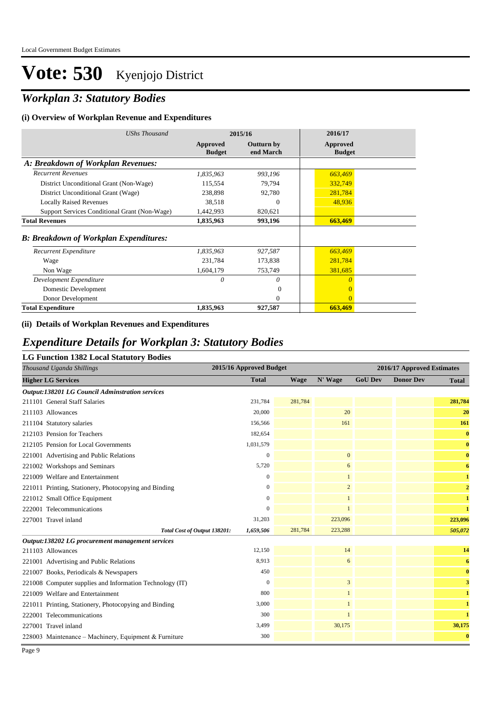## *Workplan 3: Statutory Bodies*

#### **(i) Overview of Workplan Revenue and Expenditures**

| <b>UShs Thousand</b>                           | 2015/16                   |                                | 2016/17                   |
|------------------------------------------------|---------------------------|--------------------------------|---------------------------|
|                                                | Approved<br><b>Budget</b> | <b>Outturn by</b><br>end March | Approved<br><b>Budget</b> |
| A: Breakdown of Workplan Revenues:             |                           |                                |                           |
| <b>Recurrent Revenues</b>                      | 1,835,963                 | 993,196                        | 663,469                   |
| District Unconditional Grant (Non-Wage)        | 115,554                   | 79,794                         | 332,749                   |
| District Unconditional Grant (Wage)            | 238,898                   | 92,780                         | 281,784                   |
| <b>Locally Raised Revenues</b>                 | 38,518                    | $\theta$                       | 48,936                    |
| Support Services Conditional Grant (Non-Wage)  | 1,442,993                 | 820,621                        |                           |
| <b>Total Revenues</b>                          | 1,835,963                 | 993,196                        | 663,469                   |
| <b>B</b> : Breakdown of Workplan Expenditures: |                           |                                |                           |
| Recurrent Expenditure                          | 1,835,963                 | 927,587                        | 663,469                   |
| Wage                                           | 231,784                   | 173,838                        | 281,784                   |
| Non Wage                                       | 1,604,179                 | 753,749                        | 381,685                   |
| Development Expenditure                        | 0                         | $\theta$                       | $\theta$                  |
| Domestic Development                           |                           | $\Omega$                       | $\Omega$                  |
| Donor Development                              |                           | $\Omega$                       | $\theta$                  |
| <b>Total Expenditure</b>                       | 1,835,963                 | 927,587                        | 663,469                   |

#### **(ii) Details of Workplan Revenues and Expenditures**

### *Expenditure Details for Workplan 3: Statutory Bodies*

#### **LG Function 1382 Local Statutory Bodies**

| Thousand Uganda Shillings                                | 2015/16 Approved Budget      |              |         |                | 2016/17 Approved Estimates |                  |                |  |
|----------------------------------------------------------|------------------------------|--------------|---------|----------------|----------------------------|------------------|----------------|--|
| <b>Higher LG Services</b>                                |                              | <b>Total</b> | Wage    | N' Wage        | <b>GoU Dev</b>             | <b>Donor Dev</b> | <b>Total</b>   |  |
| <b>Output:138201 LG Council Adminstration services</b>   |                              |              |         |                |                            |                  |                |  |
| 211101 General Staff Salaries                            |                              | 231,784      | 281,784 |                |                            |                  | 281,784        |  |
| 211103 Allowances                                        |                              | 20,000       |         | 20             |                            |                  | 20             |  |
| 211104 Statutory salaries                                |                              | 156,566      |         | 161            |                            |                  | 161            |  |
| 212103 Pension for Teachers                              |                              | 182,654      |         |                |                            |                  | $\bf{0}$       |  |
| 212105 Pension for Local Governments                     |                              | 1,031,579    |         |                |                            |                  | $\bf{0}$       |  |
| 221001 Advertising and Public Relations                  |                              | $\mathbf{0}$ |         | $\overline{0}$ |                            |                  | $\bf{0}$       |  |
| 221002 Workshops and Seminars                            |                              | 5,720        |         | 6              |                            |                  | 6              |  |
| 221009 Welfare and Entertainment                         |                              | $\mathbf{0}$ |         | $\mathbf{1}$   |                            |                  | $\mathbf{1}$   |  |
| 221011 Printing, Stationery, Photocopying and Binding    |                              | $\Omega$     |         | $\overline{c}$ |                            |                  | $\overline{2}$ |  |
| 221012 Small Office Equipment                            |                              | $\mathbf{0}$ |         | $\mathbf{1}$   |                            |                  | $\mathbf{1}$   |  |
| 222001 Telecommunications                                |                              | $\Omega$     |         | $\mathbf{1}$   |                            |                  | $\mathbf{1}$   |  |
| 227001 Travel inland                                     |                              | 31,203       |         | 223,096        |                            |                  | 223,096        |  |
|                                                          | Total Cost of Output 138201: | 1,659,506    | 281,784 | 223,288        |                            |                  | 505,072        |  |
| Output:138202 LG procurement management services         |                              |              |         |                |                            |                  |                |  |
| 211103 Allowances                                        |                              | 12,150       |         | 14             |                            |                  | 14             |  |
| 221001 Advertising and Public Relations                  |                              | 8,913        |         | 6              |                            |                  | 6              |  |
| 221007 Books, Periodicals & Newspapers                   |                              | 450          |         |                |                            |                  | $\bf{0}$       |  |
| 221008 Computer supplies and Information Technology (IT) |                              | $\mathbf{0}$ |         | 3              |                            |                  | 3              |  |
| 221009 Welfare and Entertainment                         |                              | 800          |         | $\mathbf{1}$   |                            |                  | $\mathbf{1}$   |  |
| 221011 Printing, Stationery, Photocopying and Binding    |                              | 3,000        |         | $\mathbf{1}$   |                            |                  | $\mathbf{1}$   |  |
| 222001 Telecommunications                                |                              | 300          |         | $\mathbf{1}$   |                            |                  | $\mathbf{1}$   |  |
| 227001 Travel inland                                     |                              | 3,499        |         | 30,175         |                            |                  | 30,175         |  |
| 228003 Maintenance - Machinery, Equipment & Furniture    |                              | 300          |         |                |                            |                  | $\bf{0}$       |  |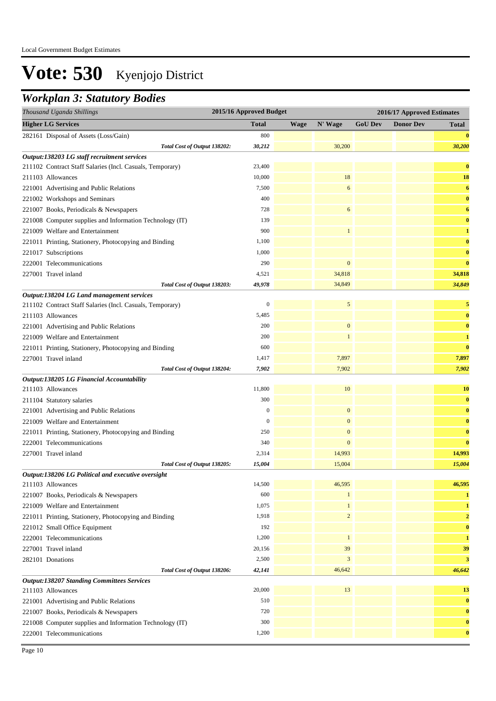### *Workplan 3: Statutory Bodies*

| <b>Higher LG Services</b><br>N' Wage<br><b>GoU Dev</b><br><b>Donor Dev</b><br><b>Total</b><br>Wage<br><b>Total</b><br>800<br>$\bf{0}$<br>282161 Disposal of Assets (Loss/Gain)<br>30,200<br>30,212<br>30,200<br>Total Cost of Output 138202:<br>Output:138203 LG staff recruitment services<br>23,400<br>$\bf{0}$<br>211102 Contract Staff Salaries (Incl. Casuals, Temporary)<br>18<br>10,000<br>18<br>211103 Allowances<br>7,500<br>6<br>6<br>221001 Advertising and Public Relations<br>400<br>$\bf{0}$<br>221002 Workshops and Seminars<br>221007 Books, Periodicals & Newspapers<br>728<br>6<br>6<br>139<br>$\bf{0}$<br>221008 Computer supplies and Information Technology (IT)<br>221009 Welfare and Entertainment<br>900<br>$\mathbf{1}$<br>1<br>1,100<br>$\bf{0}$<br>221011 Printing, Stationery, Photocopying and Binding<br>1,000<br>$\bf{0}$<br>221017 Subscriptions<br>$\boldsymbol{0}$<br>$\bf{0}$<br>222001 Telecommunications<br>290<br>34,818<br>34,818<br>227001 Travel inland<br>4,521<br>49,978<br>34,849<br>34,849<br>Total Cost of Output 138203:<br>Output:138204 LG Land management services<br>5<br>$\boldsymbol{0}$<br>$\sqrt{5}$<br>211102 Contract Staff Salaries (Incl. Casuals, Temporary)<br>5,485<br>211103 Allowances<br>$\bf{0}$<br>$\boldsymbol{0}$<br>$\bf{0}$<br>200<br>221001 Advertising and Public Relations<br>200<br>221009 Welfare and Entertainment<br>$\mathbf{1}$<br>$\mathbf{1}$<br>600<br>$\bf{0}$<br>221011 Printing, Stationery, Photocopying and Binding<br>227001 Travel inland<br>7,897<br>7,897<br>1,417<br>7,902<br>Total Cost of Output 138204:<br>7,902<br>7,902<br>Output:138205 LG Financial Accountability<br>11,800<br>10<br>211103 Allowances<br><b>10</b><br>300<br>$\bf{0}$<br>211104 Statutory salaries<br>$\boldsymbol{0}$<br>$\mathbf{0}$<br>$\bf{0}$<br>221001 Advertising and Public Relations<br>221009 Welfare and Entertainment<br>$\mathbf{0}$<br>$\boldsymbol{0}$<br>$\bf{0}$<br>$\boldsymbol{0}$<br>$\bf{0}$<br>250<br>221011 Printing, Stationery, Photocopying and Binding<br>$\bf{0}$<br>340<br>$\mathbf{0}$<br>222001 Telecommunications<br>14,993<br>227001 Travel inland<br>2,314<br>14,993<br>15,004<br>15,004<br>15,004<br>Total Cost of Output 138205:<br>Output:138206 LG Political and executive oversight<br>14,500<br>46,595<br>46,595<br>211103 Allowances<br>600<br>221007 Books, Periodicals & Newspapers<br>1<br>1<br>1,075<br>$\mathbf{1}$<br>221009 Welfare and Entertainment<br>1<br>$\sqrt{2}$<br>1,918<br>221011 Printing, Stationery, Photocopying and Binding<br>$\overline{2}$<br>192<br>$\bf{0}$<br>221012 Small Office Equipment<br>1,200<br>$\mathbf{1}$<br>222001 Telecommunications<br>1<br>39<br>227001 Travel inland<br>20,156<br>39<br>2,500<br>$\sqrt{3}$<br>3<br>282101 Donations<br>42,141<br>46,642<br>46,642<br>Total Cost of Output 138206:<br><b>Output:138207 Standing Committees Services</b><br>13<br>20,000<br>13<br>211103 Allowances<br>$\bf{0}$<br>510<br>221001 Advertising and Public Relations<br>$\bf{0}$<br>720<br>221007 Books, Periodicals & Newspapers<br>300<br>$\bf{0}$<br>221008 Computer supplies and Information Technology (IT)<br>1,200<br>222001 Telecommunications<br>$\bf{0}$ | Thousand Uganda Shillings | 2015/16 Approved Budget |  |  | 2016/17 Approved Estimates |  |  |
|---------------------------------------------------------------------------------------------------------------------------------------------------------------------------------------------------------------------------------------------------------------------------------------------------------------------------------------------------------------------------------------------------------------------------------------------------------------------------------------------------------------------------------------------------------------------------------------------------------------------------------------------------------------------------------------------------------------------------------------------------------------------------------------------------------------------------------------------------------------------------------------------------------------------------------------------------------------------------------------------------------------------------------------------------------------------------------------------------------------------------------------------------------------------------------------------------------------------------------------------------------------------------------------------------------------------------------------------------------------------------------------------------------------------------------------------------------------------------------------------------------------------------------------------------------------------------------------------------------------------------------------------------------------------------------------------------------------------------------------------------------------------------------------------------------------------------------------------------------------------------------------------------------------------------------------------------------------------------------------------------------------------------------------------------------------------------------------------------------------------------------------------------------------------------------------------------------------------------------------------------------------------------------------------------------------------------------------------------------------------------------------------------------------------------------------------------------------------------------------------------------------------------------------------------------------------------------------------------------------------------------------------------------------------------------------------------------------------------------------------------------------------------------------------------------------------------------------------------------------------------------------------------------------------------------------------------------------------------------------------------------------------------------------------------------------------------------------------------------------------------------------------------------------------------------------------------------------------------|---------------------------|-------------------------|--|--|----------------------------|--|--|
|                                                                                                                                                                                                                                                                                                                                                                                                                                                                                                                                                                                                                                                                                                                                                                                                                                                                                                                                                                                                                                                                                                                                                                                                                                                                                                                                                                                                                                                                                                                                                                                                                                                                                                                                                                                                                                                                                                                                                                                                                                                                                                                                                                                                                                                                                                                                                                                                                                                                                                                                                                                                                                                                                                                                                                                                                                                                                                                                                                                                                                                                                                                                                                                                                           |                           |                         |  |  |                            |  |  |
|                                                                                                                                                                                                                                                                                                                                                                                                                                                                                                                                                                                                                                                                                                                                                                                                                                                                                                                                                                                                                                                                                                                                                                                                                                                                                                                                                                                                                                                                                                                                                                                                                                                                                                                                                                                                                                                                                                                                                                                                                                                                                                                                                                                                                                                                                                                                                                                                                                                                                                                                                                                                                                                                                                                                                                                                                                                                                                                                                                                                                                                                                                                                                                                                                           |                           |                         |  |  |                            |  |  |
|                                                                                                                                                                                                                                                                                                                                                                                                                                                                                                                                                                                                                                                                                                                                                                                                                                                                                                                                                                                                                                                                                                                                                                                                                                                                                                                                                                                                                                                                                                                                                                                                                                                                                                                                                                                                                                                                                                                                                                                                                                                                                                                                                                                                                                                                                                                                                                                                                                                                                                                                                                                                                                                                                                                                                                                                                                                                                                                                                                                                                                                                                                                                                                                                                           |                           |                         |  |  |                            |  |  |
|                                                                                                                                                                                                                                                                                                                                                                                                                                                                                                                                                                                                                                                                                                                                                                                                                                                                                                                                                                                                                                                                                                                                                                                                                                                                                                                                                                                                                                                                                                                                                                                                                                                                                                                                                                                                                                                                                                                                                                                                                                                                                                                                                                                                                                                                                                                                                                                                                                                                                                                                                                                                                                                                                                                                                                                                                                                                                                                                                                                                                                                                                                                                                                                                                           |                           |                         |  |  |                            |  |  |
|                                                                                                                                                                                                                                                                                                                                                                                                                                                                                                                                                                                                                                                                                                                                                                                                                                                                                                                                                                                                                                                                                                                                                                                                                                                                                                                                                                                                                                                                                                                                                                                                                                                                                                                                                                                                                                                                                                                                                                                                                                                                                                                                                                                                                                                                                                                                                                                                                                                                                                                                                                                                                                                                                                                                                                                                                                                                                                                                                                                                                                                                                                                                                                                                                           |                           |                         |  |  |                            |  |  |
|                                                                                                                                                                                                                                                                                                                                                                                                                                                                                                                                                                                                                                                                                                                                                                                                                                                                                                                                                                                                                                                                                                                                                                                                                                                                                                                                                                                                                                                                                                                                                                                                                                                                                                                                                                                                                                                                                                                                                                                                                                                                                                                                                                                                                                                                                                                                                                                                                                                                                                                                                                                                                                                                                                                                                                                                                                                                                                                                                                                                                                                                                                                                                                                                                           |                           |                         |  |  |                            |  |  |
|                                                                                                                                                                                                                                                                                                                                                                                                                                                                                                                                                                                                                                                                                                                                                                                                                                                                                                                                                                                                                                                                                                                                                                                                                                                                                                                                                                                                                                                                                                                                                                                                                                                                                                                                                                                                                                                                                                                                                                                                                                                                                                                                                                                                                                                                                                                                                                                                                                                                                                                                                                                                                                                                                                                                                                                                                                                                                                                                                                                                                                                                                                                                                                                                                           |                           |                         |  |  |                            |  |  |
|                                                                                                                                                                                                                                                                                                                                                                                                                                                                                                                                                                                                                                                                                                                                                                                                                                                                                                                                                                                                                                                                                                                                                                                                                                                                                                                                                                                                                                                                                                                                                                                                                                                                                                                                                                                                                                                                                                                                                                                                                                                                                                                                                                                                                                                                                                                                                                                                                                                                                                                                                                                                                                                                                                                                                                                                                                                                                                                                                                                                                                                                                                                                                                                                                           |                           |                         |  |  |                            |  |  |
|                                                                                                                                                                                                                                                                                                                                                                                                                                                                                                                                                                                                                                                                                                                                                                                                                                                                                                                                                                                                                                                                                                                                                                                                                                                                                                                                                                                                                                                                                                                                                                                                                                                                                                                                                                                                                                                                                                                                                                                                                                                                                                                                                                                                                                                                                                                                                                                                                                                                                                                                                                                                                                                                                                                                                                                                                                                                                                                                                                                                                                                                                                                                                                                                                           |                           |                         |  |  |                            |  |  |
|                                                                                                                                                                                                                                                                                                                                                                                                                                                                                                                                                                                                                                                                                                                                                                                                                                                                                                                                                                                                                                                                                                                                                                                                                                                                                                                                                                                                                                                                                                                                                                                                                                                                                                                                                                                                                                                                                                                                                                                                                                                                                                                                                                                                                                                                                                                                                                                                                                                                                                                                                                                                                                                                                                                                                                                                                                                                                                                                                                                                                                                                                                                                                                                                                           |                           |                         |  |  |                            |  |  |
|                                                                                                                                                                                                                                                                                                                                                                                                                                                                                                                                                                                                                                                                                                                                                                                                                                                                                                                                                                                                                                                                                                                                                                                                                                                                                                                                                                                                                                                                                                                                                                                                                                                                                                                                                                                                                                                                                                                                                                                                                                                                                                                                                                                                                                                                                                                                                                                                                                                                                                                                                                                                                                                                                                                                                                                                                                                                                                                                                                                                                                                                                                                                                                                                                           |                           |                         |  |  |                            |  |  |
|                                                                                                                                                                                                                                                                                                                                                                                                                                                                                                                                                                                                                                                                                                                                                                                                                                                                                                                                                                                                                                                                                                                                                                                                                                                                                                                                                                                                                                                                                                                                                                                                                                                                                                                                                                                                                                                                                                                                                                                                                                                                                                                                                                                                                                                                                                                                                                                                                                                                                                                                                                                                                                                                                                                                                                                                                                                                                                                                                                                                                                                                                                                                                                                                                           |                           |                         |  |  |                            |  |  |
|                                                                                                                                                                                                                                                                                                                                                                                                                                                                                                                                                                                                                                                                                                                                                                                                                                                                                                                                                                                                                                                                                                                                                                                                                                                                                                                                                                                                                                                                                                                                                                                                                                                                                                                                                                                                                                                                                                                                                                                                                                                                                                                                                                                                                                                                                                                                                                                                                                                                                                                                                                                                                                                                                                                                                                                                                                                                                                                                                                                                                                                                                                                                                                                                                           |                           |                         |  |  |                            |  |  |
|                                                                                                                                                                                                                                                                                                                                                                                                                                                                                                                                                                                                                                                                                                                                                                                                                                                                                                                                                                                                                                                                                                                                                                                                                                                                                                                                                                                                                                                                                                                                                                                                                                                                                                                                                                                                                                                                                                                                                                                                                                                                                                                                                                                                                                                                                                                                                                                                                                                                                                                                                                                                                                                                                                                                                                                                                                                                                                                                                                                                                                                                                                                                                                                                                           |                           |                         |  |  |                            |  |  |
|                                                                                                                                                                                                                                                                                                                                                                                                                                                                                                                                                                                                                                                                                                                                                                                                                                                                                                                                                                                                                                                                                                                                                                                                                                                                                                                                                                                                                                                                                                                                                                                                                                                                                                                                                                                                                                                                                                                                                                                                                                                                                                                                                                                                                                                                                                                                                                                                                                                                                                                                                                                                                                                                                                                                                                                                                                                                                                                                                                                                                                                                                                                                                                                                                           |                           |                         |  |  |                            |  |  |
|                                                                                                                                                                                                                                                                                                                                                                                                                                                                                                                                                                                                                                                                                                                                                                                                                                                                                                                                                                                                                                                                                                                                                                                                                                                                                                                                                                                                                                                                                                                                                                                                                                                                                                                                                                                                                                                                                                                                                                                                                                                                                                                                                                                                                                                                                                                                                                                                                                                                                                                                                                                                                                                                                                                                                                                                                                                                                                                                                                                                                                                                                                                                                                                                                           |                           |                         |  |  |                            |  |  |
|                                                                                                                                                                                                                                                                                                                                                                                                                                                                                                                                                                                                                                                                                                                                                                                                                                                                                                                                                                                                                                                                                                                                                                                                                                                                                                                                                                                                                                                                                                                                                                                                                                                                                                                                                                                                                                                                                                                                                                                                                                                                                                                                                                                                                                                                                                                                                                                                                                                                                                                                                                                                                                                                                                                                                                                                                                                                                                                                                                                                                                                                                                                                                                                                                           |                           |                         |  |  |                            |  |  |
|                                                                                                                                                                                                                                                                                                                                                                                                                                                                                                                                                                                                                                                                                                                                                                                                                                                                                                                                                                                                                                                                                                                                                                                                                                                                                                                                                                                                                                                                                                                                                                                                                                                                                                                                                                                                                                                                                                                                                                                                                                                                                                                                                                                                                                                                                                                                                                                                                                                                                                                                                                                                                                                                                                                                                                                                                                                                                                                                                                                                                                                                                                                                                                                                                           |                           |                         |  |  |                            |  |  |
|                                                                                                                                                                                                                                                                                                                                                                                                                                                                                                                                                                                                                                                                                                                                                                                                                                                                                                                                                                                                                                                                                                                                                                                                                                                                                                                                                                                                                                                                                                                                                                                                                                                                                                                                                                                                                                                                                                                                                                                                                                                                                                                                                                                                                                                                                                                                                                                                                                                                                                                                                                                                                                                                                                                                                                                                                                                                                                                                                                                                                                                                                                                                                                                                                           |                           |                         |  |  |                            |  |  |
|                                                                                                                                                                                                                                                                                                                                                                                                                                                                                                                                                                                                                                                                                                                                                                                                                                                                                                                                                                                                                                                                                                                                                                                                                                                                                                                                                                                                                                                                                                                                                                                                                                                                                                                                                                                                                                                                                                                                                                                                                                                                                                                                                                                                                                                                                                                                                                                                                                                                                                                                                                                                                                                                                                                                                                                                                                                                                                                                                                                                                                                                                                                                                                                                                           |                           |                         |  |  |                            |  |  |
|                                                                                                                                                                                                                                                                                                                                                                                                                                                                                                                                                                                                                                                                                                                                                                                                                                                                                                                                                                                                                                                                                                                                                                                                                                                                                                                                                                                                                                                                                                                                                                                                                                                                                                                                                                                                                                                                                                                                                                                                                                                                                                                                                                                                                                                                                                                                                                                                                                                                                                                                                                                                                                                                                                                                                                                                                                                                                                                                                                                                                                                                                                                                                                                                                           |                           |                         |  |  |                            |  |  |
|                                                                                                                                                                                                                                                                                                                                                                                                                                                                                                                                                                                                                                                                                                                                                                                                                                                                                                                                                                                                                                                                                                                                                                                                                                                                                                                                                                                                                                                                                                                                                                                                                                                                                                                                                                                                                                                                                                                                                                                                                                                                                                                                                                                                                                                                                                                                                                                                                                                                                                                                                                                                                                                                                                                                                                                                                                                                                                                                                                                                                                                                                                                                                                                                                           |                           |                         |  |  |                            |  |  |
|                                                                                                                                                                                                                                                                                                                                                                                                                                                                                                                                                                                                                                                                                                                                                                                                                                                                                                                                                                                                                                                                                                                                                                                                                                                                                                                                                                                                                                                                                                                                                                                                                                                                                                                                                                                                                                                                                                                                                                                                                                                                                                                                                                                                                                                                                                                                                                                                                                                                                                                                                                                                                                                                                                                                                                                                                                                                                                                                                                                                                                                                                                                                                                                                                           |                           |                         |  |  |                            |  |  |
|                                                                                                                                                                                                                                                                                                                                                                                                                                                                                                                                                                                                                                                                                                                                                                                                                                                                                                                                                                                                                                                                                                                                                                                                                                                                                                                                                                                                                                                                                                                                                                                                                                                                                                                                                                                                                                                                                                                                                                                                                                                                                                                                                                                                                                                                                                                                                                                                                                                                                                                                                                                                                                                                                                                                                                                                                                                                                                                                                                                                                                                                                                                                                                                                                           |                           |                         |  |  |                            |  |  |
|                                                                                                                                                                                                                                                                                                                                                                                                                                                                                                                                                                                                                                                                                                                                                                                                                                                                                                                                                                                                                                                                                                                                                                                                                                                                                                                                                                                                                                                                                                                                                                                                                                                                                                                                                                                                                                                                                                                                                                                                                                                                                                                                                                                                                                                                                                                                                                                                                                                                                                                                                                                                                                                                                                                                                                                                                                                                                                                                                                                                                                                                                                                                                                                                                           |                           |                         |  |  |                            |  |  |
|                                                                                                                                                                                                                                                                                                                                                                                                                                                                                                                                                                                                                                                                                                                                                                                                                                                                                                                                                                                                                                                                                                                                                                                                                                                                                                                                                                                                                                                                                                                                                                                                                                                                                                                                                                                                                                                                                                                                                                                                                                                                                                                                                                                                                                                                                                                                                                                                                                                                                                                                                                                                                                                                                                                                                                                                                                                                                                                                                                                                                                                                                                                                                                                                                           |                           |                         |  |  |                            |  |  |
|                                                                                                                                                                                                                                                                                                                                                                                                                                                                                                                                                                                                                                                                                                                                                                                                                                                                                                                                                                                                                                                                                                                                                                                                                                                                                                                                                                                                                                                                                                                                                                                                                                                                                                                                                                                                                                                                                                                                                                                                                                                                                                                                                                                                                                                                                                                                                                                                                                                                                                                                                                                                                                                                                                                                                                                                                                                                                                                                                                                                                                                                                                                                                                                                                           |                           |                         |  |  |                            |  |  |
|                                                                                                                                                                                                                                                                                                                                                                                                                                                                                                                                                                                                                                                                                                                                                                                                                                                                                                                                                                                                                                                                                                                                                                                                                                                                                                                                                                                                                                                                                                                                                                                                                                                                                                                                                                                                                                                                                                                                                                                                                                                                                                                                                                                                                                                                                                                                                                                                                                                                                                                                                                                                                                                                                                                                                                                                                                                                                                                                                                                                                                                                                                                                                                                                                           |                           |                         |  |  |                            |  |  |
|                                                                                                                                                                                                                                                                                                                                                                                                                                                                                                                                                                                                                                                                                                                                                                                                                                                                                                                                                                                                                                                                                                                                                                                                                                                                                                                                                                                                                                                                                                                                                                                                                                                                                                                                                                                                                                                                                                                                                                                                                                                                                                                                                                                                                                                                                                                                                                                                                                                                                                                                                                                                                                                                                                                                                                                                                                                                                                                                                                                                                                                                                                                                                                                                                           |                           |                         |  |  |                            |  |  |
|                                                                                                                                                                                                                                                                                                                                                                                                                                                                                                                                                                                                                                                                                                                                                                                                                                                                                                                                                                                                                                                                                                                                                                                                                                                                                                                                                                                                                                                                                                                                                                                                                                                                                                                                                                                                                                                                                                                                                                                                                                                                                                                                                                                                                                                                                                                                                                                                                                                                                                                                                                                                                                                                                                                                                                                                                                                                                                                                                                                                                                                                                                                                                                                                                           |                           |                         |  |  |                            |  |  |
|                                                                                                                                                                                                                                                                                                                                                                                                                                                                                                                                                                                                                                                                                                                                                                                                                                                                                                                                                                                                                                                                                                                                                                                                                                                                                                                                                                                                                                                                                                                                                                                                                                                                                                                                                                                                                                                                                                                                                                                                                                                                                                                                                                                                                                                                                                                                                                                                                                                                                                                                                                                                                                                                                                                                                                                                                                                                                                                                                                                                                                                                                                                                                                                                                           |                           |                         |  |  |                            |  |  |
|                                                                                                                                                                                                                                                                                                                                                                                                                                                                                                                                                                                                                                                                                                                                                                                                                                                                                                                                                                                                                                                                                                                                                                                                                                                                                                                                                                                                                                                                                                                                                                                                                                                                                                                                                                                                                                                                                                                                                                                                                                                                                                                                                                                                                                                                                                                                                                                                                                                                                                                                                                                                                                                                                                                                                                                                                                                                                                                                                                                                                                                                                                                                                                                                                           |                           |                         |  |  |                            |  |  |
|                                                                                                                                                                                                                                                                                                                                                                                                                                                                                                                                                                                                                                                                                                                                                                                                                                                                                                                                                                                                                                                                                                                                                                                                                                                                                                                                                                                                                                                                                                                                                                                                                                                                                                                                                                                                                                                                                                                                                                                                                                                                                                                                                                                                                                                                                                                                                                                                                                                                                                                                                                                                                                                                                                                                                                                                                                                                                                                                                                                                                                                                                                                                                                                                                           |                           |                         |  |  |                            |  |  |
|                                                                                                                                                                                                                                                                                                                                                                                                                                                                                                                                                                                                                                                                                                                                                                                                                                                                                                                                                                                                                                                                                                                                                                                                                                                                                                                                                                                                                                                                                                                                                                                                                                                                                                                                                                                                                                                                                                                                                                                                                                                                                                                                                                                                                                                                                                                                                                                                                                                                                                                                                                                                                                                                                                                                                                                                                                                                                                                                                                                                                                                                                                                                                                                                                           |                           |                         |  |  |                            |  |  |
|                                                                                                                                                                                                                                                                                                                                                                                                                                                                                                                                                                                                                                                                                                                                                                                                                                                                                                                                                                                                                                                                                                                                                                                                                                                                                                                                                                                                                                                                                                                                                                                                                                                                                                                                                                                                                                                                                                                                                                                                                                                                                                                                                                                                                                                                                                                                                                                                                                                                                                                                                                                                                                                                                                                                                                                                                                                                                                                                                                                                                                                                                                                                                                                                                           |                           |                         |  |  |                            |  |  |
|                                                                                                                                                                                                                                                                                                                                                                                                                                                                                                                                                                                                                                                                                                                                                                                                                                                                                                                                                                                                                                                                                                                                                                                                                                                                                                                                                                                                                                                                                                                                                                                                                                                                                                                                                                                                                                                                                                                                                                                                                                                                                                                                                                                                                                                                                                                                                                                                                                                                                                                                                                                                                                                                                                                                                                                                                                                                                                                                                                                                                                                                                                                                                                                                                           |                           |                         |  |  |                            |  |  |
|                                                                                                                                                                                                                                                                                                                                                                                                                                                                                                                                                                                                                                                                                                                                                                                                                                                                                                                                                                                                                                                                                                                                                                                                                                                                                                                                                                                                                                                                                                                                                                                                                                                                                                                                                                                                                                                                                                                                                                                                                                                                                                                                                                                                                                                                                                                                                                                                                                                                                                                                                                                                                                                                                                                                                                                                                                                                                                                                                                                                                                                                                                                                                                                                                           |                           |                         |  |  |                            |  |  |
|                                                                                                                                                                                                                                                                                                                                                                                                                                                                                                                                                                                                                                                                                                                                                                                                                                                                                                                                                                                                                                                                                                                                                                                                                                                                                                                                                                                                                                                                                                                                                                                                                                                                                                                                                                                                                                                                                                                                                                                                                                                                                                                                                                                                                                                                                                                                                                                                                                                                                                                                                                                                                                                                                                                                                                                                                                                                                                                                                                                                                                                                                                                                                                                                                           |                           |                         |  |  |                            |  |  |
|                                                                                                                                                                                                                                                                                                                                                                                                                                                                                                                                                                                                                                                                                                                                                                                                                                                                                                                                                                                                                                                                                                                                                                                                                                                                                                                                                                                                                                                                                                                                                                                                                                                                                                                                                                                                                                                                                                                                                                                                                                                                                                                                                                                                                                                                                                                                                                                                                                                                                                                                                                                                                                                                                                                                                                                                                                                                                                                                                                                                                                                                                                                                                                                                                           |                           |                         |  |  |                            |  |  |
|                                                                                                                                                                                                                                                                                                                                                                                                                                                                                                                                                                                                                                                                                                                                                                                                                                                                                                                                                                                                                                                                                                                                                                                                                                                                                                                                                                                                                                                                                                                                                                                                                                                                                                                                                                                                                                                                                                                                                                                                                                                                                                                                                                                                                                                                                                                                                                                                                                                                                                                                                                                                                                                                                                                                                                                                                                                                                                                                                                                                                                                                                                                                                                                                                           |                           |                         |  |  |                            |  |  |
|                                                                                                                                                                                                                                                                                                                                                                                                                                                                                                                                                                                                                                                                                                                                                                                                                                                                                                                                                                                                                                                                                                                                                                                                                                                                                                                                                                                                                                                                                                                                                                                                                                                                                                                                                                                                                                                                                                                                                                                                                                                                                                                                                                                                                                                                                                                                                                                                                                                                                                                                                                                                                                                                                                                                                                                                                                                                                                                                                                                                                                                                                                                                                                                                                           |                           |                         |  |  |                            |  |  |
|                                                                                                                                                                                                                                                                                                                                                                                                                                                                                                                                                                                                                                                                                                                                                                                                                                                                                                                                                                                                                                                                                                                                                                                                                                                                                                                                                                                                                                                                                                                                                                                                                                                                                                                                                                                                                                                                                                                                                                                                                                                                                                                                                                                                                                                                                                                                                                                                                                                                                                                                                                                                                                                                                                                                                                                                                                                                                                                                                                                                                                                                                                                                                                                                                           |                           |                         |  |  |                            |  |  |
|                                                                                                                                                                                                                                                                                                                                                                                                                                                                                                                                                                                                                                                                                                                                                                                                                                                                                                                                                                                                                                                                                                                                                                                                                                                                                                                                                                                                                                                                                                                                                                                                                                                                                                                                                                                                                                                                                                                                                                                                                                                                                                                                                                                                                                                                                                                                                                                                                                                                                                                                                                                                                                                                                                                                                                                                                                                                                                                                                                                                                                                                                                                                                                                                                           |                           |                         |  |  |                            |  |  |
|                                                                                                                                                                                                                                                                                                                                                                                                                                                                                                                                                                                                                                                                                                                                                                                                                                                                                                                                                                                                                                                                                                                                                                                                                                                                                                                                                                                                                                                                                                                                                                                                                                                                                                                                                                                                                                                                                                                                                                                                                                                                                                                                                                                                                                                                                                                                                                                                                                                                                                                                                                                                                                                                                                                                                                                                                                                                                                                                                                                                                                                                                                                                                                                                                           |                           |                         |  |  |                            |  |  |
|                                                                                                                                                                                                                                                                                                                                                                                                                                                                                                                                                                                                                                                                                                                                                                                                                                                                                                                                                                                                                                                                                                                                                                                                                                                                                                                                                                                                                                                                                                                                                                                                                                                                                                                                                                                                                                                                                                                                                                                                                                                                                                                                                                                                                                                                                                                                                                                                                                                                                                                                                                                                                                                                                                                                                                                                                                                                                                                                                                                                                                                                                                                                                                                                                           |                           |                         |  |  |                            |  |  |
|                                                                                                                                                                                                                                                                                                                                                                                                                                                                                                                                                                                                                                                                                                                                                                                                                                                                                                                                                                                                                                                                                                                                                                                                                                                                                                                                                                                                                                                                                                                                                                                                                                                                                                                                                                                                                                                                                                                                                                                                                                                                                                                                                                                                                                                                                                                                                                                                                                                                                                                                                                                                                                                                                                                                                                                                                                                                                                                                                                                                                                                                                                                                                                                                                           |                           |                         |  |  |                            |  |  |
|                                                                                                                                                                                                                                                                                                                                                                                                                                                                                                                                                                                                                                                                                                                                                                                                                                                                                                                                                                                                                                                                                                                                                                                                                                                                                                                                                                                                                                                                                                                                                                                                                                                                                                                                                                                                                                                                                                                                                                                                                                                                                                                                                                                                                                                                                                                                                                                                                                                                                                                                                                                                                                                                                                                                                                                                                                                                                                                                                                                                                                                                                                                                                                                                                           |                           |                         |  |  |                            |  |  |
|                                                                                                                                                                                                                                                                                                                                                                                                                                                                                                                                                                                                                                                                                                                                                                                                                                                                                                                                                                                                                                                                                                                                                                                                                                                                                                                                                                                                                                                                                                                                                                                                                                                                                                                                                                                                                                                                                                                                                                                                                                                                                                                                                                                                                                                                                                                                                                                                                                                                                                                                                                                                                                                                                                                                                                                                                                                                                                                                                                                                                                                                                                                                                                                                                           |                           |                         |  |  |                            |  |  |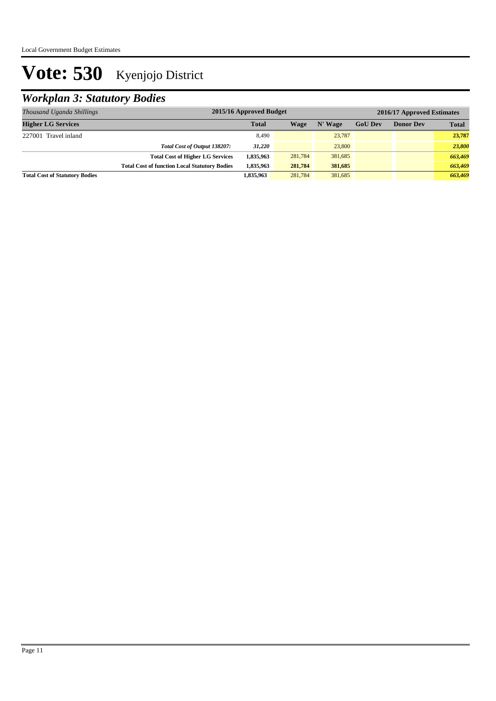## *Workplan 3: Statutory Bodies*

| Thousand Uganda Shillings             | 2015/16 Approved Budget                              | 2016/17 Approved Estimates |         |         |                |                  |              |
|---------------------------------------|------------------------------------------------------|----------------------------|---------|---------|----------------|------------------|--------------|
| <b>Higher LG Services</b>             |                                                      | <b>Total</b>               | Wage    | N' Wage | <b>GoU Dev</b> | <b>Donor Dev</b> | <b>Total</b> |
| 227001 Travel inland                  |                                                      | 8,490                      |         | 23,787  |                |                  | 23,787       |
|                                       | Total Cost of Output 138207:                         | 31.220                     |         | 23,800  |                |                  | 23,800       |
|                                       | <b>Total Cost of Higher LG Services</b>              | 1,835,963                  | 281,784 | 381,685 |                |                  | 663,469      |
|                                       | <b>Total Cost of function Local Statutory Bodies</b> | 1,835,963                  | 281,784 | 381,685 |                |                  | 663,469      |
| <b>Total Cost of Statutory Bodies</b> |                                                      | 1,835,963                  | 281,784 | 381,685 |                |                  | 663,469      |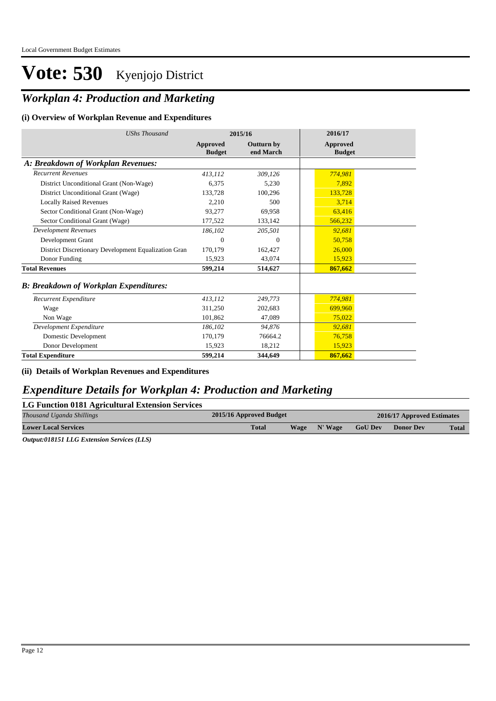### *Workplan 4: Production and Marketing*

#### **(i) Overview of Workplan Revenue and Expenditures**

| <b>UShs Thousand</b>                                 |                           | 2015/16                        | 2016/17                   |
|------------------------------------------------------|---------------------------|--------------------------------|---------------------------|
|                                                      | Approved<br><b>Budget</b> | <b>Outturn by</b><br>end March | Approved<br><b>Budget</b> |
| A: Breakdown of Workplan Revenues:                   |                           |                                |                           |
| <b>Recurrent Revenues</b>                            | 413,112                   | 309,126                        | 774,981                   |
| District Unconditional Grant (Non-Wage)              | 6,375                     | 5,230                          | 7,892                     |
| District Unconditional Grant (Wage)                  | 133,728                   | 100,296                        | 133,728                   |
| <b>Locally Raised Revenues</b>                       | 2,210                     | 500                            | 3,714                     |
| Sector Conditional Grant (Non-Wage)                  | 93,277                    | 69,958                         | 63,416                    |
| Sector Conditional Grant (Wage)                      | 177,522                   | 133,142                        | 566,232                   |
| <b>Development Revenues</b>                          | 186.102                   | 205,501                        | 92,681                    |
| Development Grant                                    | $\mathbf{0}$              | $\mathbf{0}$                   | 50,758                    |
| District Discretionary Development Equalization Gran | 170,179                   | 162,427                        | 26,000                    |
| Donor Funding                                        | 15.923                    | 43,074                         | 15,923                    |
| <b>Total Revenues</b>                                | 599,214                   | 514,627                        | 867,662                   |
| <b>B: Breakdown of Workplan Expenditures:</b>        |                           |                                |                           |
| Recurrent Expenditure                                | 413,112                   | 249,773                        | 774,981                   |
| Wage                                                 | 311,250                   | 202,683                        | 699,960                   |
| Non Wage                                             | 101,862                   | 47,089                         | 75,022                    |
| Development Expenditure                              | 186,102                   | 94,876                         | 92,681                    |
| Domestic Development                                 | 170,179                   | 76664.2                        | 76,758                    |
| Donor Development                                    | 15,923                    | 18,212                         | 15,923                    |
| <b>Total Expenditure</b>                             | 599,214                   | 344,649                        | 867,662                   |

**(ii) Details of Workplan Revenues and Expenditures**

### *Expenditure Details for Workplan 4: Production and Marketing*

| LG Function 0181 Agricultural Extension Services |                                 |  |  |                |                            |              |
|--------------------------------------------------|---------------------------------|--|--|----------------|----------------------------|--------------|
| Thousand Uganda Shillings                        | 2015/16 Approved Budget         |  |  |                | 2016/17 Approved Estimates |              |
| <b>Lower Local Services</b>                      | <b>Total</b><br>N' Wage<br>Wage |  |  | <b>GoU Dev</b> | <b>Donor Dev</b>           | <b>Total</b> |

*Output:018151 LLG Extension Services (LLS)*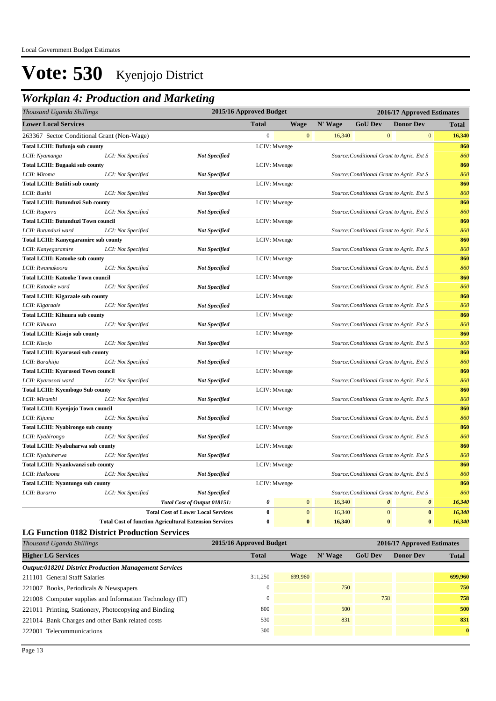### *Workplan 4: Production and Marketing*

| 2015/16 Approved Budget<br>Thousand Uganda Shillings |                                                               |                  |              |         | 2016/17 Approved Estimates |                                           |              |
|------------------------------------------------------|---------------------------------------------------------------|------------------|--------------|---------|----------------------------|-------------------------------------------|--------------|
| <b>Lower Local Services</b>                          |                                                               | <b>Total</b>     | <b>Wage</b>  | N' Wage | <b>GoU Dev</b>             | <b>Donor Dev</b>                          | <b>Total</b> |
| 263367 Sector Conditional Grant (Non-Wage)           |                                                               | $\boldsymbol{0}$ | $\mathbf{0}$ | 16,340  |                            | $\mathbf{0}$<br>$\overline{0}$            | 16,340       |
| <b>Total LCIII: Bufunjo sub county</b>               |                                                               |                  | LCIV: Mwenge |         |                            |                                           | 860          |
| LCI: Not Specified<br>LCII: Nyamanga                 | <b>Not Specified</b>                                          |                  |              |         |                            | Source: Conditional Grant to Agric. Ext S | 860          |
| <b>Total LCIII: Bugaaki sub county</b>               |                                                               |                  | LCIV: Mwenge |         |                            |                                           | 860          |
| LCII: Mitoma<br>LCI: Not Specified                   | <b>Not Specified</b>                                          |                  |              |         |                            | Source: Conditional Grant to Agric. Ext S | 860          |
| <b>Total LCIII: Butiiti sub county</b>               |                                                               |                  | LCIV: Mwenge |         |                            |                                           | 860          |
| LCII: Butiiti<br>LCI: Not Specified                  | <b>Not Specified</b>                                          |                  |              |         |                            | Source: Conditional Grant to Agric. Ext S | 860          |
| <b>Total LCIII: Butunduzi Sub county</b>             |                                                               |                  | LCIV: Mwenge |         |                            |                                           | 860          |
| LCI: Not Specified<br>LCII: Rugorra                  | <b>Not Specified</b>                                          |                  |              |         |                            | Source: Conditional Grant to Agric. Ext S | 860          |
| <b>Total LCIII: Butunduzi Town council</b>           |                                                               |                  | LCIV: Mwenge |         |                            |                                           | 860          |
| LCII: Butunduzi ward<br>LCI: Not Specified           | <b>Not Specified</b>                                          |                  |              |         |                            | Source: Conditional Grant to Agric. Ext S | 860          |
| <b>Total LCIII: Kanyegaramire sub county</b>         |                                                               |                  | LCIV: Mwenge |         |                            |                                           | 860          |
| LCII: Kanyegaramire<br>LCI: Not Specified            | <b>Not Specified</b>                                          |                  |              |         |                            | Source: Conditional Grant to Agric. Ext S | 860          |
| <b>Total LCIII: Katooke sub county</b>               |                                                               |                  | LCIV: Mwenge |         |                            |                                           | 860          |
| LCII: Rwamukoora<br>LCI: Not Specified               | <b>Not Specified</b>                                          |                  |              |         |                            | Source: Conditional Grant to Agric. Ext S | 860          |
| <b>Total LCIII: Katooke Town council</b>             |                                                               |                  | LCIV: Mwenge |         |                            |                                           | 860          |
| LCII: Katooke ward<br>LCI: Not Specified             | <b>Not Specified</b>                                          |                  |              |         |                            | Source: Conditional Grant to Agric. Ext S | 860          |
| <b>Total LCIII: Kigaraale sub county</b>             |                                                               |                  | LCIV: Mwenge |         |                            |                                           | 860          |
| LCII: Kigaraale<br>LCI: Not Specified                | <b>Not Specified</b>                                          |                  |              |         |                            | Source: Conditional Grant to Agric. Ext S | 860          |
| <b>Total LCIII: Kihuura sub county</b>               |                                                               |                  | LCIV: Mwenge |         |                            |                                           | 860          |
| LCII: Kihuura<br>LCI: Not Specified                  | <b>Not Specified</b>                                          |                  |              |         |                            | Source: Conditional Grant to Agric. Ext S | 860          |
| Total LCIII: Kisojo sub county                       |                                                               |                  | LCIV: Mwenge |         |                            |                                           | 860          |
| LCII: Kisojo<br>LCI: Not Specified                   | <b>Not Specified</b>                                          |                  |              |         |                            | Source: Conditional Grant to Agric. Ext S | 860          |
| Total LCIII: Kyarusozi sub county                    |                                                               | LCIV: Mwenge     |              |         |                            |                                           | 860          |
| LCII: Barahiija<br>LCI: Not Specified                | <b>Not Specified</b>                                          |                  |              |         |                            | Source: Conditional Grant to Agric. Ext S | 860          |
| <b>Total LCIII: Kyarusozi Town council</b>           |                                                               |                  | LCIV: Mwenge |         |                            |                                           | 860          |
| LCII: Kyarusozi ward<br>LCI: Not Specified           | <b>Not Specified</b>                                          |                  |              |         |                            | Source: Conditional Grant to Agric. Ext S | 860          |
| <b>Total LCIII: Kyembogo Sub county</b>              |                                                               |                  | LCIV: Mwenge |         |                            |                                           | 860          |
| LCII: Mirambi<br>LCI: Not Specified                  | <b>Not Specified</b>                                          |                  |              |         |                            | Source: Conditional Grant to Agric. Ext S | 860          |
| Total LCIII: Kyenjojo Town council                   |                                                               |                  | LCIV: Mwenge |         |                            |                                           | 860          |
| LCII: Kijuma<br>LCI: Not Specified                   | <b>Not Specified</b>                                          |                  |              |         |                            | Source: Conditional Grant to Agric. Ext S | 860          |
| <b>Total LCIII: Nyabirongo sub county</b>            |                                                               |                  | LCIV: Mwenge |         |                            |                                           | 860          |
| LCI: Not Specified<br>LCII: Nyabirongo               | <b>Not Specified</b>                                          |                  |              |         |                            | Source: Conditional Grant to Agric. Ext S | 860          |
| <b>Total LCIII: Nyabuharwa sub county</b>            |                                                               |                  | LCIV: Mwenge |         |                            |                                           | 860          |
| LCII: Nyabuharwa<br>LCI: Not Specified               | <b>Not Specified</b>                                          |                  |              |         |                            | Source: Conditional Grant to Agric. Ext S | 860          |
| Total LCIII: Nyankwanzi sub county                   |                                                               |                  | LCIV: Mwenge |         |                            |                                           | 860          |
| LCI: Not Specified<br>LCII: Haikoona                 | <b>Not Specified</b>                                          |                  |              |         |                            | Source: Conditional Grant to Agric. Ext S | 860          |
| <b>Total LCIII: Nyantungo sub county</b>             |                                                               |                  | LCIV: Mwenge |         |                            |                                           | 860          |
| LCII: Burarro<br>LCI: Not Specified                  | <b>Not Specified</b>                                          |                  |              |         |                            | Source: Conditional Grant to Agric. Ext S | 860          |
|                                                      | Total Cost of Output 018151:                                  | 0                | $\bf{0}$     | 16,340  |                            | $\boldsymbol{\theta}$<br>0                | 16,340       |
|                                                      | <b>Total Cost of Lower Local Services</b>                     | $\bf{0}$         | $\mathbf{0}$ | 16,340  |                            | $\mathbf{0}$<br>$\bf{0}$                  | 16,340       |
|                                                      | <b>Total Cost of function Agricultural Extension Services</b> | $\bf{0}$         | $\bf{0}$     | 16,340  |                            | $\bf{0}$<br>$\bf{0}$                      | 16,340       |

#### **LG Function 0182 District Production Services**

| Thousand Uganda Shillings                                    | 2015/16 Approved Budget | 2016/17 Approved Estimates |         |                |                  |              |
|--------------------------------------------------------------|-------------------------|----------------------------|---------|----------------|------------------|--------------|
| <b>Higher LG Services</b>                                    | <b>Total</b>            | Wage                       | N' Wage | <b>GoU Dev</b> | <b>Donor Dev</b> | <b>Total</b> |
| <b>Output:018201 District Production Management Services</b> |                         |                            |         |                |                  |              |
| 211101 General Staff Salaries                                | 311.250                 | 699,960                    |         |                |                  | 699,960      |
| 221007 Books, Periodicals & Newspapers                       | $\Omega$                |                            | 750     |                |                  | 750          |
| 221008 Computer supplies and Information Technology (IT)     | $\Omega$                |                            |         | 758            |                  | 758          |
| 221011 Printing, Stationery, Photocopying and Binding        | 800                     |                            | 500     |                |                  | 500          |
| 221014 Bank Charges and other Bank related costs             | 530                     |                            | 831     |                |                  | 831          |
| 222001 Telecommunications                                    | 300                     |                            |         |                |                  | $\mathbf{0}$ |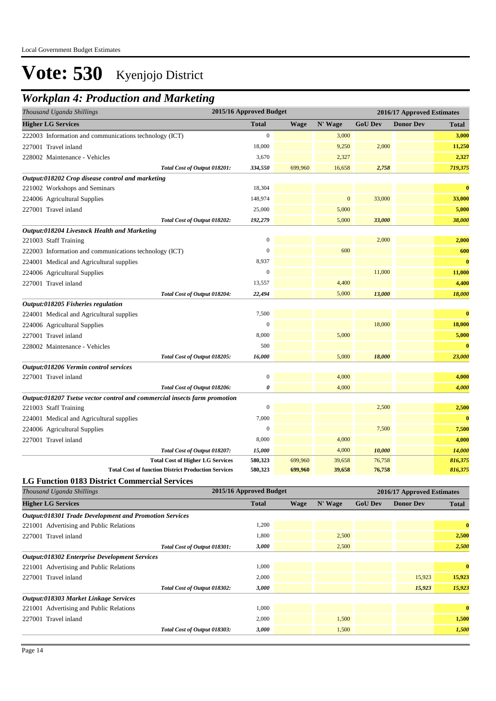## *Workplan 4: Production and Marketing*

| Thousand Uganda Shillings                                                 | 2015/16 Approved Budget |             |              |                |                                                |              |
|---------------------------------------------------------------------------|-------------------------|-------------|--------------|----------------|------------------------------------------------|--------------|
| <b>Higher LG Services</b>                                                 | <b>Total</b>            | <b>Wage</b> | N' Wage      | <b>GoU Dev</b> | 2016/17 Approved Estimates<br><b>Donor Dev</b> | <b>Total</b> |
| 222003 Information and communications technology (ICT)                    | $\boldsymbol{0}$        |             | 3,000        |                |                                                | 3,000        |
| 227001 Travel inland                                                      | 18,000                  |             | 9,250        | 2,000          |                                                | 11,250       |
| 228002 Maintenance - Vehicles                                             | 3,670                   |             | 2,327        |                |                                                | 2,327        |
| Total Cost of Output 018201:                                              | 334,550                 | 699,960     | 16,658       | 2,758          |                                                | 719,375      |
| Output:018202 Crop disease control and marketing                          |                         |             |              |                |                                                |              |
| 221002 Workshops and Seminars                                             | 18,304                  |             |              |                |                                                | $\bf{0}$     |
| 224006 Agricultural Supplies                                              | 148,974                 |             | $\mathbf{0}$ | 33,000         |                                                | 33,000       |
| 227001 Travel inland                                                      | 25,000                  |             | 5,000        |                |                                                | 5,000        |
| Total Cost of Output 018202:                                              | 192,279                 |             | 5,000        | 33,000         |                                                | 38,000       |
| Output:018204 Livestock Health and Marketing                              |                         |             |              |                |                                                |              |
| 221003 Staff Training                                                     | $\mathbf{0}$            |             |              | 2,000          |                                                | 2,000        |
| 222003 Information and communications technology (ICT)                    | $\mathbf{0}$            |             | 600          |                |                                                | 600          |
| 224001 Medical and Agricultural supplies                                  | 8,937                   |             |              |                |                                                | $\bf{0}$     |
| 224006 Agricultural Supplies                                              | $\boldsymbol{0}$        |             |              | 11,000         |                                                | 11,000       |
| 227001 Travel inland                                                      | 13,557                  |             | 4,400        |                |                                                | 4,400        |
| Total Cost of Output 018204:                                              | 22,494                  |             | 5,000        | 13,000         |                                                | 18,000       |
| Output:018205 Fisheries regulation                                        |                         |             |              |                |                                                |              |
| 224001 Medical and Agricultural supplies                                  | 7,500                   |             |              |                |                                                | $\bf{0}$     |
| 224006 Agricultural Supplies                                              | $\mathbf{0}$            |             |              | 18,000         |                                                | 18,000       |
| 227001 Travel inland                                                      | 8,000                   |             | 5,000        |                |                                                | 5,000        |
| 228002 Maintenance - Vehicles                                             | 500                     |             |              |                |                                                | $\bf{0}$     |
| Total Cost of Output 018205:                                              | 16,000                  |             | 5,000        | 18,000         |                                                | 23,000       |
| Output:018206 Vermin control services                                     |                         |             |              |                |                                                |              |
| 227001 Travel inland                                                      | $\boldsymbol{0}$        |             | 4,000        |                |                                                | 4,000        |
| Total Cost of Output 018206:                                              | 0                       |             | 4,000        |                |                                                | 4,000        |
| Output:018207 Tsetse vector control and commercial insects farm promotion |                         |             |              |                |                                                |              |
| 221003 Staff Training                                                     | $\boldsymbol{0}$        |             |              | 2,500          |                                                | 2,500        |
| 224001 Medical and Agricultural supplies                                  | 7,000                   |             |              |                |                                                | $\bf{0}$     |
| 224006 Agricultural Supplies                                              | $\boldsymbol{0}$        |             |              | 7,500          |                                                | 7,500        |
| 227001 Travel inland                                                      | 8,000                   |             | 4,000        |                |                                                | 4,000        |
| Total Cost of Output 018207:                                              | 15,000                  |             | 4,000        | 10,000         |                                                | 14,000       |
| <b>Total Cost of Higher LG Services</b>                                   | 580,323                 | 699,960     | 39,658       | 76,758         |                                                | 816,375      |
| <b>Total Cost of function District Production Services</b>                | 580,323                 | 699,960     | 39,658       | 76,758         |                                                | 816,375      |
| <b>LG Function 0183 District Commercial Services</b>                      | 2015/16 Approved Budget |             |              |                |                                                |              |
| Thousand Uganda Shillings                                                 |                         |             |              |                | 2016/17 Approved Estimates                     |              |
| <b>Higher LG Services</b>                                                 | <b>Total</b>            | <b>Wage</b> | N' Wage      | <b>GoU Dev</b> | <b>Donor Dev</b>                               | <b>Total</b> |

| <b>Higher LG Services</b>                                     | Total | Wage | N' Wage | <b>GoU</b> Dev | <b>Donor Dev</b> | <b>Total</b> |
|---------------------------------------------------------------|-------|------|---------|----------------|------------------|--------------|
| <b>Output:018301 Trade Development and Promotion Services</b> |       |      |         |                |                  |              |
| 221001 Advertising and Public Relations                       | 1,200 |      |         |                |                  | $\bf{0}$     |
| 227001 Travel inland                                          | 1,800 |      | 2,500   |                |                  | 2,500        |
| Total Cost of Output 018301:                                  | 3,000 |      | 2,500   |                |                  | 2,500        |
| <b>Output:018302 Enterprise Development Services</b>          |       |      |         |                |                  |              |
| 221001 Advertising and Public Relations                       | 1,000 |      |         |                |                  | $\bf{0}$     |
| 227001 Travel inland                                          | 2,000 |      |         |                | 15,923           | 15,923       |
| Total Cost of Output 018302:                                  | 3,000 |      |         |                | 15,923           | 15,923       |
| Output:018303 Market Linkage Services                         |       |      |         |                |                  |              |
| 221001 Advertising and Public Relations                       | 1,000 |      |         |                |                  | $\bf{0}$     |
| 227001 Travel inland                                          | 2,000 |      | 1.500   |                |                  | 1,500        |
| Total Cost of Output 018303:                                  | 3,000 |      | 1,500   |                |                  | 1,500        |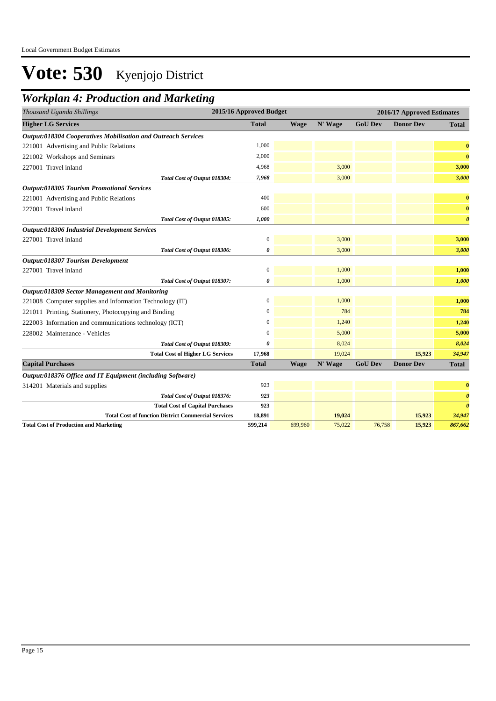### *Workplan 4: Production and Marketing*

| Thousand Uganda Shillings                                     | 2015/16 Approved Budget |             |         |                | 2016/17 Approved Estimates |                       |
|---------------------------------------------------------------|-------------------------|-------------|---------|----------------|----------------------------|-----------------------|
| <b>Higher LG Services</b>                                     | <b>Total</b>            | <b>Wage</b> | N' Wage | <b>GoU Dev</b> | <b>Donor Dev</b>           | <b>Total</b>          |
| Output:018304 Cooperatives Mobilisation and Outreach Services |                         |             |         |                |                            |                       |
| 221001 Advertising and Public Relations                       | 1,000                   |             |         |                |                            | $\bf{0}$              |
| 221002 Workshops and Seminars                                 | 2,000                   |             |         |                |                            | $\bf{0}$              |
| 227001 Travel inland                                          | 4,968                   |             | 3,000   |                |                            | 3,000                 |
| Total Cost of Output 018304:                                  | 7,968                   |             | 3,000   |                |                            | 3,000                 |
| <b>Output:018305 Tourism Promotional Services</b>             |                         |             |         |                |                            |                       |
| 221001 Advertising and Public Relations                       | 400                     |             |         |                |                            | $\bf{0}$              |
| 227001 Travel inland                                          | 600                     |             |         |                |                            | $\bf{0}$              |
| Total Cost of Output 018305:                                  | 1,000                   |             |         |                |                            | $\boldsymbol{\theta}$ |
| <b>Output:018306 Industrial Development Services</b>          |                         |             |         |                |                            |                       |
| 227001 Travel inland                                          | $\boldsymbol{0}$        |             | 3,000   |                |                            | 3,000                 |
| Total Cost of Output 018306:                                  | 0                       |             | 3,000   |                |                            | 3,000                 |
| Output:018307 Tourism Development                             |                         |             |         |                |                            |                       |
| 227001 Travel inland                                          | $\boldsymbol{0}$        |             | 1,000   |                |                            | 1,000                 |
| Total Cost of Output 018307:                                  | 0                       |             | 1,000   |                |                            | 1,000                 |
| Output:018309 Sector Management and Monitoring                |                         |             |         |                |                            |                       |
| 221008 Computer supplies and Information Technology (IT)      | $\boldsymbol{0}$        |             | 1,000   |                |                            | 1,000                 |
| 221011 Printing, Stationery, Photocopying and Binding         | $\Omega$                |             | 784     |                |                            | 784                   |
| 222003 Information and communications technology (ICT)        | $\boldsymbol{0}$        |             | 1,240   |                |                            | 1,240                 |
| 228002 Maintenance - Vehicles                                 | $\Omega$                |             | 5,000   |                |                            | 5,000                 |
| Total Cost of Output 018309:                                  | 0                       |             | 8,024   |                |                            | 8,024                 |
| <b>Total Cost of Higher LG Services</b>                       | 17,968                  |             | 19,024  |                | 15,923                     | 34,947                |
| <b>Capital Purchases</b>                                      | <b>Total</b>            | <b>Wage</b> | N' Wage | <b>GoU Dev</b> | <b>Donor Dev</b>           | <b>Total</b>          |
| Output:018376 Office and IT Equipment (including Software)    |                         |             |         |                |                            |                       |
| 314201 Materials and supplies                                 | 923                     |             |         |                |                            | $\bf{0}$              |
| Total Cost of Output 018376:                                  | 923                     |             |         |                |                            | $\boldsymbol{\theta}$ |
| <b>Total Cost of Capital Purchases</b>                        | 923                     |             |         |                |                            | $\boldsymbol{\theta}$ |
| <b>Total Cost of function District Commercial Services</b>    | 18,891                  |             | 19,024  |                | 15,923                     | 34,947                |
| <b>Total Cost of Production and Marketing</b>                 | 599,214                 | 699,960     | 75,022  | 76,758         | 15,923                     | 867,662               |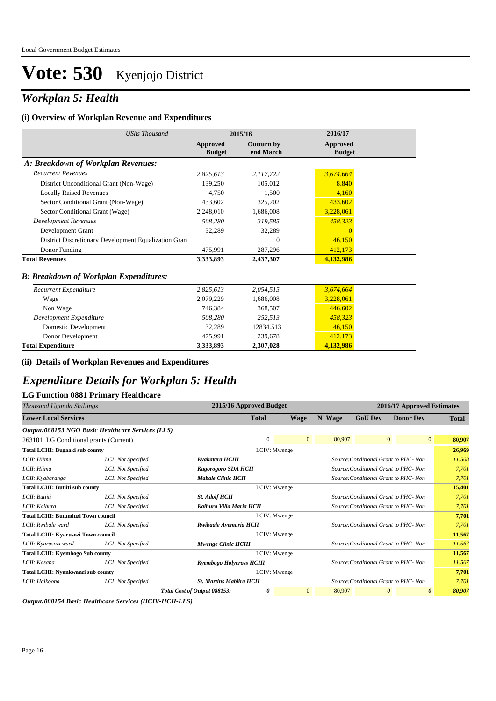### *Workplan 5: Health*

#### **(i) Overview of Workplan Revenue and Expenditures**

| <b>UShs Thousand</b>                                 |                           | 2015/16                        | 2016/17                   |
|------------------------------------------------------|---------------------------|--------------------------------|---------------------------|
|                                                      | Approved<br><b>Budget</b> | <b>Outturn by</b><br>end March | Approved<br><b>Budget</b> |
| A: Breakdown of Workplan Revenues:                   |                           |                                |                           |
| <b>Recurrent Revenues</b>                            | 2,825,613                 | 2,117,722                      | 3,674,664                 |
| District Unconditional Grant (Non-Wage)              | 139,250                   | 105.012                        | 8,840                     |
| <b>Locally Raised Revenues</b>                       | 4.750                     | 1,500                          | 4,160                     |
| Sector Conditional Grant (Non-Wage)                  | 433.602                   | 325,202                        | 433,602                   |
| Sector Conditional Grant (Wage)                      | 2,248,010                 | 1,686,008                      | 3,228,061                 |
| <b>Development Revenues</b>                          | 508,280                   | 319,585                        | 458,323                   |
| Development Grant                                    | 32,289                    | 32,289                         | $\overline{0}$            |
| District Discretionary Development Equalization Gran |                           | $\mathbf{0}$                   | 46,150                    |
| Donor Funding                                        | 475,991                   | 287,296                        | 412,173                   |
| <b>Total Revenues</b>                                | 3,333,893                 | 2,437,307                      | 4,132,986                 |
| <b>B: Breakdown of Workplan Expenditures:</b>        |                           |                                |                           |
| Recurrent Expenditure                                | 2,825,613                 | 2,054,515                      | 3,674,664                 |
| Wage                                                 | 2.079.229                 | 1,686,008                      | 3,228,061                 |
| Non Wage                                             | 746,384                   | 368,507                        | 446.602                   |
| Development Expenditure                              | 508,280                   | 252,513                        | 458,323                   |
| Domestic Development                                 | 32,289                    | 12834.513                      | 46,150                    |
| Donor Development                                    | 475,991                   | 239,678                        | 412,173                   |
| <b>Total Expenditure</b>                             | 3,333,893                 | 2,307,028                      | 4,132,986                 |

#### **(ii) Details of Workplan Revenues and Expenditures**

### *Expenditure Details for Workplan 5: Health*

#### **LG Function 0881 Primary Healthcare**

|                                            | Thousand Uganda Shillings                         |                                 |              | 2015/16 Approved Budget |         | 2016/17 Approved Estimates |                                       |              |  |
|--------------------------------------------|---------------------------------------------------|---------------------------------|--------------|-------------------------|---------|----------------------------|---------------------------------------|--------------|--|
| <b>Lower Local Services</b>                |                                                   |                                 | <b>Total</b> | <b>Wage</b>             | N' Wage | <b>GoU Dev</b>             | <b>Donor Dev</b>                      | <b>Total</b> |  |
|                                            | Output:088153 NGO Basic Healthcare Services (LLS) |                                 |              |                         |         |                            |                                       |              |  |
| 263101 LG Conditional grants (Current)     |                                                   |                                 | $\Omega$     | $\overline{0}$          | 80,907  |                            | $\overline{0}$<br>$\overline{0}$      | 80,907       |  |
| <b>Total LCIII: Bugaaki sub county</b>     |                                                   |                                 |              | LCIV: Mwenge            |         |                            |                                       | 26,969       |  |
| LCII: Hiima                                | LCI: Not Specified                                | Kyakatara HCIII                 |              |                         |         |                            | Source: Conditional Grant to PHC- Non | 11,568       |  |
| LCII: Hiima                                | LCI: Not Specified                                | Kagorogoro SDA HCII             |              |                         |         |                            | Source: Conditional Grant to PHC- Non | 7,701        |  |
| LCII: Kyabaranga                           | LCI: Not Specified                                | <b>Mabale Clinic HCII</b>       |              |                         |         |                            | Source: Conditional Grant to PHC- Non | 7,701        |  |
| <b>Total LCIII: Butiiti sub county</b>     |                                                   |                                 |              | LCIV: Mwenge            |         |                            |                                       | 15,401       |  |
| LCII: Butiiti                              | LCI: Not Specified                                | <b>St. Adolf HCII</b>           |              |                         |         |                            | Source: Conditional Grant to PHC- Non | 7.701        |  |
| LCII: Kaihura                              | LCI: Not Specified                                | Kaihura Villa Maria HCII        |              |                         |         |                            | Source: Conditional Grant to PHC- Non | 7,701        |  |
| <b>Total LCIII: Butunduzi Town council</b> |                                                   |                                 | LCIV: Mwenge |                         |         |                            |                                       | 7,701        |  |
| LCII: Rwibale ward                         | LCI: Not Specified                                | Rwibaale Avemaria HCII          |              |                         |         |                            | Source: Conditional Grant to PHC- Non | 7,701        |  |
| <b>Total LCIII: Kyarusozi Town council</b> |                                                   |                                 |              | LCIV: Mwenge            |         |                            |                                       | 11,567       |  |
| LCII: Kyarusozi ward                       | LCI: Not Specified                                | Mwenge Clinic HCIII             |              |                         |         |                            | Source: Conditional Grant to PHC- Non | 11,567       |  |
| <b>Total LCIII: Kyembogo Sub county</b>    |                                                   |                                 |              | LCIV: Mwenge            |         |                            |                                       | 11,567       |  |
| LCII: Kasaba                               | LCI: Not Specified                                | Kyembogo Holycross HCIII        |              |                         |         |                            | Source: Conditional Grant to PHC- Non | 11,567       |  |
| Total LCIII: Nyankwanzi sub county         |                                                   |                                 |              | LCIV: Mwenge            |         |                            |                                       | 7,701        |  |
| LCII: Haikoona                             | LCI: Not Specified                                | <b>St. Martins Mabiira HCII</b> |              |                         |         |                            | Source: Conditional Grant to PHC- Non | 7,701        |  |
|                                            |                                                   | Total Cost of Output 088153:    | 0            | $\mathbf{0}$            | 80,907  |                            | $\theta$<br>0                         | 80,907       |  |

*Output:088154 Basic Healthcare Services (HCIV-HCII-LLS)*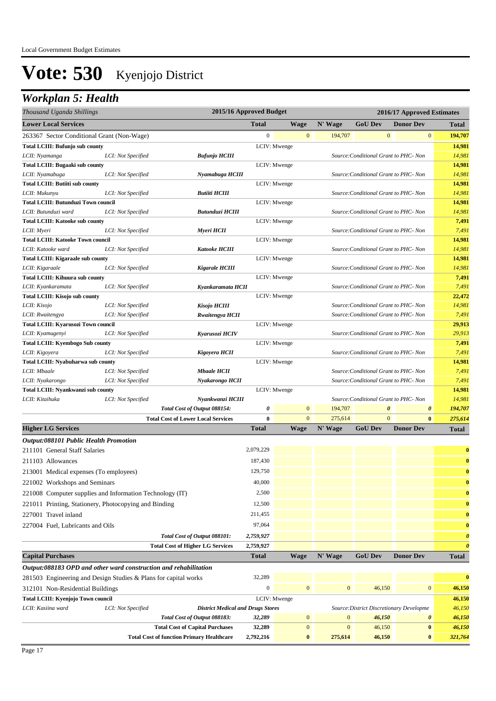## *Workplan 5: Health*

| Thousand Uganda Shillings                                        |                    |                                                  | 2015/16 Approved Budget |              |                  |                                          | 2016/17 Approved Estimates |                       |
|------------------------------------------------------------------|--------------------|--------------------------------------------------|-------------------------|--------------|------------------|------------------------------------------|----------------------------|-----------------------|
| <b>Lower Local Services</b>                                      |                    |                                                  | <b>Total</b>            | <b>Wage</b>  | N' Wage          | <b>GoU Dev</b>                           | <b>Donor Dev</b>           | Total                 |
| 263367 Sector Conditional Grant (Non-Wage)                       |                    |                                                  | $\boldsymbol{0}$        | $\mathbf{0}$ | 194,707          | $\mathbf{0}$                             | $\mathbf{0}$               | 194,707               |
| <b>Total LCIII: Bufunjo sub county</b>                           |                    |                                                  |                         | LCIV: Mwenge |                  |                                          |                            | 14,981                |
| LCII: Nyamanga                                                   | LCI: Not Specified | <b>Bufunjo HCIII</b>                             |                         |              |                  | Source: Conditional Grant to PHC- Non    |                            | 14,981                |
| <b>Total LCIII: Bugaaki sub county</b>                           |                    |                                                  |                         | LCIV: Mwenge |                  |                                          |                            | 14,981                |
| LCII: Nyamabuga                                                  | LCI: Not Specified | Nyamabuga HCIII                                  |                         |              |                  | Source: Conditional Grant to PHC- Non    |                            | 14,981                |
| <b>Total LCIII: Butiiti sub county</b>                           |                    |                                                  |                         | LCIV: Mwenge |                  |                                          |                            | 14,981                |
| LCII: Mukunyu                                                    | LCI: Not Specified | <b>Butiiti HCIII</b>                             |                         |              |                  | Source: Conditional Grant to PHC- Non    |                            | 14,981                |
| <b>Total LCIII: Butunduzi Town council</b>                       |                    |                                                  |                         | LCIV: Mwenge |                  |                                          |                            | 14,981                |
| LCII: Butunduzi ward                                             | LCI: Not Specified | Butunduzi HCIII                                  |                         |              |                  | Source: Conditional Grant to PHC- Non    |                            | 14,981                |
| <b>Total LCIII: Katooke sub county</b>                           |                    |                                                  |                         | LCIV: Mwenge |                  |                                          |                            | 7,491                 |
| LCII: Myeri                                                      | LCI: Not Specified | Myeri HCII                                       |                         |              |                  | Source: Conditional Grant to PHC- Non    |                            | 7,491                 |
| <b>Total LCIII: Katooke Town council</b>                         |                    |                                                  |                         | LCIV: Mwenge |                  |                                          |                            | 14,981                |
| LCII: Katooke ward                                               | LCI: Not Specified | <b>Katooke HCIII</b>                             |                         |              |                  | Source: Conditional Grant to PHC- Non    |                            | 14,981                |
| <b>Total LCIII: Kigaraale sub county</b>                         |                    |                                                  |                         | LCIV: Mwenge |                  |                                          |                            | 14,981                |
| LCII: Kigaraale                                                  | LCI: Not Specified | <b>Kigarale HCIII</b>                            |                         |              |                  | Source: Conditional Grant to PHC- Non    |                            | 14,981                |
| <b>Total LCIII: Kihuura sub county</b>                           |                    |                                                  |                         | LCIV: Mwenge |                  |                                          |                            | 7,491                 |
| LCII: Kyankaramata                                               | LCI: Not Specified | Kyankaramata HCII                                |                         |              |                  | Source: Conditional Grant to PHC- Non    |                            | 7,491                 |
| Total LCIII: Kisojo sub county                                   |                    |                                                  |                         | LCIV: Mwenge |                  |                                          |                            | 22,472                |
| LCII: Kisojo                                                     | LCI: Not Specified | Kisojo HCIII                                     |                         |              |                  | Source: Conditional Grant to PHC- Non    |                            | 14,981                |
| LCII: Rwaitengya                                                 | LCI: Not Specified | Rwaitengya HCII                                  |                         |              |                  | Source: Conditional Grant to PHC- Non    |                            | 7,491                 |
| Total LCIII: Kyarusozi Town council                              |                    |                                                  |                         | LCIV: Mwenge |                  |                                          |                            | 29,913                |
| LCII: Kyamugenyi                                                 | LCI: Not Specified | Kvarusozi HCIV                                   |                         |              |                  | Source: Conditional Grant to PHC- Non    |                            | 29,913                |
| <b>Total LCIII: Kyembogo Sub county</b>                          |                    |                                                  |                         | LCIV: Mwenge |                  |                                          |                            | 7,491                 |
| LCII: Kigoyera                                                   | LCI: Not Specified | Kigoyera HCII                                    |                         |              |                  | Source: Conditional Grant to PHC- Non    |                            | 7,491                 |
| <b>Total LCIII: Nyabuharwa sub county</b>                        |                    |                                                  |                         | LCIV: Mwenge |                  |                                          |                            | 14,981                |
| LCII: Mbaale                                                     | LCI: Not Specified | <b>Mbaale HCII</b>                               |                         |              |                  | Source: Conditional Grant to PHC- Non    |                            | 7,491                 |
| LCII: Nyakarongo                                                 | LCI: Not Specified | Nyakarongo HCII                                  |                         |              |                  | Source: Conditional Grant to PHC- Non    |                            | 7,491                 |
| Total LCIII: Nyankwanzi sub county                               |                    |                                                  |                         | LCIV: Mwenge |                  |                                          |                            | 14,981                |
| LCII: Kitaihuka                                                  | LCI: Not Specified | Nyankwanzi HCIII                                 |                         |              |                  | Source: Conditional Grant to PHC- Non    |                            | 14,981                |
|                                                                  |                    | Total Cost of Output 088154:                     | 0                       | $\mathbf{0}$ | 194,707          | $\pmb{\theta}$                           | $\boldsymbol{\theta}$      | 194,707               |
|                                                                  |                    | <b>Total Cost of Lower Local Services</b>        | $\bf{0}$                | $\mathbf{0}$ | 275,614          | $\overline{0}$                           | $\mathbf{0}$               | 275,614               |
| <b>Higher LG Services</b>                                        |                    |                                                  | <b>Total</b>            | <b>Wage</b>  | N' Wage          | <b>GoU Dev</b>                           | <b>Donor Dev</b>           | <b>Total</b>          |
| <b>Output:088101 Public Health Promotion</b>                     |                    |                                                  |                         |              |                  |                                          |                            |                       |
| 211101 General Staff Salaries                                    |                    |                                                  | 2,079,229               |              |                  |                                          |                            | $\bf{0}$              |
| 211103 Allowances                                                |                    |                                                  | 187,430                 |              |                  |                                          |                            | $\bf{0}$              |
| 213001 Medical expenses (To employees)                           |                    |                                                  | 129,750                 |              |                  |                                          |                            | $\bf{0}$              |
| 221002 Workshops and Seminars                                    |                    |                                                  | 40,000                  |              |                  |                                          |                            | $\bf{0}$              |
| 221008 Computer supplies and Information Technology (IT)         |                    |                                                  | 2,500                   |              |                  |                                          |                            | $\bf{0}$              |
| 221011 Printing, Stationery, Photocopying and Binding            |                    |                                                  | 12,500                  |              |                  |                                          |                            | $\bf{0}$              |
| 227001 Travel inland                                             |                    |                                                  | 211,455                 |              |                  |                                          |                            | $\bf{0}$              |
| 227004 Fuel, Lubricants and Oils                                 |                    |                                                  | 97,064                  |              |                  |                                          |                            | $\bf{0}$              |
|                                                                  |                    | Total Cost of Output 088101:                     | 2,759,927               |              |                  |                                          |                            | $\boldsymbol{\theta}$ |
|                                                                  |                    | <b>Total Cost of Higher LG Services</b>          | 2,759,927               |              |                  |                                          |                            | $\boldsymbol{\theta}$ |
| <b>Capital Purchases</b>                                         |                    |                                                  | <b>Total</b>            | <b>Wage</b>  | N' Wage          | <b>GoU Dev</b>                           | <b>Donor Dev</b>           | <b>Total</b>          |
| Output:088183 OPD and other ward construction and rehabilitation |                    |                                                  |                         |              |                  |                                          |                            |                       |
| 281503 Engineering and Design Studies & Plans for capital works  |                    |                                                  | 32,289                  |              |                  |                                          |                            | $\bf{0}$              |
| 312101 Non-Residential Buildings                                 |                    |                                                  | $\boldsymbol{0}$        | $\mathbf{0}$ | $\boldsymbol{0}$ | 46,150                                   | $\bf{0}$                   | 46,150                |
| Total LCIII: Kyenjojo Town council                               |                    |                                                  |                         | LCIV: Mwenge |                  |                                          |                            | 46,150                |
| LCII: Kasiina ward                                               | LCI: Not Specified | <b>District Medical and Drugs Stores</b>         |                         |              |                  | Source: District Discretionary Developme |                            | 46,150                |
|                                                                  |                    | Total Cost of Output 088183:                     | 32,289                  | $\mathbf{0}$ | $\boldsymbol{0}$ | 46,150                                   | $\boldsymbol{\theta}$      | 46,150                |
|                                                                  |                    | <b>Total Cost of Capital Purchases</b>           | 32,289                  | $\mathbf{0}$ | $\mathbf{0}$     | 46,150                                   | $\bf{0}$                   | 46,150                |
|                                                                  |                    | <b>Total Cost of function Primary Healthcare</b> | 2,792,216               | $\bf{0}$     | 275,614          | 46,150                                   | $\bf{0}$                   | 321,764               |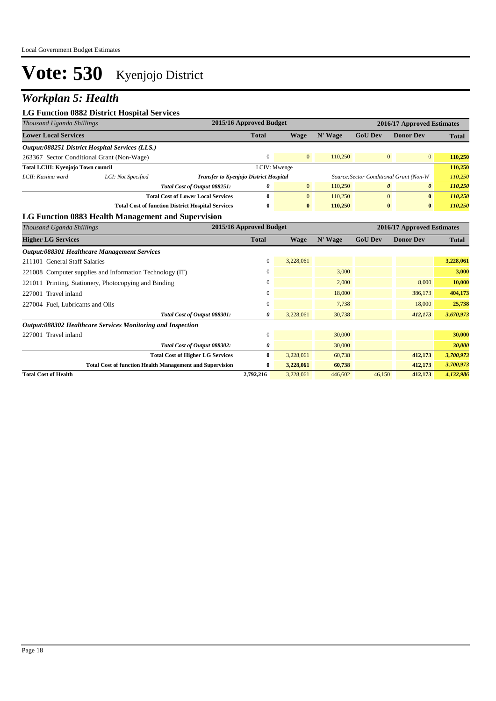## *Workplan 5: Health*

#### **LG Function 0882 District Hospital Services**

| Thousand Uganda Shillings                  | 2015/16 Approved Budget<br>2016/17 Approved Estimates  |                                                          |              |                |         |                                         |                       |              |
|--------------------------------------------|--------------------------------------------------------|----------------------------------------------------------|--------------|----------------|---------|-----------------------------------------|-----------------------|--------------|
| <b>Lower Local Services</b>                |                                                        |                                                          | <b>Total</b> | Wage           | N' Wage | <b>GoU Dev</b>                          | <b>Donor Dev</b>      | <b>Total</b> |
|                                            | <i>Output:088251 District Hospital Services (LLS.)</i> |                                                          |              |                |         |                                         |                       |              |
| 263367 Sector Conditional Grant (Non-Wage) |                                                        |                                                          | $\Omega$     | $\overline{0}$ | 110,250 | $\Omega$                                | $\overline{0}$        | 110,250      |
| <b>Total LCIII: Kyenjojo Town council</b>  |                                                        |                                                          | LCIV: Mwenge |                |         |                                         |                       | 110,250      |
| LCII: Kasiina ward                         | LCI: Not Specified                                     | <b>Transfer to Kyenjojo District Hospital</b>            |              |                |         | Source: Sector Conditional Grant (Non-W |                       | 110,250      |
|                                            |                                                        | Total Cost of Output 088251:                             | 0            | $\overline{0}$ | 110,250 | $\theta$                                | $\boldsymbol{\theta}$ | 110,250      |
|                                            |                                                        | <b>Total Cost of Lower Local Services</b>                | 0            | $\overline{0}$ | 110,250 | $\Omega$                                | $\bf{0}$              | 110,250      |
|                                            |                                                        | <b>Total Cost of function District Hospital Services</b> | $\bf{0}$     | $\mathbf{0}$   | 110.250 | $\bf{0}$                                | $\bf{0}$              | 110,250      |

#### **LG Function 0883 Health Management and Supervision**

| Thousand Uganda Shillings                                       | 2015/16 Approved Budget |             |         |                | 2016/17 Approved Estimates |              |
|-----------------------------------------------------------------|-------------------------|-------------|---------|----------------|----------------------------|--------------|
| <b>Higher LG Services</b>                                       | <b>Total</b>            | <b>Wage</b> | N' Wage | <b>GoU Dev</b> | <b>Donor Dev</b>           | <b>Total</b> |
| Output:088301 Healthcare Management Services                    |                         |             |         |                |                            |              |
| 211101 General Staff Salaries                                   | 0                       | 3,228,061   |         |                |                            | 3,228,061    |
| 221008 Computer supplies and Information Technology (IT)        | 0                       |             | 3,000   |                |                            | 3,000        |
| 221011 Printing, Stationery, Photocopying and Binding           | $\mathbf{0}$            |             | 2,000   |                | 8,000                      | 10,000       |
| 227001 Travel inland                                            | $\mathbf{0}$            |             | 18,000  |                | 386,173                    | 404,173      |
| 227004 Fuel, Lubricants and Oils                                | $\mathbf{0}$            |             | 7,738   |                | 18,000                     | 25,738       |
| Total Cost of Output 088301:                                    | 0                       | 3,228,061   | 30,738  |                | 412,173                    | 3,670,973    |
| Output:088302 Healthcare Services Monitoring and Inspection     |                         |             |         |                |                            |              |
| 227001 Travel inland                                            | $\mathbf{0}$            |             | 30,000  |                |                            | 30,000       |
| Total Cost of Output 088302:                                    | 0                       |             | 30,000  |                |                            | 30,000       |
| <b>Total Cost of Higher LG Services</b>                         | $\bf{0}$                | 3,228,061   | 60,738  |                | 412,173                    | 3,700,973    |
| <b>Total Cost of function Health Management and Supervision</b> | $\bf{0}$                | 3,228,061   | 60,738  |                | 412,173                    | 3,700,973    |
| <b>Total Cost of Health</b>                                     | 2,792,216               | 3,228,061   | 446,602 | 46,150         | 412,173                    | 4,132,986    |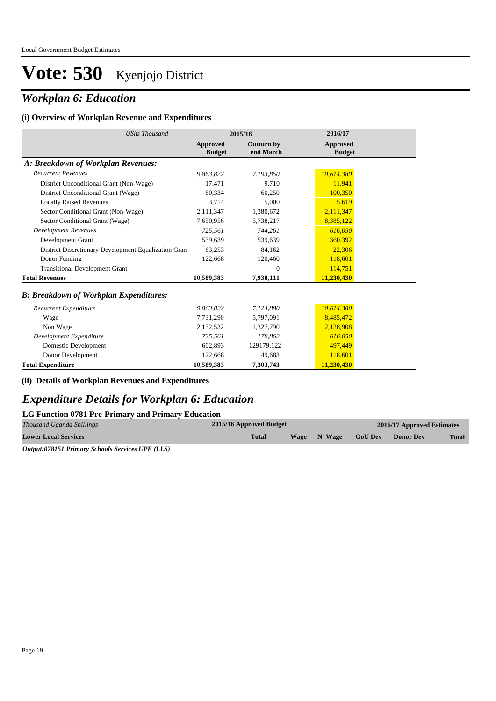### *Workplan 6: Education*

#### **(i) Overview of Workplan Revenue and Expenditures**

| <b>UShs Thousand</b>                                 |                           | 2015/16                        | 2016/17                   |
|------------------------------------------------------|---------------------------|--------------------------------|---------------------------|
|                                                      | Approved<br><b>Budget</b> | <b>Outturn by</b><br>end March | Approved<br><b>Budget</b> |
| A: Breakdown of Workplan Revenues:                   |                           |                                |                           |
| <b>Recurrent Revenues</b>                            | 9.863.822                 | 7.193.850                      | 10,614,380                |
| District Unconditional Grant (Non-Wage)              | 17,471                    | 9.710                          | 11,941                    |
| District Unconditional Grant (Wage)                  | 80,334                    | 60,250                         | 100,350                   |
| <b>Locally Raised Revenues</b>                       | 3,714                     | 5,000                          | 5,619                     |
| Sector Conditional Grant (Non-Wage)                  | 2,111,347                 | 1,380,672                      | 2,111,347                 |
| Sector Conditional Grant (Wage)                      | 7,650,956                 | 5,738,217                      | 8,385,122                 |
| <b>Development Revenues</b>                          | 725,561                   | 744,261                        | 616,050                   |
| Development Grant                                    | 539.639                   | 539.639                        | 360.392                   |
| District Discretionary Development Equalization Gran | 63,253                    | 84,162                         | 22,306                    |
| Donor Funding                                        | 122,668                   | 120,460                        | 118,601                   |
| <b>Transitional Development Grant</b>                |                           | $\Omega$                       | 114,751                   |
| <b>Total Revenues</b>                                | 10,589,383                | 7,938,111                      | 11,230,430                |
| <b>B: Breakdown of Workplan Expenditures:</b>        |                           |                                |                           |
| Recurrent Expenditure                                | 9,863,822                 | 7,124,880                      | 10,614,380                |
| Wage                                                 | 7,731,290                 | 5,797,091                      | 8,485,472                 |
| Non Wage                                             | 2,132,532                 | 1,327,790                      | 2,128,908                 |
| Development Expenditure                              | 725,561                   | 178.862                        | 616,050                   |
| Domestic Development                                 | 602,893                   | 129179.122                     | 497,449                   |
| Donor Development                                    | 122,668                   | 49,683                         | 118,601                   |
| <b>Total Expenditure</b>                             | 10,589,383                | 7,303,743                      | 11,230,430                |

#### **(ii) Details of Workplan Revenues and Expenditures**

### *Expenditure Details for Workplan 6: Education*

#### **LG Function 0781 Pre-Primary and Primary Education**

| Thousand Uganda Shillings   | 2015/16 Approved Budget     | 2016/17 Approved Estimates |                |                  |              |
|-----------------------------|-----------------------------|----------------------------|----------------|------------------|--------------|
| <b>Lower Local Services</b> | <b>Total</b><br><b>Wage</b> | N' Wage                    | <b>GoU Dev</b> | <b>Donor Dev</b> | <b>Total</b> |

*Output:078151 Primary Schools Services UPE (LLS)*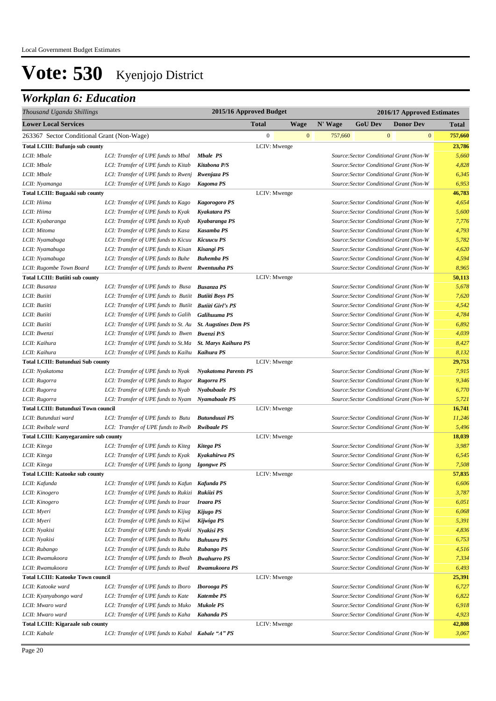## *Workplan 6: Education*

| Thousand Uganda Shillings                    |                                                        | 2015/16 Approved Budget     |                  |              | 2016/17 Approved Estimates |                                         |              |                  |         |
|----------------------------------------------|--------------------------------------------------------|-----------------------------|------------------|--------------|----------------------------|-----------------------------------------|--------------|------------------|---------|
| <b>Lower Local Services</b>                  |                                                        |                             | <b>Total</b>     | <b>Wage</b>  | N' Wage                    | <b>GoU Dev</b>                          |              | <b>Donor Dev</b> | Total   |
| 263367 Sector Conditional Grant (Non-Wage)   |                                                        |                             | $\boldsymbol{0}$ | $\mathbf{0}$ | 757,660                    |                                         | $\mathbf{0}$ | $\mathbf{0}$     | 757,660 |
| <b>Total LCIII: Bufunjo sub county</b>       |                                                        |                             | LCIV: Mwenge     |              |                            |                                         |              |                  | 23,786  |
| LCII: Mbale                                  | LCI: Transfer of UPE funds to Mbal                     | <b>Mbale PS</b>             |                  |              |                            | Source: Sector Conditional Grant (Non-W |              |                  | 5,660   |
| LCII: Mbale                                  | LCI: Transfer of UPE funds to Kitab                    | Kitabona P/S                |                  |              |                            | Source: Sector Conditional Grant (Non-W |              |                  | 4,828   |
| LCII: Mbale                                  | LCI: Transfer of UPE funds to Rwenj                    | Rwenjaza PS                 |                  |              |                            | Source: Sector Conditional Grant (Non-W |              |                  | 6,345   |
| LCII: Nyamanga                               | LCI: Transfer of UPE funds to Kago                     | <b>Kagoma PS</b>            |                  |              |                            | Source: Sector Conditional Grant (Non-W |              |                  | 6,953   |
| Total LCIII: Bugaaki sub county              |                                                        |                             | LCIV: Mwenge     |              |                            |                                         |              |                  | 46,783  |
| LCII: Hiima                                  | LCI: Transfer of UPE funds to Kago                     | <b>Kagorogoro PS</b>        |                  |              |                            | Source: Sector Conditional Grant (Non-W |              |                  | 4,654   |
| LCII: Hiima                                  | LCI: Transfer of UPE funds to Kyak                     | Kyakatara PS                |                  |              |                            | Source: Sector Conditional Grant (Non-W |              |                  | 5,600   |
| LCII: Kyabaranga                             | LCI: Transfer of UPE funds to Kyab                     | Kyabaranga PS               |                  |              |                            | Source: Sector Conditional Grant (Non-W |              |                  | 7,776   |
| LCII: Mitoma                                 | LCI: Transfer of UPE funds to Kasa                     | Kasamba PS                  |                  |              |                            | Source: Sector Conditional Grant (Non-W |              |                  | 4,793   |
| LCII: Nyamabuga                              | LCI: Transfer of UPE funds to Kicuu                    | Kicuucu PS                  |                  |              |                            | Source: Sector Conditional Grant (Non-W |              |                  | 5,782   |
| LCII: Nyamabuga                              | LCI: Transfer of UPE funds to Kisan                    | Kisangi PS                  |                  |              |                            | Source: Sector Conditional Grant (Non-W |              |                  | 4,620   |
| LCII: Nyamabuga                              | LCI: Transfer of UPE funds to Buhe                     | <b>Buhemba PS</b>           |                  |              |                            | Source: Sector Conditional Grant (Non-W |              |                  | 4,594   |
| LCII: Rugombe Town Board                     | LCI: Transfer of UPE funds to Rwent Rwentuuha PS       |                             |                  |              |                            | Source: Sector Conditional Grant (Non-W |              |                  | 8,965   |
| <b>Total LCIII: Butiiti sub county</b>       |                                                        |                             | LCIV: Mwenge     |              |                            |                                         |              |                  | 50,113  |
| LCII: Busanza                                | LCI: Transfer of UPE funds to Busa                     | <b>Busanza PS</b>           |                  |              |                            | Source: Sector Conditional Grant (Non-W |              |                  | 5,678   |
| LCII: Butiiti                                | LCI: Transfer of UPE funds to Butiit Butiiti Boys PS   |                             |                  |              |                            | Source: Sector Conditional Grant (Non-W |              |                  | 7,620   |
| LCII: Butiiti                                | LCI: Transfer of UPE funds to Butiit Butiiti Girl's PS |                             |                  |              |                            | Source: Sector Conditional Grant (Non-W |              |                  | 4,542   |
| LCII: Butiiti                                | LCI: Transfer of UPE funds to Galih                    | <b>Galihuuma PS</b>         |                  |              |                            | Source: Sector Conditional Grant (Non-W |              |                  | 4,784   |
| LCII: Butiiti                                | LCI: Transfer of UPE funds to St. Au                   | <b>St. Augstines Dem PS</b> |                  |              |                            | Source: Sector Conditional Grant (Non-W |              |                  | 6,892   |
| LCII: Bwenzi                                 | LCI: Transfer of UPE funds to Bwen Bwenzi P/S          |                             |                  |              |                            | Source: Sector Conditional Grant (Non-W |              |                  | 4,039   |
| LCII: Kaihura                                | LCI: Transfer of UPE funds to St.Ma                    | <b>St. Marys Kaihura PS</b> |                  |              |                            | Source: Sector Conditional Grant (Non-W |              |                  | 8,427   |
| LCII: Kaihura                                | LCI: Transfer of UPE funds to Kaihu                    | Kaihura PS                  |                  |              |                            | Source: Sector Conditional Grant (Non-W |              |                  | 8,132   |
| <b>Total LCIII: Butunduzi Sub county</b>     |                                                        |                             | LCIV: Mwenge     |              |                            |                                         |              |                  | 29,753  |
| LCII: Nyakatoma                              | LCI: Transfer of UPE funds to Nyak                     | <b>Nyakatoma Parents PS</b> |                  |              |                            | Source: Sector Conditional Grant (Non-W |              |                  | 7,915   |
| LCII: Rugorra                                | LCI: Transfer of UPE funds to Rugor                    | Rugorra PS                  |                  |              |                            | Source: Sector Conditional Grant (Non-W |              |                  | 9,346   |
| LCII: Rugorra                                | LCI: Transfer of UPE funds to Nyab                     | Nyabubaale PS               |                  |              |                            | Source: Sector Conditional Grant (Non-W |              |                  | 6,770   |
| LCII: Rugorra                                | LCI: Transfer of UPE funds to Nyam                     | Nyamabaale PS               |                  |              |                            | Source: Sector Conditional Grant (Non-W |              |                  | 5,721   |
| <b>Total LCIII: Butunduzi Town council</b>   |                                                        |                             | LCIV: Mwenge     |              |                            |                                         |              |                  | 16,741  |
| LCII: Butunduzi ward                         | LCI: Transfer of UPE funds to Butu                     | Butunduuzi PS               |                  |              |                            | Source: Sector Conditional Grant (Non-W |              |                  | 11,246  |
| LCII: Rwibale ward                           | LCI: Transfer of UPE funds to Rwib                     | <b>Rwibaale PS</b>          |                  |              |                            | Source: Sector Conditional Grant (Non-W |              |                  | 5,496   |
| <b>Total LCIII: Kanyegaramire sub county</b> |                                                        |                             | LCIV: Mwenge     |              |                            |                                         |              |                  | 18,039  |
| LCII: Kitega                                 | LCI: Transfer of UPE funds to Kiteg                    | Kitega PS                   |                  |              |                            | Source: Sector Conditional Grant (Non-W |              |                  | 3,987   |
| LCII: Kitega                                 | LCI: Transfer of UPE funds to Kyak                     | Kyakahirwa PS               |                  |              |                            | Source: Sector Conditional Grant (Non-W |              |                  | 6,545   |
| LCII: Kitega                                 | LCI: Transfer of UPE funds to Igong                    | <b>Igongwe PS</b>           |                  |              |                            | Source: Sector Conditional Grant (Non-W |              |                  | 7,508   |
| <b>Total LCIII: Katooke sub county</b>       |                                                        |                             | LCIV: Mwenge     |              |                            |                                         |              |                  | 57,835  |
| LCII: Kafunda                                | LCI: Transfer of UPE funds to Kafun Kafunda PS         |                             |                  |              |                            | Source:Sector Conditional Grant (Non-W  |              |                  | 6,606   |
| LCII: Kinogero                               | LCI: Transfer of UPE funds to Rukizi Rukiizi PS        |                             |                  |              |                            | Source: Sector Conditional Grant (Non-W |              |                  | 3,787   |
| LCII: Kinogero                               | LCI: Transfer of UPE funds to Iraar                    | <b>Iraara PS</b>            |                  |              |                            | Source: Sector Conditional Grant (Non-W |              |                  | 6,051   |
| LCII: Myeri                                  | LCI: Transfer of UPE funds to Kijug                    | Kijugo PS                   |                  |              |                            | Source: Sector Conditional Grant (Non-W |              |                  | 6,068   |
| LCII: Myeri                                  | LCI: Transfer of UPE funds to Kijwi                    | Kijwiga PS                  |                  |              |                            | Source: Sector Conditional Grant (Non-W |              |                  | 5,391   |
| LCII: Nyakisi                                | LCI: Transfer of UPE funds to Nyaki                    | Nyakisi PS                  |                  |              |                            | Source: Sector Conditional Grant (Non-W |              |                  | 4,836   |
| LCII: Nyakisi                                | LCI: Transfer of UPE funds to Buhu                     | <b>Buhuura PS</b>           |                  |              |                            | Source: Sector Conditional Grant (Non-W |              |                  | 6,753   |
| LCII: Rubango                                | LCI: Transfer of UPE funds to Ruba                     | Rubango PS                  |                  |              |                            | Source: Sector Conditional Grant (Non-W |              |                  | 4,516   |
| LCII: Rwamukoora                             | LCI: Transfer of UPE funds to Bwah Bwahurro PS         |                             |                  |              |                            | Source: Sector Conditional Grant (Non-W |              |                  | 7,334   |
| LCII: Rwamukoora                             | LCI: Transfer of UPE funds to Rwal                     | Rwamukoora PS               |                  |              |                            | Source: Sector Conditional Grant (Non-W |              |                  | 6,493   |
| <b>Total LCIII: Katooke Town council</b>     |                                                        |                             | LCIV: Mwenge     |              |                            |                                         |              |                  | 25,391  |
| LCII: Katooke ward                           | LCI: Transfer of UPE funds to Iboro                    | <b>Iborooga</b> PS          |                  |              |                            | Source: Sector Conditional Grant (Non-W |              |                  | 6,727   |
| LCII: Kyanyabongo ward                       | LCI: Transfer of UPE funds to Kate                     | <b>Katembe PS</b>           |                  |              |                            | Source: Sector Conditional Grant (Non-W |              |                  | 6,822   |
| LCII: Mwaro ward                             | LCI: Transfer of UPE funds to Muko                     | <b>Mukole PS</b>            |                  |              |                            | Source: Sector Conditional Grant (Non-W |              |                  | 6,918   |
| LCII: Mwaro ward                             | LCI: Transfer of UPE funds to Kaha                     | Kahanda PS                  |                  |              |                            | Source: Sector Conditional Grant (Non-W |              |                  | 4,923   |
| <b>Total LCIII: Kigaraale sub county</b>     |                                                        |                             | LCIV: Mwenge     |              |                            |                                         |              |                  | 42,808  |
| LCII: Kabale                                 | LCI: Transfer of UPE funds to Kabal Kabale "A" PS      |                             |                  |              |                            | Source: Sector Conditional Grant (Non-W |              |                  | 3,067   |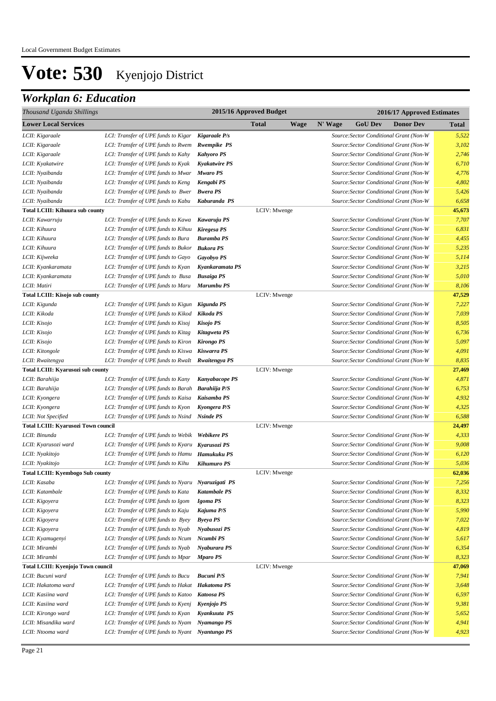## *Workplan 6: Education*

| Thousand Uganda Shillings               |                                                    |                      | 2015/16 Approved Budget | 2016/17 Approved Estimates |         |                |                                         |              |  |  |
|-----------------------------------------|----------------------------------------------------|----------------------|-------------------------|----------------------------|---------|----------------|-----------------------------------------|--------------|--|--|
| <b>Lower Local Services</b>             |                                                    |                      | <b>Total</b>            | <b>Wage</b>                | N' Wage | <b>GoU</b> Dev | <b>Donor Dev</b>                        | <b>Total</b> |  |  |
| LCII: Kigaraale                         | LCI: Transfer of UPE funds to Kigar                | Kigaraale P/s        |                         |                            |         |                | Source: Sector Conditional Grant (Non-W | 5,522        |  |  |
| LCII: Kigaraale                         | LCI: Transfer of UPE funds to Rwem                 | <b>Rwempike PS</b>   |                         |                            |         |                | Source: Sector Conditional Grant (Non-W | 3,102        |  |  |
| LCII: Kigaraale                         | LCI: Transfer of UPE funds to Kahy                 | <b>Kahyoro PS</b>    |                         |                            |         |                | Source: Sector Conditional Grant (Non-W | 2,746        |  |  |
| LCII: Kyakatwire                        | LCI: Transfer of UPE funds to Kyak                 | <b>Kyakatwire PS</b> |                         |                            |         |                | Source: Sector Conditional Grant (Non-W | 6,710        |  |  |
| LCII: Nyaibanda                         | LCI: Transfer of UPE funds to Mwar                 | <b>Mwaro PS</b>      |                         |                            |         |                | Source: Sector Conditional Grant (Non-W | 4,776        |  |  |
| LCII: Nyaibanda                         | LCI: Transfer of UPE funds to Keng                 | Kengabi PS           |                         |                            |         |                | Source: Sector Conditional Grant (Non-W | 4,802        |  |  |
| LCII: Nyaibanda                         | LCI: Transfer of UPE funds to Bwer                 | <b>Bwera PS</b>      |                         |                            |         |                | Source: Sector Conditional Grant (Non-W | 5,426        |  |  |
| LCII: Nyaibanda                         | LCI: Transfer of UPE funds to Kabu                 | Kaburanda PS         |                         |                            |         |                | Source: Sector Conditional Grant (Non-W | 6,658        |  |  |
| <b>Total LCIII: Kihuura sub county</b>  |                                                    |                      | LCIV: Mwenge            |                            |         |                |                                         | 45,673       |  |  |
| LCII: Kawarruju                         | LCI: Transfer of UPE funds to Kawa                 | Kawaruju PS          |                         |                            |         |                | Source: Sector Conditional Grant (Non-W | 7,707        |  |  |
| LCII: Kihuura                           | LCI: Transfer of UPE funds to Kihuu                | Kiregesa PS          |                         |                            |         |                | Source: Sector Conditional Grant (Non-W | 6,831        |  |  |
| LCII: Kihuura                           | LCI: Transfer of UPE funds to Bura                 | <b>Buramba PS</b>    |                         |                            |         |                | Source: Sector Conditional Grant (Non-W | 4,455        |  |  |
| LCII: Kihuura                           | LCI: Transfer of UPE funds to Bukor                | Bukora PS            |                         |                            |         |                | Source: Sector Conditional Grant (Non-W | 5,235        |  |  |
| LCII: Kijweeka                          | LCI: Transfer of UPE funds to Gayo                 | <b>Gayobyo PS</b>    |                         |                            |         |                | Source: Sector Conditional Grant (Non-W | 5,114        |  |  |
| LCII: Kyankaramata                      | LCI: Transfer of UPE funds to Kyan                 | Kyankaramata PS      |                         |                            |         |                | Source: Sector Conditional Grant (Non-W | 3,215        |  |  |
| LCII: Kyankaramata                      | LCI: Transfer of UPE funds to Busa                 | <b>Busaiga PS</b>    |                         |                            |         |                | Source: Sector Conditional Grant (Non-W | 5,010        |  |  |
| LCII: Matiri                            | LCI: Transfer of UPE funds to Maru                 | Marumbu PS           |                         |                            |         |                | Source: Sector Conditional Grant (Non-W | 8,106        |  |  |
| <b>Total LCIII: Kisojo sub county</b>   |                                                    |                      | LCIV: Mwenge            |                            |         |                |                                         | 47,529       |  |  |
| LCII: Kigunda                           | LCI: Transfer of UPE funds to Kigun Kigunda PS     |                      |                         |                            |         |                | Source: Sector Conditional Grant (Non-W | 7,227        |  |  |
| LCII: Kikoda                            | LCI: Transfer of UPE funds to Kikod Kikoda PS      |                      |                         |                            |         |                | Source: Sector Conditional Grant (Non-W | 7,039        |  |  |
| LCII: Kisojo                            | LCI: Transfer of UPE funds to Kisoj                | Kisojo PS            |                         |                            |         |                | Source: Sector Conditional Grant (Non-W | 8,505        |  |  |
| LCII: Kisojo                            | LCI: Transfer of UPE funds to Kitag                | Kitagweta PS         |                         |                            |         |                | Source: Sector Conditional Grant (Non-W | 6,736        |  |  |
| LCII: Kisojo                            | LCI: Transfer of UPE funds to Kiron                | <b>Kirongo PS</b>    |                         |                            |         |                | Source: Sector Conditional Grant (Non-W | 5,097        |  |  |
| LCII: Kitongole                         | LCI: Transfer of UPE funds to Kiswa                | Kiswarra PS          |                         |                            |         |                | Source: Sector Conditional Grant (Non-W | 4,091        |  |  |
| LCII: Rwaitengya                        | LCI: Transfer of UPE funds to RwaIt                | Rwaitengya PS        |                         |                            |         |                | Source: Sector Conditional Grant (Non-W | 8,835        |  |  |
| Total LCIII: Kyarusozi sub county       |                                                    |                      | LCIV: Mwenge            |                            |         |                |                                         | 27,469       |  |  |
| LCII: Barahiija                         | LCI: Transfer of UPE funds to Kany                 | Kanyabacope PS       |                         |                            |         |                | Source: Sector Conditional Grant (Non-W | 4,871        |  |  |
| LCII: Barahiija                         | LCI: Transfer of UPE funds to Barah Barahiija P/S  |                      |                         |                            |         |                | Source: Sector Conditional Grant (Non-W | 6,753        |  |  |
| LCII: Kyongera                          | LCI: Transfer of UPE funds to Kaisa                | Kaisamba PS          |                         |                            |         |                | Source: Sector Conditional Grant (Non-W | 4,932        |  |  |
| LCII: Kyongera                          | LCI: Transfer of UPE funds to Kyon                 | Kyongera P/S         |                         |                            |         |                | Source: Sector Conditional Grant (Non-W | 4,325        |  |  |
| LCII: Not Specified                     | LCI: Transfer of UPE funds to Nsind                | <b>Nsinde PS</b>     |                         |                            |         |                | Source: Sector Conditional Grant (Non-W | 6,588        |  |  |
| Total LCIII: Kyarusozi Town council     |                                                    |                      | LCIV: Mwenge            |                            |         |                |                                         | 24,497       |  |  |
| LCII: Binunda                           | LCI: Transfer of UPE funds to Webik Webikere PS    |                      |                         |                            |         |                | Source: Sector Conditional Grant (Non-W | 4,333        |  |  |
| LCII: Kyarusozi ward                    | LCI: Transfer of UPE funds to Kyaru Kyarusozi PS   |                      |                         |                            |         |                | Source: Sector Conditional Grant (Non-W | 9,008        |  |  |
| LCII: Nyakitojo                         | LCI: Transfer of UPE funds to Hamu Hamukuku PS     |                      |                         |                            |         |                | Source: Sector Conditional Grant (Non-W | 6,120        |  |  |
| LCII: Nyakitojo                         | LCI: Transfer of UPE funds to Kihu                 | <b>Kihumuro PS</b>   |                         |                            |         |                | Source: Sector Conditional Grant (Non-W | 5,036        |  |  |
| <b>Total LCIII: Kyembogo Sub county</b> |                                                    |                      | LCIV: Mwenge            |                            |         |                |                                         | 62,036       |  |  |
| LCII: Kasaba                            | LCI: Transfer of UPE funds to Nyaru Nyaruzigati PS |                      |                         |                            |         |                | Source: Sector Conditional Grant (Non-W | 7,256        |  |  |
| LCII: Katambale                         | LCI: Transfer of UPE funds to Kata                 | <b>Katambale PS</b>  |                         |                            |         |                | Source: Sector Conditional Grant (Non-W | 8,332        |  |  |
| LCII: Kigoyera                          | LCI: Transfer of UPE funds to Igom                 | Igoma PS             |                         |                            |         |                | Source: Sector Conditional Grant (Non-W | 8,323        |  |  |
| LCII: Kigoyera                          | LCI: Transfer of UPE funds to Kaju                 | Kajuma P/S           |                         |                            |         |                | Source: Sector Conditional Grant (Non-W | 5,990        |  |  |
| LCII: Kigoyera                          | LCI: Transfer of UPE funds to Byey                 | <b>Byeya PS</b>      |                         |                            |         |                | Source: Sector Conditional Grant (Non-W | 7,022        |  |  |
| LCII: Kigoyera                          | LCI: Transfer of UPE funds to Nyab                 | Nyabusozi PS         |                         |                            |         |                | Source: Sector Conditional Grant (Non-W | 4,819        |  |  |
| LCII: Kyamugenyi                        | LCI: Transfer of UPE funds to Ncum                 | Ncumbi PS            |                         |                            |         |                | Source: Sector Conditional Grant (Non-W | 5,617        |  |  |
| LCII: Mirambi                           | LCI: Transfer of UPE funds to Nyab                 | Nyaburara PS         |                         |                            |         |                | Source: Sector Conditional Grant (Non-W | 6,354        |  |  |
| LCII: Mirambi                           | LCI: Transfer of UPE funds to Mpar                 | <b>Mparo PS</b>      |                         |                            |         |                | Source: Sector Conditional Grant (Non-W | 8,323        |  |  |
| Total LCIII: Kyenjojo Town council      |                                                    |                      | LCIV: Mwenge            |                            |         |                |                                         | 47,069       |  |  |
| LCII: Bucuni ward                       | LCI: Transfer of UPE funds to Bucu                 | <b>Bucuni</b> P/S    |                         |                            |         |                | Source: Sector Conditional Grant (Non-W | 7,941        |  |  |
| LCII: Hakatoma ward                     | LCI: Transfer of UPE funds to Hakat                | <b>Hakatoma PS</b>   |                         |                            |         |                | Source: Sector Conditional Grant (Non-W | 3,648        |  |  |
| LCII: Kasiina ward                      | LCI: Transfer of UPE funds to Katoo                | <b>Katoosa PS</b>    |                         |                            |         |                | Source: Sector Conditional Grant (Non-W | 6,597        |  |  |
| LCII: Kasiina ward                      | LCI: Transfer of UPE funds to Kyenj                | Kyenjojo PS          |                         |                            |         |                | Source: Sector Conditional Grant (Non-W | 9,381        |  |  |
| LCII: Kirongo ward                      | LCI: Transfer of UPE funds to Kyan                 | Kyankuuta PS         |                         |                            |         |                | Source: Sector Conditional Grant (Non-W | 5,652        |  |  |
| LCII: Misandika ward                    | LCI: Transfer of UPE funds to Nyam                 | Nyamango PS          |                         |                            |         |                | Source: Sector Conditional Grant (Non-W | 4,941        |  |  |
| LCII: Ntooma ward                       | LCI: Transfer of UPE funds to Nyant                | Nyantungo PS         |                         |                            |         |                | Source: Sector Conditional Grant (Non-W | 4,923        |  |  |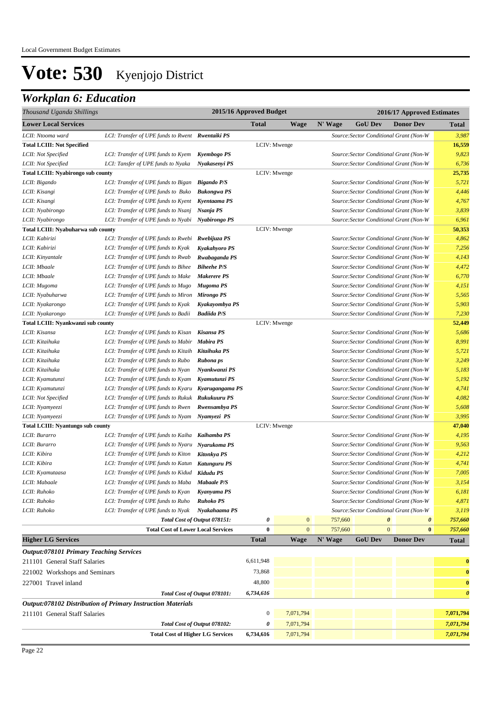## *Workplan 6: Education*

| Thousand Uganda Shillings                      |                                                             | 2015/16 Approved Budget      |                  |              |         | 2016/17 Approved Estimates |                                                |                       |
|------------------------------------------------|-------------------------------------------------------------|------------------------------|------------------|--------------|---------|----------------------------|------------------------------------------------|-----------------------|
| <b>Lower Local Services</b>                    |                                                             |                              | <b>Total</b>     | Wage         | N' Wage | <b>GoU Dev</b>             | <b>Donor Dev</b>                               | <b>Total</b>          |
| LCII: Ntooma ward                              | LCI: Transfer of UPE funds to Rwent Rwentaiki PS            |                              |                  |              |         |                            | Source: Sector Conditional Grant (Non-W        | 3,987                 |
| <b>Total LCIII: Not Specified</b>              |                                                             |                              |                  | LCIV: Mwenge |         |                            |                                                | 16,559                |
| LCII: Not Specified                            | LCI: Transfer of UPE funds to Kyem                          | Kyembogo PS                  |                  |              |         |                            | Source: Sector Conditional Grant (Non-W        | 9,823                 |
| LCII: Not Specified                            | LCI: Tansfer of UPE funds to Nyaka                          | Nyakasenyi PS                |                  |              |         |                            | Source: Sector Conditional Grant (Non-W        | 6,736                 |
| <b>Total LCIII: Nyabirongo sub county</b>      |                                                             |                              |                  | LCIV: Mwenge |         |                            |                                                | 25,735                |
| LCII: Bigando                                  | LCI: Transfer of UPE funds to Bigan Bigando P/S             |                              |                  |              |         |                            | Source: Sector Conditional Grant (Non-W        | 5,721                 |
| LCII: Kisangi                                  | LCI: Transfer of UPE funds to Buko                          | <b>Bukongwa PS</b>           |                  |              |         |                            | Source: Sector Conditional Grant (Non-W        | 4,446                 |
| LCII: Kisangi                                  | LCI: Transfer of UPE funds to Kyent                         | Kyentaama PS                 |                  |              |         |                            | Source: Sector Conditional Grant (Non-W        | 4,767                 |
| LCII: Nyabirongo                               | LCI: Transfer of UPE funds to Nsanj                         | Nsanja PS                    |                  |              |         |                            | Source: Sector Conditional Grant (Non-W        | 3,839                 |
| LCII: Nyabirongo                               | LCI: Transfer of UPE funds to Nyabi                         | Nyabirongo PS                |                  |              |         |                            | Source: Sector Conditional Grant (Non-W        | 6,961                 |
| Total LCIII: Nyabuharwa sub county             |                                                             |                              |                  | LCIV: Mwenge |         |                            |                                                | 50,353                |
| LCII: Kabirizi                                 | LCI: Transfer of UPE funds to Rwebi Rwebijuza PS            |                              |                  |              |         |                            | Source: Sector Conditional Grant (Non-W        | 4,862                 |
| LCII: Kabirizi                                 | LCI: Transfer of UPE funds to Kyak                          | <b>Kyakahyoro PS</b>         |                  |              |         |                            | Source: Sector Conditional Grant (Non-W        | 7,256                 |
| LCII: Kinyantale                               | LCI: Transfer of UPE funds to Rwab                          | Rwabaganda PS                |                  |              |         |                            | Source: Sector Conditional Grant (Non-W        | 4,143                 |
| LCII: Mbaale                                   | LCI: Transfer of UPE funds to Bihee                         | <b>Biheehe P/S</b>           |                  |              |         |                            | Source: Sector Conditional Grant (Non-W        | 4,472                 |
| LCII: Mbaale                                   | LCI: Transfer of UPE funds to Make                          | <b>Makerere PS</b>           |                  |              |         |                            | Source: Sector Conditional Grant (Non-W        | 6,770                 |
| LCII: Mugoma                                   | LCI: Transfer of UPE funds to Mugo                          | Mugoma PS                    |                  |              |         |                            | Source: Sector Conditional Grant (Non-W        | 4,151                 |
| LCII: Nyabuharwa                               | LCI: Transfer of UPE funds to Miron                         | Mirongo PS                   |                  |              |         |                            | Source: Sector Conditional Grant (Non-W        | 5,565                 |
| LCII: Nyakarongo                               | LCI: Transfer of UPE funds to Kyak                          | Kyakayombya PS               |                  |              |         |                            | Source: Sector Conditional Grant (Non-W        | 5,903                 |
| LCII: Nyakarongo                               | LCI: Transfer of UPE funds to Badii                         | <b>Badiida P/S</b>           |                  |              |         |                            | Source: Sector Conditional Grant (Non-W        | 7,230                 |
| Total LCIII: Nyankwanzi sub county             |                                                             |                              |                  | LCIV: Mwenge |         |                            |                                                | 52,449                |
| LCII: Kisansa                                  | LCI: Transfer of UPE funds to Kisan Kisansa PS              |                              |                  |              |         |                            | Source: Sector Conditional Grant (Non-W        | 5,686                 |
| LCII: Kitaihuka                                | LCI: Transfer of UPE funds to Mabir Mabira PS               |                              |                  |              |         |                            | Source: Sector Conditional Grant (Non-W        | 8,991                 |
| LCII: Kitaihuka                                | LCI: Transfer of UPE funds to Kitaih Kitaihuka PS           |                              |                  |              |         |                            | Source: Sector Conditional Grant (Non-W        | 5,721                 |
| LCII: Kitaihuka                                | LCI: Transfer of UPE funds to Rubo                          | Rubona ps                    |                  |              |         |                            | Source: Sector Conditional Grant (Non-W        | 3,249                 |
| LCII: Kitaihuka                                | LCI: Transfer of UPE funds to Nyan                          | Nyankwanzi PS                |                  |              |         |                            | Source: Sector Conditional Grant (Non-W        | 5,183                 |
| LCII: Kyamutunzi                               | LCI: Transfer of UPE funds to Kyam                          | Kyamutunzi PS                |                  |              |         |                            | Source: Sector Conditional Grant (Non-W        | 5,192                 |
| LCII: Kyamutunzi                               | LCI: Transfer of UPE funds to Kyaru                         | Kyarugangama PS              |                  |              |         |                            | Source: Sector Conditional Grant (Non-W        | 4,741                 |
| LCII: Not Specified                            | LCI: Transfer of UPE funds to Rukuk Rukukuuru PS            |                              |                  |              |         |                            | Source: Sector Conditional Grant (Non-W        | 4,082                 |
| LCII: Nyamyeezi                                | LCI: Transfer of UPE funds to Rwen                          | Rwensambya PS                |                  |              |         |                            | Source: Sector Conditional Grant (Non-W        | 5,608                 |
| LCII: Nyamyeezi                                | LCI: Transfer of UPE funds to Nyam                          | Nyamyezi PS                  |                  |              |         |                            | Source: Sector Conditional Grant (Non-W        | 3,995                 |
| <b>Total LCIII: Nyantungo sub county</b>       |                                                             |                              |                  | LCIV: Mwenge |         |                            |                                                | 47,040                |
| LCII: Burarro                                  | LCI: Transfer of UPE funds to Kaiha Kaihamba PS             |                              |                  |              |         |                            | Source: Sector Conditional Grant (Non-W        | 4,195                 |
| LCII: Burarro                                  | LCI: Transfer of UPE funds to Nyaru Nyarukoma PS            |                              |                  |              |         |                            | Source: Sector Conditional Grant (Non-W        | 9,563                 |
| LCII: Kibira                                   | LCI: Transfer of UPE funds to Kiton                         | <b>Kitonkya PS</b>           |                  |              |         |                            | Source: Sector Conditional Grant (Non-W        | 4,212                 |
| LCII: Kibira                                   | LCI: Transfer of UPE funds to Katun Katunguru PS            |                              |                  |              |         |                            | Source: Sector Conditional Grant (Non-W        | 4,741                 |
| LCII: Kyamutaasa                               | LCI: Transfer of UPE funds to Kidud Kidudu PS               |                              |                  |              |         |                            | Source: Sector Conditional Grant (Non-W        | 7,005                 |
| LCII: Mabaale                                  | LCI: Transfer of UPE funds to Maba                          | <b>Mabaale P/S</b>           |                  |              |         |                            | Source: Sector Conditional Grant (Non-W        | 3,154                 |
| LCII: Ruhoko                                   | LCI: Transfer of UPE funds to Kyan                          | Kyanyama PS                  |                  |              |         |                            | Source: Sector Conditional Grant (Non-W        | 6,181                 |
| LCII: Ruhoko                                   | LCI: Transfer of UPE funds to Ruho                          | <b>Ruhoko PS</b>             |                  |              |         |                            | Source: Sector Conditional Grant (Non-W        | 4,871                 |
| LCII: Ruhoko                                   | LCI: Transfer of UPE funds to Nyak                          | Nyakahaama PS                |                  |              |         |                            | Source: Sector Conditional Grant (Non-W        | 3,119                 |
|                                                |                                                             | Total Cost of Output 078151: | 0                | $\mathbf{0}$ | 757,660 |                            | $\boldsymbol{\theta}$<br>$\boldsymbol{\theta}$ | 757,660               |
|                                                | <b>Total Cost of Lower Local Services</b>                   |                              | $\bf{0}$         | $\mathbf{0}$ | 757,660 |                            | $\overline{0}$<br>$\bf{0}$                     | 757,660               |
| <b>Higher LG Services</b>                      |                                                             |                              | Total            | <b>Wage</b>  | N' Wage | <b>GoU Dev</b>             | <b>Donor Dev</b>                               | <b>Total</b>          |
| <b>Output:078101 Primary Teaching Services</b> |                                                             |                              |                  |              |         |                            |                                                |                       |
| 211101 General Staff Salaries                  |                                                             |                              | 6,611,948        |              |         |                            |                                                | $\bf{0}$              |
| 221002 Workshops and Seminars                  |                                                             |                              | 73,868           |              |         |                            |                                                | $\bf{0}$              |
| 227001 Travel inland                           |                                                             |                              | 48,800           |              |         |                            |                                                | $\bf{0}$              |
|                                                |                                                             | Total Cost of Output 078101: | 6,734,616        |              |         |                            |                                                | $\boldsymbol{\theta}$ |
|                                                | Output:078102 Distribution of Primary Instruction Materials |                              |                  |              |         |                            |                                                |                       |
| 211101 General Staff Salaries                  |                                                             |                              | $\boldsymbol{0}$ | 7,071,794    |         |                            |                                                | 7,071,794             |
|                                                |                                                             | Total Cost of Output 078102: | 0                | 7,071,794    |         |                            |                                                | 7,071,794             |
|                                                | <b>Total Cost of Higher LG Services</b>                     |                              | 6,734,616        | 7,071,794    |         |                            |                                                | 7,071,794             |
|                                                |                                                             |                              |                  |              |         |                            |                                                |                       |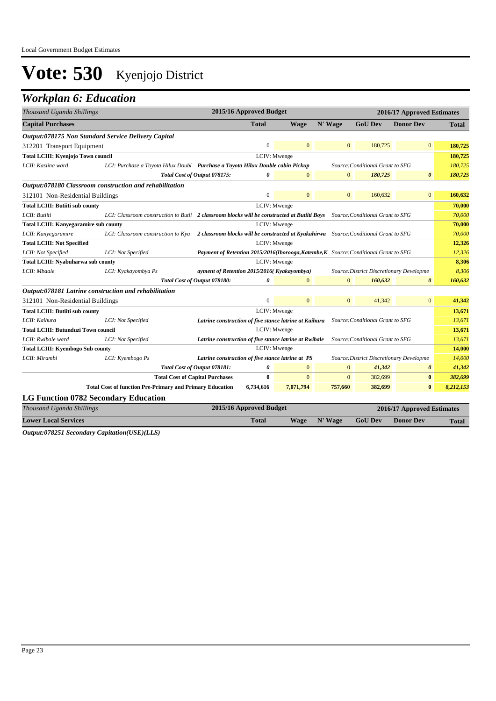## *Workplan 6: Education*

| Thousand Uganda Shillings                                  |                                                                                                                              | 2015/16 Approved Budget                                                               |                |              |                                  | 2016/17 Approved Estimates               |              |
|------------------------------------------------------------|------------------------------------------------------------------------------------------------------------------------------|---------------------------------------------------------------------------------------|----------------|--------------|----------------------------------|------------------------------------------|--------------|
| <b>Capital Purchases</b>                                   |                                                                                                                              | <b>Total</b>                                                                          | <b>Wage</b>    | N' Wage      | <b>GoU Dev</b>                   | <b>Donor Dev</b>                         | <b>Total</b> |
| <b>Output:078175 Non Standard Service Delivery Capital</b> |                                                                                                                              |                                                                                       |                |              |                                  |                                          |              |
| 312201 Transport Equipment                                 |                                                                                                                              | $\Omega$                                                                              | $\Omega$       | $\mathbf{0}$ | 180,725                          | $\overline{0}$                           | 180,725      |
| Total LCIII: Kyenjojo Town council                         |                                                                                                                              |                                                                                       | LCIV: Mwenge   |              |                                  |                                          | 180,725      |
| LCII: Kasiina ward                                         | LCI: Purchase a Toyota Hilux Doubl Purchase a Toyota Hilux Double cabin Pickup                                               |                                                                                       |                |              | Source: Conditional Grant to SFG |                                          | 180,725      |
|                                                            |                                                                                                                              | Total Cost of Output 078175:<br>0                                                     | $\mathbf{0}$   | $\mathbf{0}$ | 180,725                          | $\boldsymbol{\theta}$                    | 180,725      |
|                                                            | Output:078180 Classroom construction and rehabilitation                                                                      |                                                                                       |                |              |                                  |                                          |              |
| 312101 Non-Residential Buildings                           |                                                                                                                              | $\overline{0}$                                                                        | $\mathbf{0}$   | $\mathbf{0}$ | 160,632                          | $\overline{0}$                           | 160,632      |
| <b>Total LCIII: Butiiti sub county</b>                     |                                                                                                                              |                                                                                       | LCIV: Mwenge   |              |                                  |                                          | 70,000       |
| LCII: Butiiti                                              | LCI: Classroom construction to Butii 2 classroom blocks will be constructed at Butiiti Boys Source: Conditional Grant to SFG |                                                                                       |                |              |                                  |                                          | 70,000       |
| <b>Total LCIII: Kanyegaramire sub county</b>               |                                                                                                                              |                                                                                       | LCIV: Mwenge   |              |                                  |                                          | 70,000       |
| LCII: Kanyegaramire                                        | LCI: Classroom construction to Kya                                                                                           | 2 classroom blocks will be constructed at Kyakahirwa Source: Conditional Grant to SFG |                |              |                                  |                                          | 70,000       |
| <b>Total LCIII: Not Specified</b>                          |                                                                                                                              |                                                                                       | LCIV: Mwenge   |              |                                  |                                          | 12,326       |
| LCII: Not Specified                                        | LCI: Not Specified                                                                                                           | Payment of Retention 2015/2016(Iborooga, Katembe, K Source: Conditional Grant to SFG  |                |              |                                  |                                          | 12,326       |
| <b>Total LCIII: Nyabuharwa sub county</b>                  |                                                                                                                              |                                                                                       | LCIV: Mwenge   |              |                                  |                                          | 8,306        |
| LCII: Mbaale                                               | LCI: Kyakayombya Ps                                                                                                          | ayment of Retention 2015/2016(Kyakayombya)                                            |                |              |                                  | Source: District Discretionary Developme | 8,306        |
|                                                            |                                                                                                                              | 0<br>Total Cost of Output 078180:                                                     | $\Omega$       | $\Omega$     | 160,632                          | $\boldsymbol{\theta}$                    | 160,632      |
| Output:078181 Latrine construction and rehabilitation      |                                                                                                                              |                                                                                       |                |              |                                  |                                          |              |
| 312101 Non-Residential Buildings                           |                                                                                                                              | $\overline{0}$                                                                        | $\mathbf{0}$   | $\mathbf{0}$ | 41,342                           | $\overline{0}$                           | 41,342       |
| <b>Total LCIII: Butiiti sub county</b>                     |                                                                                                                              |                                                                                       | LCIV: Mwenge   |              |                                  |                                          | 13,671       |
| LCII: Kaihura                                              | LCI: Not Specified                                                                                                           | Latrine construction of five stance latrine at Kaihura                                |                |              | Source: Conditional Grant to SFG |                                          | 13,671       |
| <b>Total LCIII: Butunduzi Town council</b>                 |                                                                                                                              |                                                                                       | LCIV: Mwenge   |              |                                  |                                          | 13,671       |
| LCII: Rwibale ward                                         | LCI: Not Specified                                                                                                           | Latrine construction of five stance latrine at Rwibale                                |                |              | Source: Conditional Grant to SFG |                                          | 13,671       |
| <b>Total LCIII: Kyembogo Sub county</b>                    |                                                                                                                              |                                                                                       | LCIV: Mwenge   |              |                                  |                                          | 14,000       |
| LCII: Mirambi                                              | LCI: Kyembogo Ps                                                                                                             | Latrine construction of five stance latrine at PS                                     |                |              |                                  | Source: District Discretionary Developme | 14,000       |
|                                                            |                                                                                                                              | Total Cost of Output 078181:<br>0                                                     | $\overline{0}$ | $\mathbf{0}$ | 41,342                           | $\boldsymbol{\theta}$                    | 41,342       |
|                                                            | <b>Total Cost of Capital Purchases</b>                                                                                       | $\bf{0}$                                                                              | $\mathbf{0}$   | $\Omega$     | 382,699                          | $\bf{0}$                                 | 382,699      |
|                                                            | <b>Total Cost of function Pre-Primary and Primary Education</b>                                                              | 6,734,616                                                                             | 7,071,794      | 757,660      | 382,699                          | $\bf{0}$                                 | 8,212,153    |
| <b>LG Function 0782 Secondary Education</b>                |                                                                                                                              |                                                                                       |                |              |                                  |                                          |              |
| Thousand Uganda Shillings                                  |                                                                                                                              | 2015/16 Approved Budget                                                               |                |              |                                  | 2016/17 Approved Estimates               |              |
| <b>Lower Local Services</b>                                |                                                                                                                              | <b>Total</b>                                                                          | <b>Wage</b>    | N' Wage      | <b>GoU Dev</b>                   | <b>Donor Dev</b>                         | Total        |

*Output:078251 Secondary Capitation(USE)(LLS)*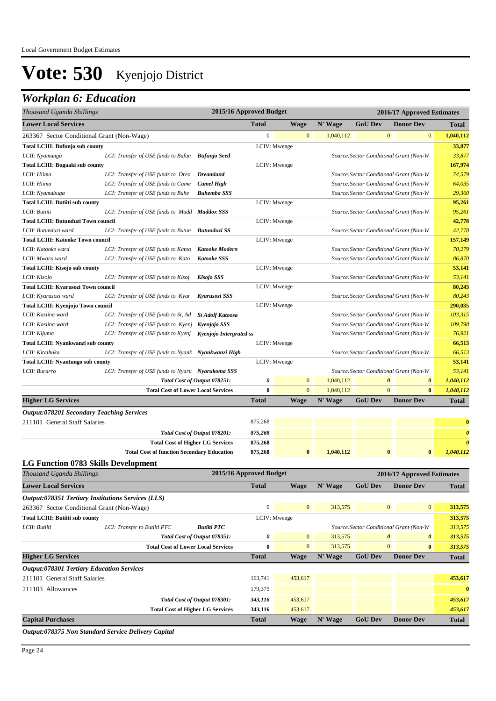## *Workplan 6: Education*

| Thousand Uganda Shillings                          |                                                     | 2015/16 Approved Budget        |                  |                |           |                | 2016/17 Approved Estimates              |                       |
|----------------------------------------------------|-----------------------------------------------------|--------------------------------|------------------|----------------|-----------|----------------|-----------------------------------------|-----------------------|
| <b>Lower Local Services</b>                        |                                                     |                                | <b>Total</b>     | <b>Wage</b>    | N' Wage   | <b>GoU Dev</b> | <b>Donor Dev</b>                        | <b>Total</b>          |
| 263367 Sector Conditional Grant (Non-Wage)         |                                                     |                                | $\boldsymbol{0}$ | $\mathbf{0}$   | 1,040,112 |                | $\mathbf{0}$<br>$\boldsymbol{0}$        | 1,040,112             |
| Total LCIII: Bufunjo sub county                    |                                                     |                                |                  | LCIV: Mwenge   |           |                |                                         | 33,877                |
| LCII: Nyamanga                                     | LCI: Transfer of USE funds to Bufun Bufunjo Seed    |                                |                  |                |           |                | Source: Sector Conditional Grant (Non-W | 33,877                |
| <b>Total LCIII: Bugaaki sub county</b>             |                                                     |                                |                  | LCIV: Mwenge   |           |                |                                         | 167,974               |
| LCII: Hiima                                        | LCI: Transfer of USE funds to Drea                  | <b>Dreamland</b>               |                  |                |           |                | Source: Sector Conditional Grant (Non-W | 74,579                |
| LCII: Hiima                                        | LCI: Transfer of USE funds to Came                  | <b>Camel High</b>              |                  |                |           |                | Source: Sector Conditional Grant (Non-W | 64,035                |
| LCII: Nyamabuga                                    | LCI: Transfer of USE funds to Buhe                  | <b>Buhemba SSS</b>             |                  |                |           |                | Source: Sector Conditional Grant (Non-W | 29,360                |
| <b>Total LCIII: Butiiti sub county</b>             |                                                     |                                |                  | LCIV: Mwenge   |           |                |                                         | 95,261                |
| LCII: Butiiti                                      | LCI: Transfer of USE funds to Madd Maddox SSS       |                                |                  |                |           |                | Source: Sector Conditional Grant (Non-W | 95,261                |
| <b>Total LCIII: Butunduzi Town council</b>         |                                                     |                                |                  | LCIV: Mwenge   |           |                |                                         | 42,778                |
| LCII: Butunduzi ward                               | LCI: Transfer of USE funds to Butun Butunduzi SS    |                                |                  |                |           |                | Source: Sector Conditional Grant (Non-W | 42,778                |
| <b>Total LCIII: Katooke Town council</b>           |                                                     |                                |                  | LCIV: Mwenge   |           |                |                                         | 157,149               |
| LCII: Katooke ward                                 | LCI: Transfer of USE funds to Katoo                 | <b>Katooke Modern</b>          |                  |                |           |                | Source: Sector Conditional Grant (Non-W | 70,279                |
| LCII: Mwaro ward                                   | LCI: Transfer of USE funds to Kato                  | <b>Katooke SSS</b>             |                  |                |           |                | Source: Sector Conditional Grant (Non-W | 86,870                |
| Total LCIII: Kisojo sub county                     |                                                     |                                |                  | LCIV: Mwenge   |           |                |                                         | 53,141                |
| LCII: Kisojo                                       | LCI: Transfer of USE funds to Kisoj                 | <b>Kisojo SSS</b>              |                  |                |           |                | Source: Sector Conditional Grant (Non-W | 53,141                |
| <b>Total LCIII: Kyarusozi Town council</b>         |                                                     |                                |                  | LCIV: Mwenge   |           |                |                                         | 80,243                |
| LCII: Kyarusozi ward                               | LCI: Transfer of USE funds to Kyar                  | Kyarusozi SSS                  |                  |                |           |                | Source: Sector Conditional Grant (Non-W | 80,243                |
| Total LCIII: Kyenjojo Town council                 |                                                     |                                |                  | LCIV: Mwenge   |           |                |                                         | 290,035               |
| LCII: Kasiina ward                                 | LCI: Transfer of USE funds to St, Ad                | <b>St Adolf Katoosa</b>        |                  |                |           |                | Source: Sector Conditional Grant (Non-W | 103,315               |
| LCII: Kasiina ward                                 | LCI: Transfer of USE funds to Kyenj Kyenjojo SSS    |                                |                  |                |           |                | Source: Sector Conditional Grant (Non-W | 109,798               |
| LCII: Kijuma                                       | LCI: Transfer of USE funds to Kyenj                 | <b>Kyenjojo Intergrated ss</b> |                  |                |           |                | Source: Sector Conditional Grant (Non-W | 76,921                |
| Total LCIII: Nyankwanzi sub county                 |                                                     |                                |                  | LCIV: Mwenge   |           |                |                                         | 66,513                |
| LCII: Kitaihuka                                    | LCI: Transfer of USE funds to Nyank Nyankwanzi High |                                |                  |                |           |                | Source: Sector Conditional Grant (Non-W | 66,513                |
| <b>Total LCIII: Nyantungo sub county</b>           |                                                     |                                |                  | LCIV: Mwenge   |           |                |                                         | 53,141                |
| LCII: Burarro                                      | LCI: Transfer of USE funds to Nyaru Nyarukoma SSS   |                                |                  |                |           |                | Source: Sector Conditional Grant (Non-W | 53,141                |
|                                                    |                                                     | Total Cost of Output 078251:   | 0                | $\mathbf{0}$   | 1,040,112 |                | $\boldsymbol{\theta}$<br>0              | 1,040,112             |
|                                                    | <b>Total Cost of Lower Local Services</b>           |                                | $\bf{0}$         | $\mathbf{0}$   | 1,040,112 |                | $\mathbf{0}$<br>$\bf{0}$                | 1,040,112             |
| <b>Higher LG Services</b>                          |                                                     |                                | <b>Total</b>     | Wage           | N' Wage   | <b>GoU Dev</b> | <b>Donor Dev</b>                        | <b>Total</b>          |
| <b>Output:078201 Secondary Teaching Services</b>   |                                                     |                                |                  |                |           |                |                                         |                       |
| 211101 General Staff Salaries                      |                                                     |                                | 875,268          |                |           |                |                                         | $\bf{0}$              |
|                                                    |                                                     | Total Cost of Output 078201:   | 875,268          |                |           |                |                                         | $\boldsymbol{\theta}$ |
|                                                    | <b>Total Cost of Higher LG Services</b>             |                                | 875,268          |                |           |                |                                         | $\boldsymbol{\theta}$ |
|                                                    | <b>Total Cost of function Secondary Education</b>   |                                | 875,268          | $\bf{0}$       | 1,040,112 |                | $\bf{0}$<br>$\bf{0}$                    | 1,040,112             |
| <b>LG Function 0783 Skills Development</b>         |                                                     |                                |                  |                |           |                |                                         |                       |
| Thousand Uganda Shillings                          |                                                     | 2015/16 Approved Budget        |                  |                |           |                | 2016/17 Approved Estimates              |                       |
| <b>Lower Local Services</b>                        |                                                     |                                | <b>Total</b>     | <b>Wage</b>    | N' Wage   | <b>GoU Dev</b> | <b>Donor Dev</b>                        | <b>Total</b>          |
| Output:078351 Tertiary Institutions Services (LLS) |                                                     |                                |                  |                |           |                |                                         |                       |
| 263367 Sector Conditional Grant (Non-Wage)         |                                                     |                                | $\boldsymbol{0}$ | $\mathbf{0}$   | 313,575   |                | $\mathbf{0}$<br>$\mathbf{0}$            | 313,575               |
| <b>Total LCIII: Butiiti sub county</b>             |                                                     |                                |                  | LCIV: Mwenge   |           |                |                                         | 313,575               |
| LCII: Butiiti                                      | LCI: Transfer to Butiiti PTC                        | <b>Butiiti PTC</b>             |                  |                |           |                | Source: Sector Conditional Grant (Non-W | 313,575               |
|                                                    |                                                     | Total Cost of Output 078351:   | 0                | $\mathbf{0}$   | 313,575   |                | $\boldsymbol{\theta}$<br>0              | 313,575               |
|                                                    | <b>Total Cost of Lower Local Services</b>           |                                | 0                | $\overline{0}$ | 313,575   |                | $\mathbf{0}$<br>$\bf{0}$                | 313,575               |
| <b>Higher LG Services</b>                          |                                                     |                                | <b>Total</b>     | <b>Wage</b>    | N' Wage   | <b>GoU Dev</b> | <b>Donor Dev</b>                        | <b>Total</b>          |
| <b>Output:078301 Tertiary Education Services</b>   |                                                     |                                |                  |                |           |                |                                         |                       |
| 211101 General Staff Salaries                      |                                                     |                                | 163,741          | 453,617        |           |                |                                         | 453,617               |
|                                                    |                                                     |                                |                  |                |           |                |                                         |                       |
| 211103 Allowances                                  |                                                     |                                | 179,375          |                |           |                |                                         | $\bf{0}$              |
|                                                    |                                                     | Total Cost of Output 078301:   | 343,116          | 453,617        |           |                |                                         | 453,617               |
|                                                    | <b>Total Cost of Higher LG Services</b>             |                                | 343,116          | 453,617        |           |                |                                         | 453,617               |
| <b>Capital Purchases</b>                           |                                                     |                                | <b>Total</b>     | <b>Wage</b>    | N' Wage   | <b>GoU Dev</b> | <b>Donor Dev</b>                        | Total                 |

*Output:078375 Non Standard Service Delivery Capital*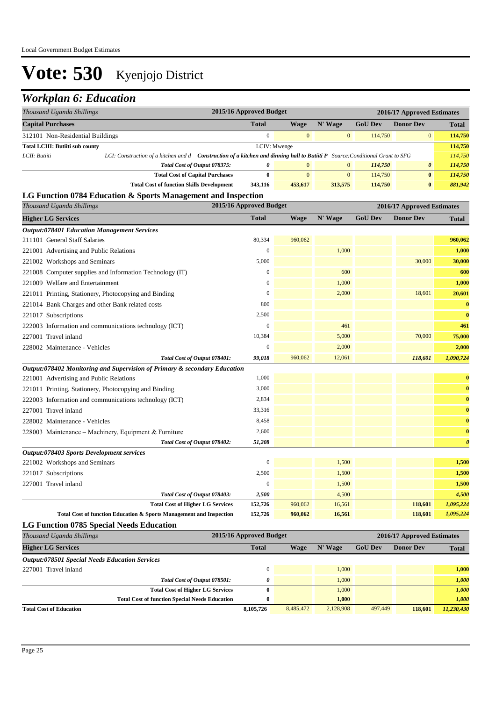## *Workplan 6: Education*

| Thousand Uganda Shillings              |                                                                                                                                      | 2015/16 Approved Budget<br>2016/17 Approved Estimates |                |                |                |                  |              |
|----------------------------------------|--------------------------------------------------------------------------------------------------------------------------------------|-------------------------------------------------------|----------------|----------------|----------------|------------------|--------------|
| <b>Capital Purchases</b>               |                                                                                                                                      | <b>Total</b>                                          | Wage           | $N'$ Wage      | <b>GoU Dev</b> | <b>Donor Dev</b> | <b>Total</b> |
|                                        | $\overline{0}$<br>114,750<br>$\mathbf{0}$<br>312101 Non-Residential Buildings<br>$\overline{0}$                                      |                                                       |                |                |                |                  | 114,750      |
| <b>Total LCIII: Butiiti sub county</b> |                                                                                                                                      | LCIV: Mwenge                                          |                |                |                |                  |              |
| LCII: Butiiti                          | LCI: Construction of a kitchen and d <b>Construction of a kitchen and dinning hall to Butiiti P</b> Source: Conditional Grant to SFG |                                                       |                |                |                |                  | 114,750      |
|                                        | Total Cost of Output 078375:                                                                                                         | $\theta$                                              | $\overline{0}$ | $\overline{0}$ | 114,750        | 0                | 114,750      |
|                                        | <b>Total Cost of Capital Purchases</b>                                                                                               |                                                       | $\Omega$       | $\overline{0}$ | 114,750        | $\bf{0}$         | 114,750      |
|                                        | <b>Total Cost of function Skills Development</b>                                                                                     | 343,116                                               | 453,617        | 313,575        | 114,750        | $\bf{0}$         | 881,942      |

#### **LG Function 0784 Education & Sports Management and Inspection**

| Thousand Uganda Shillings                                                 | 2015/16 Approved Budget |         |         |                | 2016/17 Approved Estimates |                       |
|---------------------------------------------------------------------------|-------------------------|---------|---------|----------------|----------------------------|-----------------------|
| <b>Higher LG Services</b>                                                 | <b>Total</b>            | Wage    | N' Wage | <b>GoU Dev</b> | <b>Donor Dev</b>           | <b>Total</b>          |
| <b>Output:078401 Education Management Services</b>                        |                         |         |         |                |                            |                       |
| 211101 General Staff Salaries                                             | 80,334                  | 960,062 |         |                |                            | 960,062               |
| 221001 Advertising and Public Relations                                   | $\boldsymbol{0}$        |         | 1,000   |                |                            | 1,000                 |
| 221002 Workshops and Seminars                                             | 5,000                   |         |         |                | 30,000                     | 30,000                |
| 221008 Computer supplies and Information Technology (IT)                  | $\mathbf{0}$            |         | 600     |                |                            | 600                   |
| 221009 Welfare and Entertainment                                          | $\mathbf{0}$            |         | 1,000   |                |                            | 1,000                 |
| 221011 Printing, Stationery, Photocopying and Binding                     | $\theta$                |         | 2,000   |                | 18,601                     | 20,601                |
| 221014 Bank Charges and other Bank related costs                          | 800                     |         |         |                |                            | $\bf{0}$              |
| 221017 Subscriptions                                                      | 2,500                   |         |         |                |                            | $\bf{0}$              |
| 222003 Information and communications technology (ICT)                    | $\boldsymbol{0}$        |         | 461     |                |                            | 461                   |
| 227001 Travel inland                                                      | 10,384                  |         | 5,000   |                | 70,000                     | 75,000                |
| 228002 Maintenance - Vehicles                                             | $\overline{0}$          |         | 2,000   |                |                            | 2,000                 |
| Total Cost of Output 078401:                                              | 99,018                  | 960,062 | 12,061  |                | 118,601                    | 1,090,724             |
| Output:078402 Monitoring and Supervision of Primary & secondary Education |                         |         |         |                |                            |                       |
| 221001 Advertising and Public Relations                                   | 1,000                   |         |         |                |                            | $\bf{0}$              |
| 221011 Printing, Stationery, Photocopying and Binding                     | 3,000                   |         |         |                |                            | $\bf{0}$              |
| 222003 Information and communications technology (ICT)                    | 2,834                   |         |         |                |                            | $\bf{0}$              |
| 227001 Travel inland                                                      | 33,316                  |         |         |                |                            | $\bf{0}$              |
| 228002 Maintenance - Vehicles                                             | 8,458                   |         |         |                |                            | $\bf{0}$              |
| 228003 Maintenance - Machinery, Equipment & Furniture                     | 2,600                   |         |         |                |                            | $\bf{0}$              |
| Total Cost of Output 078402:                                              | 51,208                  |         |         |                |                            | $\boldsymbol{\theta}$ |
| Output:078403 Sports Development services                                 |                         |         |         |                |                            |                       |
| 221002 Workshops and Seminars                                             | $\boldsymbol{0}$        |         | 1,500   |                |                            | 1,500                 |
| 221017 Subscriptions                                                      | 2,500                   |         | 1,500   |                |                            | 1,500                 |
| 227001 Travel inland                                                      | $\boldsymbol{0}$        |         | 1,500   |                |                            | 1,500                 |
| Total Cost of Output 078403:                                              | 2,500                   |         | 4,500   |                |                            | 4,500                 |
| <b>Total Cost of Higher LG Services</b>                                   | 152,726                 | 960,062 | 16,561  |                | 118,601                    | 1,095,224             |
| Total Cost of function Education & Sports Management and Inspection       | 152,726                 | 960,062 | 16,561  |                | 118,601                    | 1,095,224             |
| <b>LG Function 0785 Special Needs Education</b>                           |                         |         |         |                |                            |                       |

| Thousand Uganda Shillings                             | 2015/16 Approved Budget |           |           |                | 2016/17 Approved Estimates |              |
|-------------------------------------------------------|-------------------------|-----------|-----------|----------------|----------------------------|--------------|
| <b>Higher LG Services</b>                             | <b>Total</b>            | Wage      | N' Wage   | <b>GoU Dev</b> | <b>Donor Dev</b>           | <b>Total</b> |
| <b>Output:078501 Special Needs Education Services</b> |                         |           |           |                |                            |              |
| 227001 Travel inland                                  |                         |           | 1.000     |                |                            | 1.000        |
| Total Cost of Output 078501:                          | 0                       |           | 1.000     |                |                            | 1,000        |
| <b>Total Cost of Higher LG Services</b>               | $_{0}$                  |           | 1.000     |                |                            | 1,000        |
| <b>Total Cost of function Special Needs Education</b> | $_{0}$                  |           | 1.000     |                |                            | 1,000        |
| <b>Total Cost of Education</b>                        | 8,105,726               | 8.485,472 | 2,128,908 | 497,449        | 118,601                    | 11,230,430   |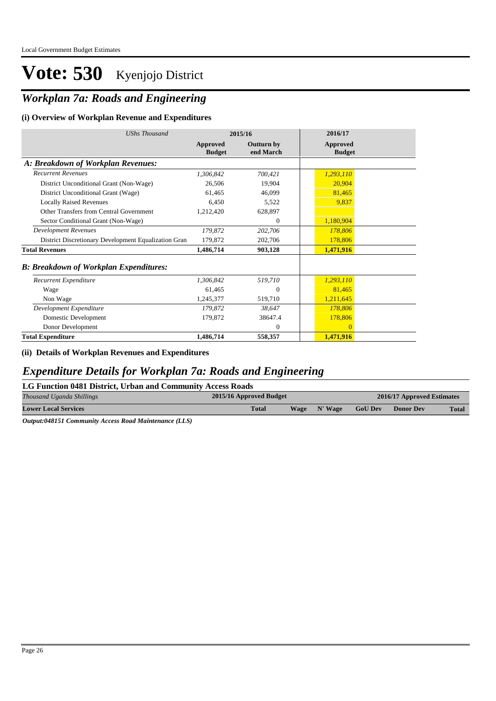### *Workplan 7a: Roads and Engineering*

#### **(i) Overview of Workplan Revenue and Expenditures**

| <b>UShs Thousand</b>                                 | 2015/16                          |                                | 2016/17                          |
|------------------------------------------------------|----------------------------------|--------------------------------|----------------------------------|
|                                                      | <b>Approved</b><br><b>Budget</b> | <b>Outturn by</b><br>end March | <b>Approved</b><br><b>Budget</b> |
| A: Breakdown of Workplan Revenues:                   |                                  |                                |                                  |
| <b>Recurrent Revenues</b>                            | 1,306,842                        | 700,421                        | 1,293,110                        |
| District Unconditional Grant (Non-Wage)              | 26,506                           | 19,904                         | 20,904                           |
| District Unconditional Grant (Wage)                  | 61,465                           | 46,099                         | 81,465                           |
| <b>Locally Raised Revenues</b>                       | 6,450                            | 5,522                          | 9,837                            |
| Other Transfers from Central Government              | 1,212,420                        | 628,897                        |                                  |
| Sector Conditional Grant (Non-Wage)                  |                                  | $\mathbf{0}$                   | 1,180,904                        |
| <b>Development Revenues</b>                          | 179,872                          | 202,706                        | 178,806                          |
| District Discretionary Development Equalization Gran | 179,872                          | 202,706                        | 178,806                          |
| <b>Total Revenues</b>                                | 1,486,714                        | 903,128                        | 1,471,916                        |
| <b>B: Breakdown of Workplan Expenditures:</b>        |                                  |                                |                                  |
| Recurrent Expenditure                                | 1.306.842                        | 519,710                        | 1,293,110                        |
| Wage                                                 | 61,465                           | $\mathbf{0}$                   | 81,465                           |
| Non Wage                                             | 1,245,377                        | 519,710                        | 1,211,645                        |
| Development Expenditure                              | 179,872                          | 38,647                         | 178,806                          |
| Domestic Development                                 | 179,872                          | 38647.4                        | 178,806                          |
| Donor Development                                    |                                  | $\mathbf{0}$                   | $\overline{0}$                   |
| <b>Total Expenditure</b>                             | 1,486,714                        | 558,357                        | 1,471,916                        |

**(ii) Details of Workplan Revenues and Expenditures**

### *Expenditure Details for Workplan 7a: Roads and Engineering*

#### **LG Function 0481 District, Urban and Community Access Roads**

| <b>Total</b><br><b>GoU Dev</b><br>N' Wage<br>Wage<br><b>Lower Local Services</b><br><b>Donor Dev</b><br><b>Total</b> | Thousand Uganda Shillings | 2015/16 Approved Budget<br>2016/17 Approved Estimates |  |  |  |  |  |
|----------------------------------------------------------------------------------------------------------------------|---------------------------|-------------------------------------------------------|--|--|--|--|--|
|                                                                                                                      |                           |                                                       |  |  |  |  |  |

*Output:048151 Community Access Road Maintenance (LLS)*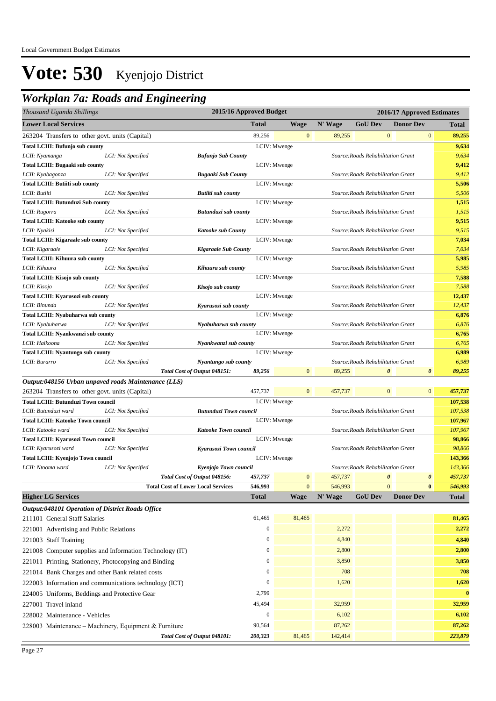## *Workplan 7a: Roads and Engineering*

| Thousand Uganda Shillings                                                                              |                                           | 2015/16 Approved Budget<br>2016/17 Approved Estimates |                  |                |         |                                    |                       |                  |                  |                    |
|--------------------------------------------------------------------------------------------------------|-------------------------------------------|-------------------------------------------------------|------------------|----------------|---------|------------------------------------|-----------------------|------------------|------------------|--------------------|
| <b>Lower Local Services</b>                                                                            |                                           |                                                       | Total            | Wage           | N' Wage | <b>GoU Dev</b>                     |                       | <b>Donor Dev</b> |                  | <b>Total</b>       |
| 263204 Transfers to other govt. units (Capital)                                                        |                                           |                                                       | 89,256           | $\mathbf{0}$   | 89,255  |                                    | $\mathbf{0}$          |                  | $\mathbf{0}$     | 89,255             |
| <b>Total LCIII: Bufunjo sub county</b>                                                                 |                                           |                                                       |                  | LCIV: Mwenge   |         |                                    |                       |                  |                  | 9,634              |
| LCII: Nyamanga                                                                                         | LCI: Not Specified                        | <b>Bufunjo Sub County</b>                             |                  |                |         | Source: Roads Rehabilitation Grant |                       |                  |                  | 9,634              |
| <b>Total LCIII: Bugaaki sub county</b>                                                                 |                                           |                                                       |                  | LCIV: Mwenge   |         |                                    |                       |                  |                  | 9,412              |
| LCII: Kyabagonza                                                                                       | LCI: Not Specified                        | <b>Bugaaki Sub County</b>                             |                  |                |         | Source: Roads Rehabilitation Grant |                       |                  |                  | 9,412              |
| <b>Total LCIII: Butiiti sub county</b>                                                                 |                                           |                                                       |                  | LCIV: Mwenge   |         |                                    |                       |                  |                  | 5,506              |
| LCII: Butiiti                                                                                          | LCI: Not Specified                        | <b>Butiiti sub county</b>                             |                  |                |         | Source: Roads Rehabilitation Grant |                       |                  |                  | 5,506              |
| <b>Total LCIII: Butunduzi Sub county</b>                                                               |                                           |                                                       |                  | LCIV: Mwenge   |         |                                    |                       |                  |                  | 1,515              |
| LCII: Rugorra                                                                                          | LCI: Not Specified                        | Butunduzi sub county                                  |                  |                |         | Source: Roads Rehabilitation Grant |                       |                  |                  | 1,515              |
| <b>Total LCIII: Katooke sub county</b>                                                                 |                                           |                                                       |                  | LCIV: Mwenge   |         |                                    |                       |                  |                  | 9,515              |
| LCII: Nyakisi                                                                                          | LCI: Not Specified                        | <b>Katooke sub County</b>                             |                  |                |         | Source: Roads Rehabilitation Grant |                       |                  |                  | 9,515              |
| <b>Total LCIII: Kigaraale sub county</b>                                                               |                                           |                                                       |                  | LCIV: Mwenge   |         |                                    |                       |                  |                  | 7,034              |
| LCII: Kigaraale                                                                                        | LCI: Not Specified                        | <b>Kigaraale Sub County</b>                           |                  |                |         | Source: Roads Rehabilitation Grant |                       |                  |                  | 7,034              |
| <b>Total LCIII: Kihuura sub county</b>                                                                 |                                           |                                                       |                  | LCIV: Mwenge   |         |                                    |                       |                  |                  | 5,985              |
| LCII: Kihuura                                                                                          | LCI: Not Specified                        | Kihuura sub county                                    |                  |                |         | Source: Roads Rehabilitation Grant |                       |                  |                  | 5,985              |
| Total LCIII: Kisojo sub county                                                                         |                                           |                                                       |                  | LCIV: Mwenge   |         |                                    |                       |                  |                  | 7,588              |
| LCII: Kisojo                                                                                           | LCI: Not Specified                        | Kisojo sub county                                     |                  |                |         | Source: Roads Rehabilitation Grant |                       |                  |                  | 7,588              |
| <b>Total LCIII: Kyarusozi sub county</b>                                                               |                                           |                                                       |                  | LCIV: Mwenge   |         |                                    |                       |                  |                  | 12,437             |
| LCII: Binunda                                                                                          | LCI: Not Specified                        | Kyarusozi sub county                                  |                  |                |         | Source: Roads Rehabilitation Grant |                       |                  |                  | 12,437             |
| Total LCIII: Nyabuharwa sub county                                                                     |                                           |                                                       |                  | LCIV: Mwenge   |         |                                    |                       |                  |                  | 6,876              |
| LCII: Nyabuharwa                                                                                       | LCI: Not Specified                        | Nyabuharwa sub county                                 |                  |                |         | Source: Roads Rehabilitation Grant |                       |                  |                  | 6,876              |
| Total LCIII: Nyankwanzi sub county                                                                     |                                           |                                                       |                  | LCIV: Mwenge   |         |                                    |                       |                  |                  | 6,765              |
| LCII: Haikoona                                                                                         | LCI: Not Specified                        | Nyankwanzi sub county                                 |                  |                |         | Source: Roads Rehabilitation Grant |                       |                  |                  | 6,765              |
| <b>Total LCIII: Nyantungo sub county</b>                                                               |                                           |                                                       |                  | LCIV: Mwenge   |         |                                    |                       |                  |                  | 6,989              |
| LCII: Burarro                                                                                          | LCI: Not Specified                        | Nyantungo sub county                                  |                  | $\mathbf{0}$   | 89,255  | Source: Roads Rehabilitation Grant | $\boldsymbol{\theta}$ |                  | 0                | 6,989              |
|                                                                                                        |                                           | Total Cost of Output 048151:                          | 89,256           |                |         |                                    |                       |                  |                  | 89,255             |
| Output:048156 Urban unpaved roads Maintenance (LLS)<br>263204 Transfers to other govt. units (Capital) |                                           |                                                       | 457,737          | $\overline{0}$ | 457,737 |                                    | $\mathbf{0}$          |                  | $\boldsymbol{0}$ | 457,737            |
|                                                                                                        |                                           |                                                       |                  | LCIV: Mwenge   |         |                                    |                       |                  |                  |                    |
| <b>Total LCIII: Butunduzi Town council</b><br>LCII: Butunduzi ward                                     | LCI: Not Specified                        | Butunduzi Town council                                |                  |                |         | Source: Roads Rehabilitation Grant |                       |                  |                  | 107,538<br>107,538 |
| <b>Total LCIII: Katooke Town council</b>                                                               |                                           |                                                       |                  | LCIV: Mwenge   |         |                                    |                       |                  |                  | 107,967            |
| LCII: Katooke ward                                                                                     | LCI: Not Specified                        | <b>Katooke Town council</b>                           |                  |                |         | Source: Roads Rehabilitation Grant |                       |                  |                  | 107,967            |
| <b>Total LCIII: Kyarusozi Town council</b>                                                             |                                           |                                                       |                  | LCIV: Mwenge   |         |                                    |                       |                  |                  | 98,866             |
| LCII: Kyarusozi ward                                                                                   | LCI: Not Specified                        | Kyarusozi Town council                                |                  |                |         | Source: Roads Rehabilitation Grant |                       |                  |                  | 98,866             |
| <b>Total LCIII: Kyenjojo Town council</b>                                                              |                                           |                                                       |                  | LCIV: Mwenge   |         |                                    |                       |                  |                  | 143,366            |
| LCII: Ntooma ward                                                                                      | LCI: Not Specified                        | Kyenjojo Town council                                 |                  |                |         | Source: Roads Rehabilitation Grant |                       |                  |                  | 143,366            |
|                                                                                                        |                                           | Total Cost of Output 048156:                          | 457,737          | $\mathbf{0}$   | 457,737 |                                    | $\boldsymbol{\theta}$ |                  | 0                | 457,737            |
|                                                                                                        | <b>Total Cost of Lower Local Services</b> |                                                       | 546,993          | $\mathbf{0}$   | 546,993 |                                    | $\mathbf{0}$          |                  | $\bf{0}$         | 546,993            |
| <b>Higher LG Services</b>                                                                              |                                           |                                                       | <b>Total</b>     | <b>Wage</b>    | N' Wage | <b>GoU Dev</b>                     |                       | <b>Donor Dev</b> |                  | Total              |
| Output:048101 Operation of District Roads Office                                                       |                                           |                                                       |                  |                |         |                                    |                       |                  |                  |                    |
| 211101 General Staff Salaries                                                                          |                                           |                                                       | 61,465           | 81,465         |         |                                    |                       |                  |                  | 81,465             |
| 221001 Advertising and Public Relations                                                                |                                           |                                                       | $\boldsymbol{0}$ |                | 2,272   |                                    |                       |                  |                  | 2,272              |
|                                                                                                        |                                           |                                                       | $\boldsymbol{0}$ |                | 4,840   |                                    |                       |                  |                  | 4,840              |
| 221003 Staff Training                                                                                  |                                           |                                                       |                  |                |         |                                    |                       |                  |                  |                    |
| 221008 Computer supplies and Information Technology (IT)                                               |                                           |                                                       | $\boldsymbol{0}$ |                | 2,800   |                                    |                       |                  |                  | 2,800              |
| 221011 Printing, Stationery, Photocopying and Binding                                                  |                                           |                                                       | $\boldsymbol{0}$ |                | 3,850   |                                    |                       |                  |                  | 3,850              |
| 221014 Bank Charges and other Bank related costs                                                       |                                           |                                                       | $\boldsymbol{0}$ |                | 708     |                                    |                       |                  |                  | 708                |
| 222003 Information and communications technology (ICT)                                                 |                                           |                                                       | $\boldsymbol{0}$ |                | 1,620   |                                    |                       |                  |                  | 1,620              |
| 224005 Uniforms, Beddings and Protective Gear                                                          |                                           |                                                       | 2,799            |                |         |                                    |                       |                  |                  | $\bf{0}$           |
| 227001 Travel inland                                                                                   |                                           |                                                       | 45,494           |                | 32,959  |                                    |                       |                  |                  | 32,959             |
| 228002 Maintenance - Vehicles                                                                          |                                           |                                                       | $\boldsymbol{0}$ |                | 6,102   |                                    |                       |                  |                  | 6,102              |
| 228003 Maintenance - Machinery, Equipment & Furniture                                                  |                                           |                                                       | 90,564           |                | 87,262  |                                    |                       |                  |                  | 87,262             |

*Total Cost of Output 048101:* 200,323 81,465 142,414 223,879 223,879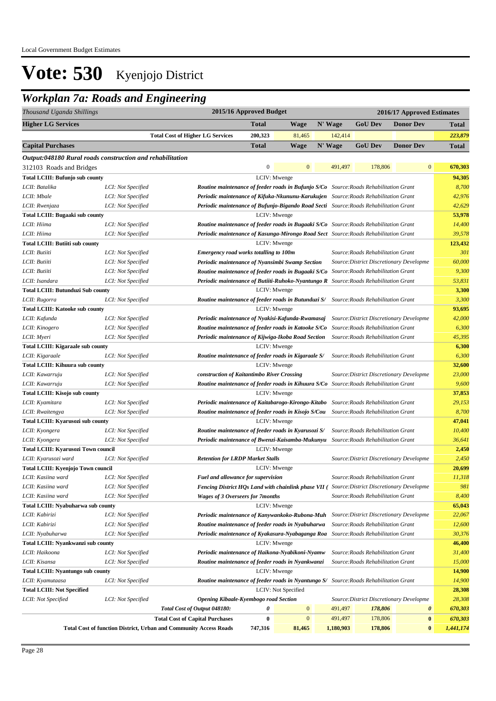## *Workplan 7a: Roads and Engineering*

| Thousand Uganda Shillings                                 |                                          |                                                                                                                                          | 2015/16 Approved Budget |                     |           |                                          | 2016/17 Approved Estimates |                  |
|-----------------------------------------------------------|------------------------------------------|------------------------------------------------------------------------------------------------------------------------------------------|-------------------------|---------------------|-----------|------------------------------------------|----------------------------|------------------|
| <b>Higher LG Services</b>                                 |                                          |                                                                                                                                          | <b>Total</b>            | <b>Wage</b>         | N' Wage   | <b>GoU Dev</b>                           | <b>Donor Dev</b>           | <b>Total</b>     |
|                                                           |                                          | <b>Total Cost of Higher LG Services</b>                                                                                                  | 200,323                 | 81,465              | 142,414   |                                          |                            | 223,879          |
| <b>Capital Purchases</b>                                  |                                          |                                                                                                                                          | <b>Total</b>            | <b>Wage</b>         | N' Wage   | <b>GoU Dev</b>                           | <b>Donor Dev</b>           | <b>Total</b>     |
| Output:048180 Rural roads construction and rehabilitation |                                          |                                                                                                                                          |                         |                     |           |                                          |                            |                  |
| 312103 Roads and Bridges                                  |                                          |                                                                                                                                          | $\mathbf{0}$            | $\mathbf{0}$        | 491,497   | 178,806                                  | $\mathbf{0}$               | 670,303          |
| <b>Total LCIII: Bufunjo sub county</b>                    |                                          |                                                                                                                                          | LCIV: Mwenge            |                     |           |                                          |                            | 94,305           |
| LCII: Batalika                                            | LCI: Not Specified                       | <b>Routine maintenance of feeder roads in Bufunjo S/Co</b> Source: Roads Rehabilitation Grant                                            |                         |                     |           |                                          |                            | 8,700            |
| LCII: Mbale                                               | LCI: Not Specified                       | Periodic maintenance of Kifuka-Nkununu-Karukujen Source: Roads Rehabilitation Grant                                                      |                         |                     |           |                                          |                            | 42,976           |
| LCII: Rwenjaza                                            | LCI: Not Specified                       | Periodic maintenance of Bufunjo-Bigando Road Secti Source: Roads Rehabilitation Grant                                                    |                         |                     |           |                                          |                            | 42,629           |
| <b>Total LCIII: Bugaaki sub county</b>                    |                                          |                                                                                                                                          | LCIV: Mwenge            |                     |           |                                          |                            | 53,978           |
| LCII: Hiima                                               | LCI: Not Specified                       | <b>Routine maintenance of feeder roads in Bugaaki S/Co</b> Source: Roads Rehabilitation Grant                                            |                         |                     |           |                                          |                            | 14,400           |
| LCII: Hiima                                               | LCI: Not Specified                       | Periodic maintenance of Kasunga-Mirongo Road Sect Source: Roads Rehabilitation Grant                                                     |                         |                     |           |                                          |                            | 39,578           |
| <b>Total LCIII: Butiiti sub county</b>                    |                                          |                                                                                                                                          | LCIV: Mwenge            |                     |           |                                          |                            | 123,432          |
| LCII: Butiiti                                             | LCI: Not Specified                       | <b>Emergency road works totalling to 100m</b>                                                                                            |                         |                     |           | Source: Roads Rehabilitation Grant       |                            | 301              |
| LCII: Butiiti                                             | LCI: Not Specified                       | Periodic maintenance of Nyansimbi Swamp Section                                                                                          |                         |                     |           | Source: District Discretionary Developme |                            | 60,000           |
| LCII: Butiiti                                             | LCI: Not Specified                       | <b>Routine maintenance of feeder roads in Bugaaki S/Co</b> Source: Roads Rehabilitation Grant                                            |                         |                     |           |                                          |                            | 9,300            |
| LCII: Isandara                                            | LCI: Not Specified                       | Periodic maintenance of Butiiti-Ruhoko-Nyantungo R Source: Roads Rehabilitation Grant                                                    |                         |                     |           |                                          |                            | 53,831           |
| <b>Total LCIII: Butunduzi Sub county</b>                  |                                          |                                                                                                                                          | LCIV: Mwenge            |                     |           |                                          |                            | 3,300            |
| LCII: Rugorra                                             | LCI: Not Specified                       | <b>Routine maintenance of feeder roads in Butunduzi S/</b> Source: Roads Rehabilitation Grant                                            |                         |                     |           |                                          |                            | 3,300            |
| <b>Total LCIII: Katooke sub county</b>                    |                                          |                                                                                                                                          | LCIV: Mwenge            |                     |           |                                          |                            | 93,695           |
| LCII: Kafunda                                             | LCI: Not Specified                       | Periodic maintenance of Nyakisi-Kafunda-Rwamasaj                                                                                         |                         |                     |           | Source: District Discretionary Developme |                            | 42,000           |
| LCII: Kinogero                                            | LCI: Not Specified                       | Routine maintenance of feeder roads in Katooke S/Co                                                                                      |                         |                     |           | Source: Roads Rehabilitation Grant       |                            | 6,300            |
| LCII: Myeri                                               | LCI: Not Specified                       | Periodic maintenance of Kijwiga-Ikoba Road Section                                                                                       |                         |                     |           | Source: Roads Rehabilitation Grant       |                            | 45,395           |
| <b>Total LCIII: Kigaraale sub county</b>                  |                                          |                                                                                                                                          | LCIV: Mwenge            |                     |           |                                          |                            | 6,300            |
| LCII: Kigaraale                                           | LCI: Not Specified                       | Routine maintenance of feeder roads in Kigaraale S/                                                                                      |                         |                     |           | Source: Roads Rehabilitation Grant       |                            | 6,300            |
| <b>Total LCIII: Kihuura sub county</b>                    |                                          |                                                                                                                                          | LCIV: Mwenge            |                     |           |                                          |                            | 32,600           |
| LCII: Kawarruju                                           | LCI: Not Specified                       | construction of Kaitantimbo River Crossing                                                                                               |                         |                     |           | Source: District Discretionary Developme |                            | 23,000           |
| LCII: Kawarruju                                           | LCI: Not Specified                       | <b>Routine maintenance of feeder roads in Kihuura S/Co</b> Source: Roads Rehabilitation Grant                                            |                         |                     |           |                                          |                            | 9,600            |
| Total LCIII: Kisojo sub county                            |                                          |                                                                                                                                          | LCIV: Mwenge            |                     |           |                                          |                            | 37,853           |
| LCII: Kyamitara                                           | LCI: Not Specified                       | Periodic maintenance of Kaitabarogo-Kirongo-Kitabo Source: Roads Rehabilitation Grant                                                    |                         |                     |           |                                          |                            | 29,153           |
| LCII: Rwaitengya                                          | LCI: Not Specified                       | <b>Routine maintenance of feeder roads in Kisojo S/Cou</b> Source: Roads Rehabilitation Grant                                            |                         |                     |           |                                          |                            | 8,700            |
| Total LCIII: Kyarusozi sub county                         |                                          |                                                                                                                                          | LCIV: Mwenge            |                     |           |                                          |                            | 47,041           |
| LCII: Kyongera                                            | LCI: Not Specified                       | Routine maintenance of feeder roads in Kyarusozi S/                                                                                      |                         |                     |           | Source: Roads Rehabilitation Grant       |                            | 10,400           |
| LCII: Kyongera                                            | LCI: Not Specified                       | Periodic maintenance of Bwenzi-Kaisamba-Mukunyu Source: Roads Rehabilitation Grant                                                       |                         |                     |           |                                          |                            | 36,641           |
| <b>Total LCIII: Kyarusozi Town council</b>                |                                          |                                                                                                                                          | LCIV: Mwenge            |                     |           |                                          |                            | 2,450            |
| LCII: Kyarusozi ward                                      | LCI: Not Specified                       | <b>Retention for LRDP Market Stalls</b>                                                                                                  |                         |                     |           | Source: District Discretionary Developme |                            | 2,450            |
| Total LCIII: Kyenjojo Town council                        |                                          |                                                                                                                                          | LCIV: Mwenge            |                     |           |                                          |                            | 20,699           |
| LCII: Kasiina ward                                        | LCI: Not Specified                       | Fuel and allowance for supervision                                                                                                       |                         |                     |           | Source:Roads Rehabilitation Grant        |                            | 11.318           |
| LCII: Kasiina ward                                        | LCI: Not Specified                       | Fencing District HOs Land with chainlink phase VII (Source: District Discretionary Developme                                             |                         |                     |           |                                          |                            | 981              |
| LCII: Kasiina ward                                        | LCI: Not Specified                       | <b>Wages of 3 Overseers for 7 months</b>                                                                                                 |                         |                     |           | Source: Roads Rehabilitation Grant       |                            | 8,400            |
| Total LCIII: Nyabuharwa sub county                        |                                          |                                                                                                                                          | LCIV: Mwenge            |                     |           |                                          |                            | 65,043           |
| LCII: Kabirizi                                            | LCI: Not Specified<br>LCI: Not Specified | Periodic maintenance of Kanywankoko-Rubona-Muh Source: District Discretionary Developme                                                  |                         |                     |           |                                          |                            | 22,067<br>12,600 |
| LCII: Kabirizi                                            |                                          | Routine maintenance of feeder roads in Nyabuharwa<br>Periodic maintenance of Kyakasura-Nyabaganga Roa Source: Roads Rehabilitation Grant |                         |                     |           | Source: Roads Rehabilitation Grant       |                            | 30,376           |
| LCII: Nyabuharwa                                          | LCI: Not Specified                       |                                                                                                                                          | LCIV: Mwenge            |                     |           |                                          |                            |                  |
| Total LCIII: Nyankwanzi sub county<br>LCII: Haikoona      | LCI: Not Specified                       | Periodic maintenance of Haikona-Nyabikoni-Nyamw                                                                                          |                         |                     |           | Source: Roads Rehabilitation Grant       |                            | 46,400<br>31,400 |
| LCII: Kisansa                                             | LCI: Not Specified                       | Routine maintenance of feeder roads in Nyankwanzi                                                                                        |                         |                     |           | Source: Roads Rehabilitation Grant       |                            | 15,000           |
| <b>Total LCIII: Nyantungo sub county</b>                  |                                          |                                                                                                                                          | LCIV: Mwenge            |                     |           |                                          |                            | 14,900           |
| LCII: Kyamutaasa                                          | LCI: Not Specified                       | <b>Routine maintenance of feeder roads in Nyantungo S/ Source: Roads Rehabilitation Grant</b>                                            |                         |                     |           |                                          |                            | 14,900           |
| <b>Total LCIII: Not Specified</b>                         |                                          |                                                                                                                                          |                         | LCIV: Not Specified |           |                                          |                            | 28,308           |
| LCII: Not Specified                                       | LCI: Not Specified                       | <b>Opening Kibaale-Kyembogo road Section</b>                                                                                             |                         |                     |           | Source: District Discretionary Developme |                            | 28,308           |
|                                                           |                                          | Total Cost of Output 048180:                                                                                                             | 0                       | $\mathbf{0}$        | 491,497   | 178,806                                  | $\boldsymbol{\theta}$      | 670,303          |
|                                                           |                                          | <b>Total Cost of Capital Purchases</b>                                                                                                   | $\bf{0}$                | $\boldsymbol{0}$    | 491,497   | 178,806                                  | $\pmb{0}$                  | 670,303          |
|                                                           |                                          | <b>Total Cost of function District, Urban and Community Access Roads</b>                                                                 | 747,316                 | 81,465              | 1,180,903 | 178,806                                  | $\bf{0}$                   | 1,441,174        |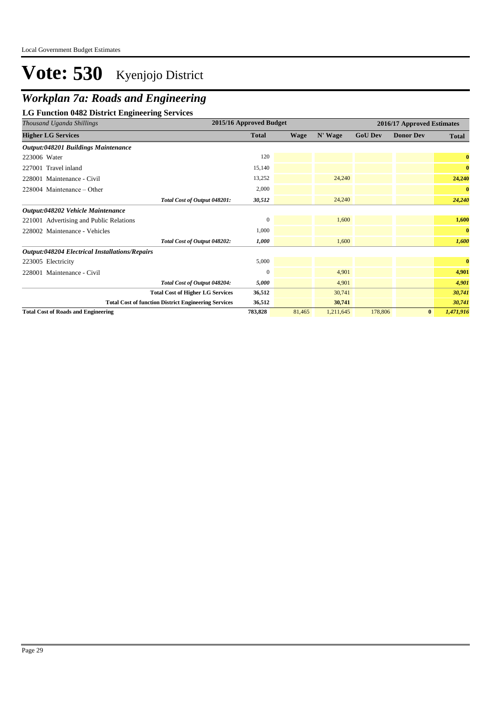## *Workplan 7a: Roads and Engineering*

**LG Function 0482 District Engineering Services**

| Thousand Uganda Shillings                                   | 2015/16 Approved Budget |             |           |                | 2016/17 Approved Estimates |              |  |  |
|-------------------------------------------------------------|-------------------------|-------------|-----------|----------------|----------------------------|--------------|--|--|
| <b>Higher LG Services</b>                                   | <b>Total</b>            | <b>Wage</b> | N' Wage   | <b>GoU Dev</b> | <b>Donor Dev</b>           | <b>Total</b> |  |  |
| <b>Output:048201 Buildings Maintenance</b>                  |                         |             |           |                |                            |              |  |  |
| 223006 Water                                                | 120                     |             |           |                |                            | $\bf{0}$     |  |  |
| 227001 Travel inland                                        | 15,140                  |             |           |                |                            | $\bf{0}$     |  |  |
| 228001 Maintenance - Civil                                  | 13,252                  |             | 24,240    |                |                            | 24,240       |  |  |
| $228004$ Maintenance – Other                                | 2,000                   |             |           |                |                            | $\bf{0}$     |  |  |
| Total Cost of Output 048201:                                | 30,512                  |             | 24,240    |                |                            | 24,240       |  |  |
| Output:048202 Vehicle Maintenance                           |                         |             |           |                |                            |              |  |  |
| 221001 Advertising and Public Relations                     | $\Omega$                |             | 1,600     |                |                            | 1,600        |  |  |
| 228002 Maintenance - Vehicles                               | 1,000                   |             |           |                |                            | $\bf{0}$     |  |  |
| Total Cost of Output 048202:                                | 1,000                   |             | 1,600     |                |                            | 1,600        |  |  |
| <b>Output:048204 Electrical Installations/Repairs</b>       |                         |             |           |                |                            |              |  |  |
| 223005 Electricity                                          | 5,000                   |             |           |                |                            | $\bf{0}$     |  |  |
| 228001 Maintenance - Civil                                  | $\Omega$                |             | 4,901     |                |                            | 4,901        |  |  |
| Total Cost of Output 048204:                                | 5,000                   |             | 4,901     |                |                            | 4,901        |  |  |
| <b>Total Cost of Higher LG Services</b>                     | 36,512                  |             | 30,741    |                |                            | 30,741       |  |  |
| <b>Total Cost of function District Engineering Services</b> | 36,512                  |             | 30,741    |                |                            | 30,741       |  |  |
| <b>Total Cost of Roads and Engineering</b>                  | 783,828                 | 81,465      | 1,211,645 | 178,806        | $\bf{0}$                   | 1,471,916    |  |  |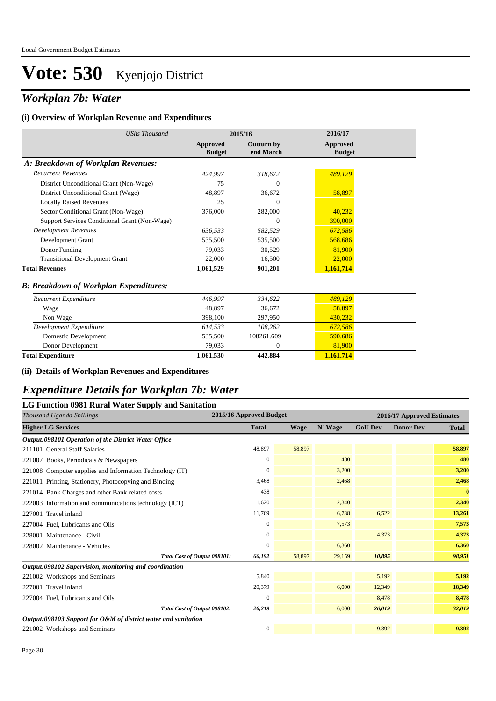### *Workplan 7b: Water*

#### **(i) Overview of Workplan Revenue and Expenditures**

| <b>UShs Thousand</b>                          |                           | 2015/16                        | 2016/17                          |
|-----------------------------------------------|---------------------------|--------------------------------|----------------------------------|
|                                               | Approved<br><b>Budget</b> | <b>Outturn by</b><br>end March | <b>Approved</b><br><b>Budget</b> |
| A: Breakdown of Workplan Revenues:            |                           |                                |                                  |
| <b>Recurrent Revenues</b>                     | 424,997                   | 318,672                        | 489,129                          |
| District Unconditional Grant (Non-Wage)       | 75                        | $\overline{0}$                 |                                  |
| District Unconditional Grant (Wage)           | 48.897                    | 36,672                         | 58,897                           |
| <b>Locally Raised Revenues</b>                | 25                        | $\mathbf{0}$                   |                                  |
| Sector Conditional Grant (Non-Wage)           | 376,000                   | 282,000                        | 40.232                           |
| Support Services Conditional Grant (Non-Wage) |                           | $\mathbf{0}$                   | 390,000                          |
| <b>Development Revenues</b>                   | 636,533                   | 582,529                        | 672.586                          |
| Development Grant                             | 535,500                   | 535,500                        | 568.686                          |
| Donor Funding                                 | 79.033                    | 30.529                         | 81,900                           |
| <b>Transitional Development Grant</b>         | 22,000                    | 16,500                         | 22,000                           |
| <b>Total Revenues</b>                         | 1,061,529                 | 901,201                        | 1,161,714                        |
| <b>B: Breakdown of Workplan Expenditures:</b> |                           |                                |                                  |
| Recurrent Expenditure                         | 446,997                   | 334,622                        | 489,129                          |
| Wage                                          | 48.897                    | 36,672                         | 58,897                           |
| Non Wage                                      | 398,100                   | 297,950                        | 430,232                          |
| Development Expenditure                       | 614,533                   | 108.262                        | 672,586                          |
| Domestic Development                          | 535,500                   | 108261.609                     | 590.686                          |
| Donor Development                             | 79,033                    | $\mathbf{0}$                   | 81,900                           |
| <b>Total Expenditure</b>                      | 1,061,530                 | 442,884                        | 1,161,714                        |

#### **(ii) Details of Workplan Revenues and Expenditures**

### *Expenditure Details for Workplan 7b: Water*

#### **LG Function 0981 Rural Water Supply and Sanitation**

| 2015/16 Approved Budget<br>Thousand Uganda Shillings           |              |        |         | 2016/17 Approved Estimates |                  |              |  |
|----------------------------------------------------------------|--------------|--------|---------|----------------------------|------------------|--------------|--|
| <b>Higher LG Services</b>                                      | <b>Total</b> | Wage   | N' Wage | <b>GoU Dev</b>             | <b>Donor Dev</b> | <b>Total</b> |  |
| Output:098101 Operation of the District Water Office           |              |        |         |                            |                  |              |  |
| 211101 General Staff Salaries                                  | 48,897       | 58,897 |         |                            |                  | 58,897       |  |
| 221007 Books, Periodicals & Newspapers                         | $\mathbf{0}$ |        | 480     |                            |                  | 480          |  |
| 221008 Computer supplies and Information Technology (IT)       | 0            |        | 3,200   |                            |                  | 3,200        |  |
| 221011 Printing, Stationery, Photocopying and Binding          | 3,468        |        | 2,468   |                            |                  | 2,468        |  |
| 221014 Bank Charges and other Bank related costs               | 438          |        |         |                            |                  | $\bf{0}$     |  |
| 222003 Information and communications technology (ICT)         | 1,620        |        | 2,340   |                            |                  | 2,340        |  |
| 227001 Travel inland                                           | 11,769       |        | 6,738   | 6,522                      |                  | 13,261       |  |
| 227004 Fuel, Lubricants and Oils                               | $\mathbf{0}$ |        | 7,573   |                            |                  | 7,573        |  |
| 228001 Maintenance - Civil                                     | $\mathbf{0}$ |        |         | 4,373                      |                  | 4,373        |  |
| 228002 Maintenance - Vehicles                                  | $\Omega$     |        | 6,360   |                            |                  | 6,360        |  |
| Total Cost of Output 098101:                                   | 66,192       | 58,897 | 29,159  | 10,895                     |                  | 98,951       |  |
| Output:098102 Supervision, monitoring and coordination         |              |        |         |                            |                  |              |  |
| 221002 Workshops and Seminars                                  | 5,840        |        |         | 5,192                      |                  | 5,192        |  |
| 227001 Travel inland                                           | 20,379       |        | 6,000   | 12,349                     |                  | 18,349       |  |
| 227004 Fuel, Lubricants and Oils                               | $\Omega$     |        |         | 8,478                      |                  | 8,478        |  |
| Total Cost of Output 098102:                                   | 26,219       |        | 6,000   | 26,019                     |                  | 32,019       |  |
| Output:098103 Support for O&M of district water and sanitation |              |        |         |                            |                  |              |  |
| 221002 Workshops and Seminars                                  | $\mathbf{0}$ |        |         | 9.392                      |                  | 9,392        |  |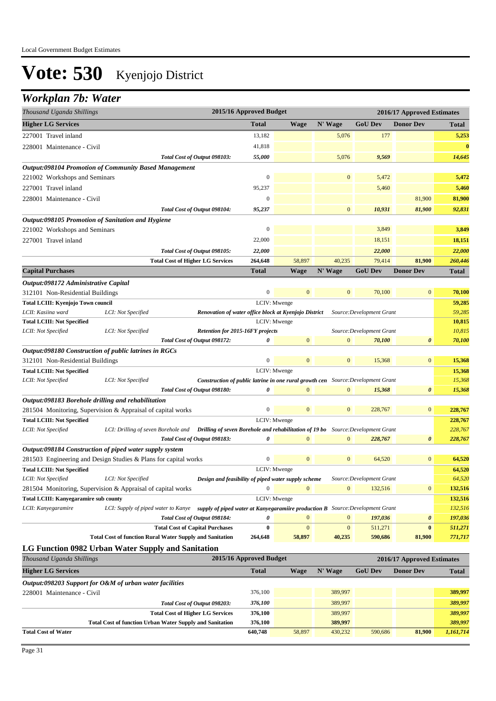### *Workplan 7b: Water*

| Thousand Uganda Shillings             |                                                                                                                             | 2015/16 Approved Budget |              |              |                           | 2016/17 Approved Estimates |                    |
|---------------------------------------|-----------------------------------------------------------------------------------------------------------------------------|-------------------------|--------------|--------------|---------------------------|----------------------------|--------------------|
| <b>Higher LG Services</b>             |                                                                                                                             | <b>Total</b>            | <b>Wage</b>  | N' Wage      | <b>GoU</b> Dev            | <b>Donor Dev</b>           | <b>Total</b>       |
| 227001 Travel inland                  |                                                                                                                             | 13,182                  |              | 5,076        | 177                       |                            | 5,253              |
| 228001 Maintenance - Civil            |                                                                                                                             | 41,818                  |              |              |                           |                            | $\bf{0}$           |
|                                       | Total Cost of Output 098103:                                                                                                | 55,000                  |              | 5,076        | 9,569                     |                            | 14,645             |
|                                       | <b>Output:098104 Promotion of Community Based Management</b>                                                                |                         |              |              |                           |                            |                    |
| 221002 Workshops and Seminars         |                                                                                                                             | 0                       |              | $\mathbf{0}$ | 5,472                     |                            | 5,472              |
| 227001 Travel inland                  |                                                                                                                             | 95,237                  |              |              | 5,460                     |                            | 5,460              |
| 228001 Maintenance - Civil            |                                                                                                                             | $\overline{0}$          |              |              |                           | 81,900                     | 81,900             |
|                                       | Total Cost of Output 098104:                                                                                                | 95,237                  |              | $\mathbf{0}$ | 10,931                    | 81,900                     | 92,831             |
|                                       | Output:098105 Promotion of Sanitation and Hygiene                                                                           |                         |              |              |                           |                            |                    |
| 221002 Workshops and Seminars         |                                                                                                                             | $\mathbf{0}$            |              |              | 3,849                     |                            | 3,849              |
| 227001 Travel inland                  |                                                                                                                             | 22,000                  |              |              | 18,151                    |                            | 18,151             |
|                                       | Total Cost of Output 098105:                                                                                                | 22,000                  |              |              | 22,000                    |                            | 22,000             |
|                                       | <b>Total Cost of Higher LG Services</b>                                                                                     | 264,648                 | 58,897       | 40,235       | 79,414                    | 81,900                     | 260,446            |
| <b>Capital Purchases</b>              |                                                                                                                             | <b>Total</b>            | <b>Wage</b>  | N' Wage      | <b>GoU</b> Dev            | <b>Donor Dev</b>           | <b>Total</b>       |
| Output:098172 Administrative Capital  |                                                                                                                             |                         |              |              |                           |                            |                    |
| 312101 Non-Residential Buildings      |                                                                                                                             | $\overline{0}$          | $\mathbf{0}$ | $\mathbf{0}$ | 70,100                    | $\mathbf{0}$               | 70,100             |
| Total LCIII: Kyenjojo Town council    |                                                                                                                             | LCIV: Mwenge            |              |              |                           |                            | 59,285             |
| LCII: Kasiina ward                    | Renovation of water office block at Kyenjojo District<br>LCI: Not Specified                                                 |                         |              |              | Source: Development Grant |                            | 59,285             |
| <b>Total LCIII: Not Specified</b>     |                                                                                                                             | LCIV: Mwenge            |              |              |                           |                            | 10,815             |
| LCII: Not Specified                   | Retention for 2015-16FY projects<br>LCI: Not Specified                                                                      |                         |              |              | Source: Development Grant |                            | 10,815             |
|                                       | Total Cost of Output 098172:                                                                                                | 0                       | $\mathbf{0}$ | $\mathbf{0}$ | 70,100                    | $\boldsymbol{\theta}$      | 70,100             |
|                                       | <i>Output:098180 Construction of public latrines in RGCs</i>                                                                |                         |              |              |                           |                            |                    |
| 312101 Non-Residential Buildings      |                                                                                                                             | $\boldsymbol{0}$        | $\mathbf{0}$ | $\mathbf{0}$ | 15,368                    | $\mathbf{0}$               | 15,368             |
| <b>Total LCIII: Not Specified</b>     |                                                                                                                             | LCIV: Mwenge            |              |              |                           |                            | 15,368             |
| LCII: Not Specified                   | LCI: Not Specified<br><b>Construction of public latrine in one rural growth cen</b> Source: Development Grant               |                         |              |              |                           |                            | 15,368             |
|                                       | Total Cost of Output 098180:                                                                                                | 0                       | $\Omega$     | $\mathbf{0}$ | 15,368                    | 0                          | 15,368             |
|                                       | Output:098183 Borehole drilling and rehabilitation                                                                          |                         |              |              |                           |                            |                    |
|                                       | 281504 Monitoring, Supervision & Appraisal of capital works                                                                 | $\boldsymbol{0}$        | $\mathbf{0}$ | $\mathbf{0}$ | 228,767                   | $\mathbf{0}$               | 228,767            |
| <b>Total LCIII: Not Specified</b>     |                                                                                                                             | LCIV: Mwenge            |              |              |                           |                            | 228,767            |
| LCII: Not Specified                   | LCI: Drilling of seven Borehole and <b>Drilling of seven Borehole and rehabilitation of 19 bo</b> Source: Development Grant |                         |              |              |                           |                            | 228,767            |
|                                       | Total Cost of Output 098183:                                                                                                | 0                       |              | $\Omega$     | 228,767                   | $\boldsymbol{\theta}$      | 228,767            |
|                                       | Output:098184 Construction of piped water supply system                                                                     |                         |              |              |                           |                            |                    |
|                                       | 281503 Engineering and Design Studies & Plans for capital works                                                             | $\boldsymbol{0}$        | $\mathbf{0}$ | $\mathbf{0}$ | 64,520                    | $\mathbf{0}$               | 64,520             |
| <b>Total LCIII: Not Specified</b>     |                                                                                                                             | LCIV: Mwenge            |              |              |                           |                            | 64,520             |
| LCII: Not Specified                   | LCI: Not Specified<br>Design and feasibility of piped water supply scheme                                                   |                         | $\mathbf{0}$ |              | Source:Development Grant  |                            | 64,520             |
|                                       | 281504 Monitoring, Supervision & Appraisal of capital works                                                                 | $\boldsymbol{0}$        |              | $\mathbf{0}$ | 132,516                   | $\boldsymbol{0}$           | 132,516            |
| Total LCIII: Kanyegaramire sub county | LCI: Supply of piped water to Kanye supply of piped water at Kanyegaramiire production B Source: Development Grant          | LCIV: Mwenge            |              |              |                           |                            | 132,516<br>132,516 |
| LCII: Kanyegaramire                   | Total Cost of Output 098184:                                                                                                | 0                       | $\mathbf{0}$ | $\mathbf{0}$ | 197,036                   | 0                          | 197,036            |
|                                       | <b>Total Cost of Capital Purchases</b>                                                                                      | $\bf{0}$                | $\mathbf{0}$ | $\mathbf{0}$ | 511,271                   | $\bf{0}$                   | 511,271            |
|                                       | <b>Total Cost of function Rural Water Supply and Sanitation</b>                                                             | 264,648                 | 58,897       | 40,235       | 590,686                   | 81,900                     | 771,717            |
|                                       | LG Function 0982 Urban Water Supply and Sanitation                                                                          |                         |              |              |                           |                            |                    |
| Thousand Uganda Shillings             |                                                                                                                             | 2015/16 Approved Budget |              |              |                           | 2016/17 Approved Estimates |                    |
| <b>Higher LG Services</b>             |                                                                                                                             | <b>Total</b>            | <b>Wage</b>  | N' Wage      | <b>GoU Dev</b>            | <b>Donor Dev</b>           |                    |
|                                       |                                                                                                                             |                         |              |              |                           |                            | <b>Total</b>       |
| 228001 Maintenance - Civil            | Output:098203 Support for O&M of urban water facilities                                                                     | 376,100                 |              | 389,997      |                           |                            | 389,997            |
|                                       |                                                                                                                             | 376,100                 |              | 389,997      |                           |                            | 389,997            |
|                                       | Total Cost of Output 098203:<br><b>Total Cost of Higher LG Services</b>                                                     | 376,100                 |              | 389,997      |                           |                            | 389,997            |
|                                       | <b>Total Cost of function Urban Water Supply and Sanitation</b>                                                             | 376,100                 |              | 389,997      |                           |                            | 389,997            |
| <b>Total Cost of Water</b>            |                                                                                                                             | 640,748                 | 58,897       | 430,232      | 590,686                   | 81,900                     | 1,161,714          |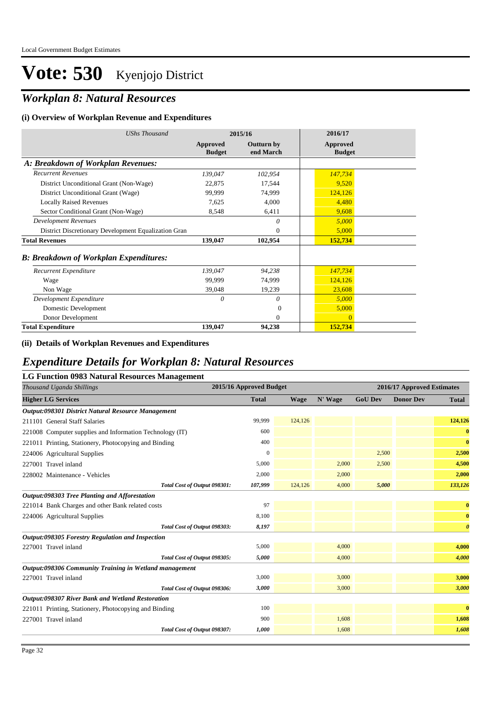## *Workplan 8: Natural Resources*

#### **(i) Overview of Workplan Revenue and Expenditures**

| <b>UShs Thousand</b>                                 |                           | 2015/16                        | 2016/17                   |
|------------------------------------------------------|---------------------------|--------------------------------|---------------------------|
|                                                      | Approved<br><b>Budget</b> | <b>Outturn by</b><br>end March | Approved<br><b>Budget</b> |
| A: Breakdown of Workplan Revenues:                   |                           |                                |                           |
| <b>Recurrent Revenues</b>                            | 139,047                   | 102,954                        | 147,734                   |
| District Unconditional Grant (Non-Wage)              | 22,875                    | 17,544                         | 9,520                     |
| District Unconditional Grant (Wage)                  | 99,999                    | 74,999                         | 124,126                   |
| <b>Locally Raised Revenues</b>                       | 7,625                     | 4,000                          | 4,480                     |
| Sector Conditional Grant (Non-Wage)                  | 8,548                     | 6,411                          | 9,608                     |
| <b>Development Revenues</b>                          |                           | 0                              | 5,000                     |
| District Discretionary Development Equalization Gran |                           | $\theta$                       | 5,000                     |
| <b>Total Revenues</b>                                | 139,047                   | 102,954                        | 152,734                   |
| <b>B: Breakdown of Workplan Expenditures:</b>        |                           |                                |                           |
| Recurrent Expenditure                                | 139,047                   | 94,238                         | 147,734                   |
| Wage                                                 | 99,999                    | 74,999                         | 124,126                   |
| Non Wage                                             | 39,048                    | 19,239                         | 23,608                    |
| Development Expenditure                              | 0                         | 0                              | 5,000                     |
| Domestic Development                                 |                           | $\Omega$                       | 5,000                     |
| Donor Development                                    |                           | $\Omega$                       | $\mathbf{0}$              |
| <b>Total Expenditure</b>                             | 139,047                   | 94,238                         | 152,734                   |

#### **(ii) Details of Workplan Revenues and Expenditures**

### *Expenditure Details for Workplan 8: Natural Resources*

| <b>LG Function 0983 Natural Resources Management</b>     |                         |             |         |                            |                  |                       |  |
|----------------------------------------------------------|-------------------------|-------------|---------|----------------------------|------------------|-----------------------|--|
| Thousand Uganda Shillings                                | 2015/16 Approved Budget |             |         | 2016/17 Approved Estimates |                  |                       |  |
| <b>Higher LG Services</b>                                | <b>Total</b>            | <b>Wage</b> | N' Wage | <b>GoU Dev</b>             | <b>Donor Dev</b> | <b>Total</b>          |  |
| Output:098301 District Natural Resource Management       |                         |             |         |                            |                  |                       |  |
| 211101 General Staff Salaries                            | 99,999                  | 124,126     |         |                            |                  | 124,126               |  |
| 221008 Computer supplies and Information Technology (IT) | 600                     |             |         |                            |                  | $\bf{0}$              |  |
| 221011 Printing, Stationery, Photocopying and Binding    | 400                     |             |         |                            |                  | $\bf{0}$              |  |
| 224006 Agricultural Supplies                             | $\mathbf{0}$            |             |         | 2,500                      |                  | 2,500                 |  |
| 227001 Travel inland                                     | 5,000                   |             | 2,000   | 2,500                      |                  | 4,500                 |  |
| 228002 Maintenance - Vehicles                            | 2,000                   |             | 2,000   |                            |                  | 2,000                 |  |
| Total Cost of Output 098301:                             | 107,999                 | 124,126     | 4,000   | 5,000                      |                  | 133,126               |  |
| Output:098303 Tree Planting and Afforestation            |                         |             |         |                            |                  |                       |  |
| 221014 Bank Charges and other Bank related costs         | 97                      |             |         |                            |                  | $\bf{0}$              |  |
| 224006 Agricultural Supplies                             | 8,100                   |             |         |                            |                  | $\bf{0}$              |  |
| Total Cost of Output 098303:                             | 8,197                   |             |         |                            |                  | $\boldsymbol{\theta}$ |  |
| Output:098305 Forestry Regulation and Inspection         |                         |             |         |                            |                  |                       |  |
| 227001 Travel inland                                     | 5,000                   |             | 4,000   |                            |                  | 4,000                 |  |
| Total Cost of Output 098305:                             | 5,000                   |             | 4,000   |                            |                  | 4,000                 |  |
| Output:098306 Community Training in Wetland management   |                         |             |         |                            |                  |                       |  |
| 227001 Travel inland                                     | 3,000                   |             | 3,000   |                            |                  | 3,000                 |  |
| Total Cost of Output 098306:                             | 3,000                   |             | 3,000   |                            |                  | 3,000                 |  |
| Output:098307 River Bank and Wetland Restoration         |                         |             |         |                            |                  |                       |  |
| 221011 Printing, Stationery, Photocopying and Binding    | 100                     |             |         |                            |                  | $\bf{0}$              |  |
| 227001 Travel inland                                     | 900                     |             | 1,608   |                            |                  | 1,608                 |  |
| Total Cost of Output 098307:                             | 1,000                   |             | 1,608   |                            |                  | 1,608                 |  |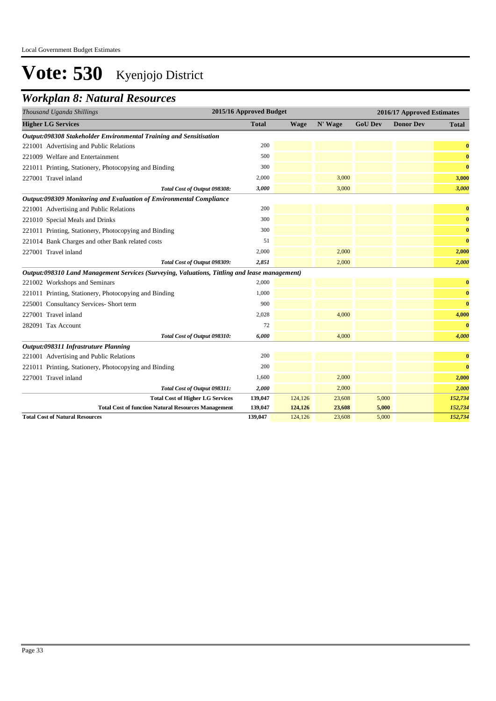### *Workplan 8: Natural Resources*

| Thousand Uganda Shillings                                                                     | 2015/16 Approved Budget |             |         |                | 2016/17 Approved Estimates |          |
|-----------------------------------------------------------------------------------------------|-------------------------|-------------|---------|----------------|----------------------------|----------|
| <b>Higher LG Services</b>                                                                     | <b>Total</b>            | <b>Wage</b> | N' Wage | <b>GoU Dev</b> | <b>Donor Dev</b>           | Total    |
| Output:098308 Stakeholder Environmental Training and Sensitisation                            |                         |             |         |                |                            |          |
| 221001 Advertising and Public Relations                                                       | 200                     |             |         |                |                            | $\bf{0}$ |
| 221009 Welfare and Entertainment                                                              | 500                     |             |         |                |                            | $\bf{0}$ |
| 221011 Printing, Stationery, Photocopying and Binding                                         | 300                     |             |         |                |                            | $\bf{0}$ |
| 227001 Travel inland                                                                          | 2,000                   |             | 3,000   |                |                            | 3,000    |
| Total Cost of Output 098308:                                                                  | 3,000                   |             | 3,000   |                |                            | 3,000    |
| Output:098309 Monitoring and Evaluation of Environmental Compliance                           |                         |             |         |                |                            |          |
| 221001 Advertising and Public Relations                                                       | 200                     |             |         |                |                            | $\bf{0}$ |
| 221010 Special Meals and Drinks                                                               | 300                     |             |         |                |                            | $\bf{0}$ |
| 221011 Printing, Stationery, Photocopying and Binding                                         | 300                     |             |         |                |                            | $\bf{0}$ |
| 221014 Bank Charges and other Bank related costs                                              | 51                      |             |         |                |                            | $\bf{0}$ |
| 227001 Travel inland                                                                          | 2,000                   |             | 2,000   |                |                            | 2,000    |
| Total Cost of Output 098309:                                                                  | 2,851                   |             | 2,000   |                |                            | 2,000    |
| Output:098310 Land Management Services (Surveying, Valuations, Tittling and lease management) |                         |             |         |                |                            |          |
| 221002 Workshops and Seminars                                                                 | 2,000                   |             |         |                |                            | $\bf{0}$ |
| 221011 Printing, Stationery, Photocopying and Binding                                         | 1,000                   |             |         |                |                            | $\bf{0}$ |
| 225001 Consultancy Services- Short term                                                       | 900                     |             |         |                |                            | $\bf{0}$ |
| 227001 Travel inland                                                                          | 2,028                   |             | 4,000   |                |                            | 4,000    |
| 282091 Tax Account                                                                            | 72                      |             |         |                |                            | $\bf{0}$ |
| Total Cost of Output 098310:                                                                  | 6,000                   |             | 4,000   |                |                            | 4,000    |
| Output:098311 Infrastruture Planning                                                          |                         |             |         |                |                            |          |
| 221001 Advertising and Public Relations                                                       | 200                     |             |         |                |                            | $\bf{0}$ |
| 221011 Printing, Stationery, Photocopying and Binding                                         | 200                     |             |         |                |                            | $\bf{0}$ |
| 227001 Travel inland                                                                          | 1,600                   |             | 2,000   |                |                            | 2,000    |
| Total Cost of Output 098311:                                                                  | 2,000                   |             | 2,000   |                |                            | 2,000    |
| <b>Total Cost of Higher LG Services</b>                                                       | 139,047                 | 124,126     | 23,608  | 5,000          |                            | 152,734  |
| <b>Total Cost of function Natural Resources Management</b>                                    | 139,047                 | 124,126     | 23,608  | 5,000          |                            | 152,734  |
| <b>Total Cost of Natural Resources</b>                                                        | 139,047                 | 124,126     | 23,608  | 5,000          |                            | 152,734  |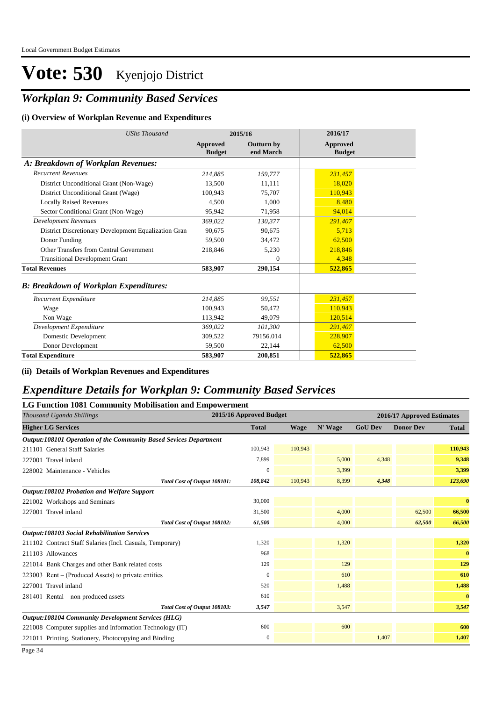## *Workplan 9: Community Based Services*

#### **(i) Overview of Workplan Revenue and Expenditures**

| <b>UShs Thousand</b>                                 | 2015/16                          |                                | 2016/17                   |
|------------------------------------------------------|----------------------------------|--------------------------------|---------------------------|
|                                                      | <b>Approved</b><br><b>Budget</b> | <b>Outturn by</b><br>end March | Approved<br><b>Budget</b> |
| A: Breakdown of Workplan Revenues:                   |                                  |                                |                           |
| <b>Recurrent Revenues</b>                            | 214,885                          | 159,777                        | 231,457                   |
| District Unconditional Grant (Non-Wage)              | 13,500                           | 11,111                         | 18,020                    |
| District Unconditional Grant (Wage)                  | 100,943                          | 75,707                         | 110,943                   |
| <b>Locally Raised Revenues</b>                       | 4.500                            | 1,000                          | 8,480                     |
| Sector Conditional Grant (Non-Wage)                  | 95,942                           | 71,958                         | 94,014                    |
| <b>Development Revenues</b>                          | 369,022                          | 130,377                        | 291,407                   |
| District Discretionary Development Equalization Gran | 90,675                           | 90,675                         | 5,713                     |
| Donor Funding                                        | 59,500                           | 34,472                         | 62,500                    |
| Other Transfers from Central Government              | 218,846                          | 5,230                          | 218,846                   |
| <b>Transitional Development Grant</b>                |                                  | $\theta$                       | 4,348                     |
| <b>Total Revenues</b>                                | 583,907                          | 290,154                        | 522,865                   |
| <b>B: Breakdown of Workplan Expenditures:</b>        |                                  |                                |                           |
| Recurrent Expenditure                                | 214.885                          | 99.551                         | 231,457                   |
| Wage                                                 | 100,943                          | 50,472                         | 110,943                   |
| Non Wage                                             | 113,942                          | 49,079                         | 120,514                   |
| Development Expenditure                              | 369,022                          | 101,300                        | 291,407                   |
| Domestic Development                                 | 309,522                          | 79156.014                      | 228,907                   |
| Donor Development                                    | 59,500                           | 22,144                         | 62,500                    |
| <b>Total Expenditure</b>                             | 583,907                          | 200,851                        | 522,865                   |

**(ii) Details of Workplan Revenues and Expenditures**

### *Expenditure Details for Workplan 9: Community Based Services*

#### **LG Function 1081 Community Mobilisation and Empowerment**

| Thousand Uganda Shillings                                         | 2015/16 Approved Budget |             |         |                | 2016/17 Approved Estimates |              |  |  |
|-------------------------------------------------------------------|-------------------------|-------------|---------|----------------|----------------------------|--------------|--|--|
| <b>Higher LG Services</b>                                         | <b>Total</b>            | <b>Wage</b> | N' Wage | <b>GoU Dev</b> | <b>Donor Dev</b>           | <b>Total</b> |  |  |
| Output:108101 Operation of the Community Based Sevices Department |                         |             |         |                |                            |              |  |  |
| 211101 General Staff Salaries                                     | 100,943                 | 110,943     |         |                |                            | 110,943      |  |  |
| 227001 Travel inland                                              | 7,899                   |             | 5,000   | 4,348          |                            | 9,348        |  |  |
| 228002 Maintenance - Vehicles                                     | $\boldsymbol{0}$        |             | 3,399   |                |                            | 3,399        |  |  |
| Total Cost of Output 108101:                                      | 108,842                 | 110,943     | 8,399   | 4,348          |                            | 123,690      |  |  |
| Output:108102 Probation and Welfare Support                       |                         |             |         |                |                            |              |  |  |
| 221002 Workshops and Seminars                                     | 30,000                  |             |         |                |                            | $\bf{0}$     |  |  |
| 227001 Travel inland                                              | 31,500                  |             | 4,000   |                | 62,500                     | 66,500       |  |  |
| Total Cost of Output 108102:                                      | 61,500                  |             | 4,000   |                | 62,500                     | 66,500       |  |  |
| <b>Output:108103 Social Rehabilitation Services</b>               |                         |             |         |                |                            |              |  |  |
| 211102 Contract Staff Salaries (Incl. Casuals, Temporary)         | 1,320                   |             | 1,320   |                |                            | 1,320        |  |  |
| 211103 Allowances                                                 | 968                     |             |         |                |                            | $\bf{0}$     |  |  |
| 221014 Bank Charges and other Bank related costs                  | 129                     |             | 129     |                |                            | 129          |  |  |
| $223003$ Rent – (Produced Assets) to private entities             | $\mathbf{0}$            |             | 610     |                |                            | 610          |  |  |
| 227001 Travel inland                                              | 520                     |             | 1,488   |                |                            | 1,488        |  |  |
| 281401 Rental – non produced assets                               | 610                     |             |         |                |                            | $\bf{0}$     |  |  |
| Total Cost of Output 108103:                                      | 3,547                   |             | 3,547   |                |                            | 3,547        |  |  |
| <b>Output:108104 Community Development Services (HLG)</b>         |                         |             |         |                |                            |              |  |  |
| 221008 Computer supplies and Information Technology (IT)          | 600                     |             | 600     |                |                            | 600          |  |  |
| 221011 Printing, Stationery, Photocopying and Binding             | $\boldsymbol{0}$        |             |         | 1,407          |                            | 1,407        |  |  |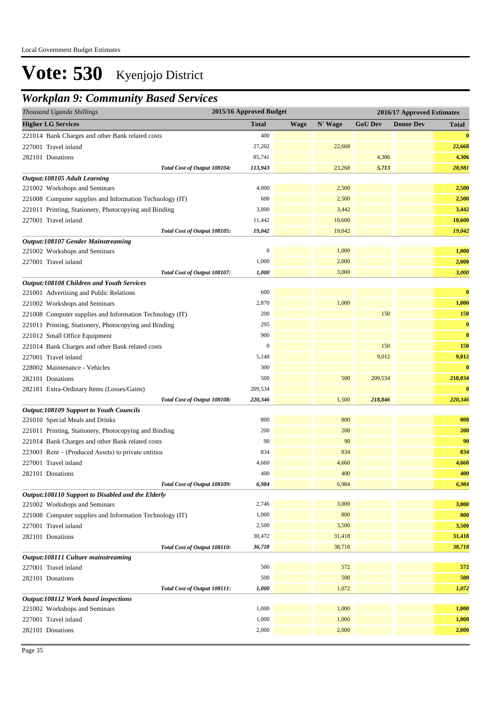### *Workplan 9: Community Based Services*

| Thousand Uganda Shillings                                | 2015/16 Approved Budget |             |         | 2016/17 Approved Estimates |                  |              |  |
|----------------------------------------------------------|-------------------------|-------------|---------|----------------------------|------------------|--------------|--|
| <b>Higher LG Services</b>                                | <b>Total</b>            | <b>Wage</b> | N' Wage | <b>GoU Dev</b>             | <b>Donor Dev</b> | <b>Total</b> |  |
| 221014 Bank Charges and other Bank related costs         | 400                     |             |         |                            |                  | $\bf{0}$     |  |
| 227001 Travel inland                                     | 27,202                  |             | 22,668  |                            |                  | 22,668       |  |
| 282101 Donations                                         | 85,741                  |             |         | 4,306                      |                  | 4,306        |  |
| Total Cost of Output 108104:                             | 113,943                 |             | 23,268  | 5,713                      |                  | 28,981       |  |
| Output:108105 Adult Learning                             |                         |             |         |                            |                  |              |  |
| 221002 Workshops and Seminars                            | 4,000                   |             | 2,500   |                            |                  | 2,500        |  |
| 221008 Computer supplies and Information Technology (IT) | 600                     |             | 2,500   |                            |                  | 2,500        |  |
| 221011 Printing, Stationery, Photocopying and Binding    | 3,000                   |             | 3,442   |                            |                  | 3,442        |  |
| 227001 Travel inland                                     | 11,442                  |             | 10,600  |                            |                  | 10,600       |  |
| Total Cost of Output 108105:                             | 19,042                  |             | 19,042  |                            |                  | 19,042       |  |
| <b>Output:108107 Gender Mainstreaming</b>                |                         |             |         |                            |                  |              |  |
| 221002 Workshops and Seminars                            | $\mathbf{0}$            |             | 1,000   |                            |                  | 1,000        |  |
| 227001 Travel inland                                     | 1,000                   |             | 2,000   |                            |                  | 2,000        |  |
| Total Cost of Output 108107:                             | 1,000                   |             | 3,000   |                            |                  | 3,000        |  |
| Output:108108 Children and Youth Services                |                         |             |         |                            |                  |              |  |
| 221001 Advertising and Public Relations                  | 600                     |             |         |                            |                  | $\bf{0}$     |  |
| 221002 Workshops and Seminars                            | 2,870                   |             | 1,000   |                            |                  | 1,000        |  |
| 221008 Computer supplies and Information Technology (IT) | 200                     |             |         | 150                        |                  | 150          |  |
| 221011 Printing, Stationery, Photocopying and Binding    | 295                     |             |         |                            |                  | $\bf{0}$     |  |
| 221012 Small Office Equipment                            | 900                     |             |         |                            |                  | $\bf{0}$     |  |
| 221014 Bank Charges and other Bank related costs         | $\mathbf{0}$            |             |         | 150                        |                  | 150          |  |
| 227001 Travel inland                                     | 5,148                   |             |         | 9,012                      |                  | 9,012        |  |
| 228002 Maintenance - Vehicles                            | 300                     |             |         |                            |                  | $\bf{0}$     |  |
| 282101 Donations                                         | 500                     |             | 500     | 209,534                    |                  | 210,034      |  |
| 282181 Extra-Ordinary Items (Losses/Gains)               | 209,534                 |             |         |                            |                  | $\bf{0}$     |  |
| Total Cost of Output 108108:                             | 220,346                 |             | 1,500   | 218,846                    |                  | 220,346      |  |
| <b>Output:108109 Support to Youth Councils</b>           |                         |             |         |                            |                  |              |  |
| 221010 Special Meals and Drinks                          | 800                     |             | 800     |                            |                  | 800          |  |
| 221011 Printing, Stationery, Photocopying and Binding    | 200                     |             | 200     |                            |                  | 200          |  |
| 221014 Bank Charges and other Bank related costs         | 90                      |             | 90      |                            |                  | 90           |  |
| 223003 Rent – (Produced Assets) to private entities      | 834                     |             | 834     |                            |                  | 834          |  |
| 227001 Travel inland                                     | 4,660                   |             | 4,660   |                            |                  | 4,660        |  |
| 282101 Donations                                         | 400                     |             | 400     |                            |                  | 400          |  |
| Total Cost of Output 108109:                             | 6,984                   |             | 6,984   |                            |                  | 6,984        |  |
| Output:108110 Support to Disabled and the Elderly        |                         |             |         |                            |                  |              |  |
| 221002 Workshops and Seminars                            | 2,746                   |             | 3,000   |                            |                  | 3,000        |  |
| 221008 Computer supplies and Information Technology (IT) | 1,000                   |             | 800     |                            |                  | 800          |  |
| 227001 Travel inland                                     | 2,500                   |             | 3,500   |                            |                  | 3,500        |  |
| 282101 Donations                                         | 30,472                  |             | 31,418  |                            |                  | 31,418       |  |
| Total Cost of Output 108110:                             | 36,718                  |             | 38,718  |                            |                  | 38,718       |  |
| Output:108111 Culture mainstreaming                      |                         |             |         |                            |                  |              |  |
| 227001 Travel inland                                     | 500                     |             | 572     |                            |                  | 572          |  |
| 282101 Donations                                         | 500                     |             | 500     |                            |                  | 500          |  |
| Total Cost of Output 108111:                             | 1,000                   |             | 1,072   |                            |                  | 1,072        |  |
| Output:108112 Work based inspections                     |                         |             |         |                            |                  |              |  |
| 221002 Workshops and Seminars                            | 1,000                   |             | 1,000   |                            |                  | 1,000        |  |
| 227001 Travel inland                                     | 1,000                   |             | 1,000   |                            |                  | 1,000        |  |
| 282101 Donations                                         | 2,000                   |             | 2,000   |                            |                  | 2,000        |  |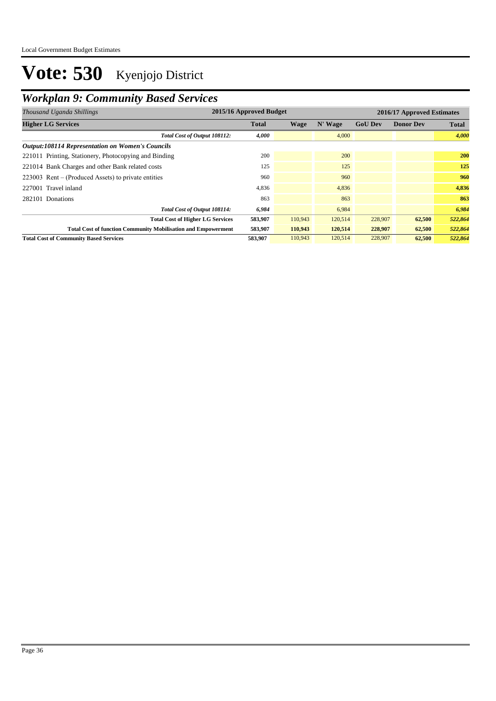## *Workplan 9: Community Based Services*

| Thousand Uganda Shillings                                            | 2015/16 Approved Budget |         |            |                | 2016/17 Approved Estimates |              |  |  |
|----------------------------------------------------------------------|-------------------------|---------|------------|----------------|----------------------------|--------------|--|--|
| <b>Higher LG Services</b>                                            | <b>Total</b>            | Wage    | N' Wage    | <b>GoU Dev</b> | <b>Donor Dev</b>           | <b>Total</b> |  |  |
| Total Cost of Output 108112:                                         | 4,000                   |         | 4,000      |                |                            | 4,000        |  |  |
| <b>Output:108114 Representation on Women's Councils</b>              |                         |         |            |                |                            |              |  |  |
| 221011 Printing, Stationery, Photocopying and Binding                | 200                     |         | <b>200</b> |                |                            | 200          |  |  |
| 221014 Bank Charges and other Bank related costs                     | 125                     |         | 125        |                |                            | 125          |  |  |
| $223003$ Rent – (Produced Assets) to private entities                | 960                     |         | 960        |                |                            | 960          |  |  |
| 227001 Travel inland                                                 | 4,836                   |         | 4,836      |                |                            | 4,836        |  |  |
| 282101 Donations                                                     | 863                     |         | 863        |                |                            | 863          |  |  |
| Total Cost of Output 108114:                                         | 6,984                   |         | 6,984      |                |                            | 6,984        |  |  |
| <b>Total Cost of Higher LG Services</b>                              | 583,907                 | 110,943 | 120,514    | 228,907        | 62,500                     | 522,864      |  |  |
| <b>Total Cost of function Community Mobilisation and Empowerment</b> | 583,907                 | 110,943 | 120,514    | 228,907        | 62,500                     | 522,864      |  |  |
| <b>Total Cost of Community Based Services</b>                        | 583,907                 | 110,943 | 120,514    | 228,907        | 62,500                     | 522,864      |  |  |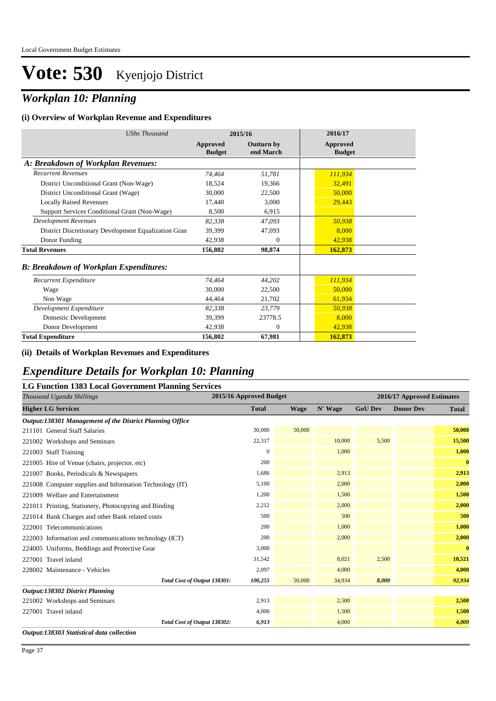## *Workplan 10: Planning*

#### **(i) Overview of Workplan Revenue and Expenditures**

| <b>UShs Thousand</b>                                 | 2015/16                          |                                | 2016/17                          |  |
|------------------------------------------------------|----------------------------------|--------------------------------|----------------------------------|--|
|                                                      | <b>Approved</b><br><b>Budget</b> | <b>Outturn by</b><br>end March | <b>Approved</b><br><b>Budget</b> |  |
| A: Breakdown of Workplan Revenues:                   |                                  |                                |                                  |  |
| <b>Recurrent Revenues</b>                            | 74,464                           | 51,781                         | 111,934                          |  |
| District Unconditional Grant (Non-Wage)              | 18,524                           | 19,366                         | 32,491                           |  |
| District Unconditional Grant (Wage)                  | 30,000                           | 22,500                         | 50,000                           |  |
| <b>Locally Raised Revenues</b>                       | 17,440                           | 3,000                          | 29,443                           |  |
| Support Services Conditional Grant (Non-Wage)        | 8,500                            | 6,915                          |                                  |  |
| <b>Development Revenues</b>                          | 82,338                           | 47,093                         | 50,938                           |  |
| District Discretionary Development Equalization Gran | 39,399                           | 47,093                         | 8,000                            |  |
| Donor Funding                                        | 42,938                           | $\theta$                       | 42,938                           |  |
| <b>Total Revenues</b>                                | 156,802                          | 98,874                         | 162,873                          |  |
| <b>B</b> : Breakdown of Workplan Expenditures:       |                                  |                                |                                  |  |
| Recurrent Expenditure                                | 74,464                           | 44,202                         | 111,934                          |  |
| Wage                                                 | 30,000                           | 22,500                         | 50,000                           |  |
| Non Wage                                             | 44,464                           | 21,702                         | 61,934                           |  |
| Development Expenditure                              | 82,338                           | 23,779                         | 50,938                           |  |
| Domestic Development                                 | 39,399                           | 23778.5                        | 8,000                            |  |
| Donor Development                                    | 42,938                           | $\theta$                       | 42,938                           |  |
| <b>Total Expenditure</b>                             | 156,802                          | 67,981                         | 162,873                          |  |

#### **(ii) Details of Workplan Revenues and Expenditures**

### *Expenditure Details for Workplan 10: Planning*

#### **LG Function 1383 Local Government Planning Services**

| Thousand Uganda Shillings                                | 2015/16 Approved Budget |             |         | 2016/17 Approved Estimates |                  |              |  |
|----------------------------------------------------------|-------------------------|-------------|---------|----------------------------|------------------|--------------|--|
| <b>Higher LG Services</b>                                | <b>Total</b>            | <b>Wage</b> | N' Wage | <b>GoU Dev</b>             | <b>Donor Dev</b> | <b>Total</b> |  |
| Output:138301 Management of the District Planning Office |                         |             |         |                            |                  |              |  |
| 211101 General Staff Salaries                            | 30,000                  | 50,000      |         |                            |                  | 50,000       |  |
| 221002 Workshops and Seminars                            | 22,317                  |             | 10,000  | 5,500                      |                  | 15,500       |  |
| 221003 Staff Training                                    | $\mathbf{0}$            |             | 1,000   |                            |                  | 1,000        |  |
| 221005 Hire of Venue (chairs, projector, etc)            | 200                     |             |         |                            |                  | $\bf{0}$     |  |
| 221007 Books, Periodicals & Newspapers                   | 1,686                   |             | 2,913   |                            |                  | 2,913        |  |
| 221008 Computer supplies and Information Technology (IT) | 5,100                   |             | 2,000   |                            |                  | 2,000        |  |
| 221009 Welfare and Entertainment                         | 1,200                   |             | 1,500   |                            |                  | 1,500        |  |
| 221011 Printing, Stationery, Photocopying and Binding    | 2,212                   |             | 2,000   |                            |                  | 2,000        |  |
| 221014 Bank Charges and other Bank related costs         | 500                     |             | 500     |                            |                  | 500          |  |
| 222001 Telecommunications                                | 200                     |             | 1,000   |                            |                  | 1,000        |  |
| 222003 Information and communications technology (ICT)   | 200                     |             | 2,000   |                            |                  | 2,000        |  |
| 224005 Uniforms, Beddings and Protective Gear            | 3,000                   |             |         |                            |                  | $\bf{0}$     |  |
| 227001 Travel inland                                     | 31,542                  |             | 8,021   | 2,500                      |                  | 10,521       |  |
| 228002 Maintenance - Vehicles                            | 2,097                   |             | 4,000   |                            |                  | 4,000        |  |
| Total Cost of Output 138301:                             | 100,255                 | 50,000      | 34,934  | 8,000                      |                  | 92,934       |  |
| <b>Output:138302 District Planning</b>                   |                         |             |         |                            |                  |              |  |
| 221002 Workshops and Seminars                            | 2,913                   |             | 2,500   |                            |                  | 2,500        |  |
| 227001 Travel inland                                     | 4,000                   |             | 1,500   |                            |                  | 1,500        |  |
| Total Cost of Output 138302:                             | 6,913                   |             | 4,000   |                            |                  | 4,000        |  |
| Output:138303 Statistical data collection                |                         |             |         |                            |                  |              |  |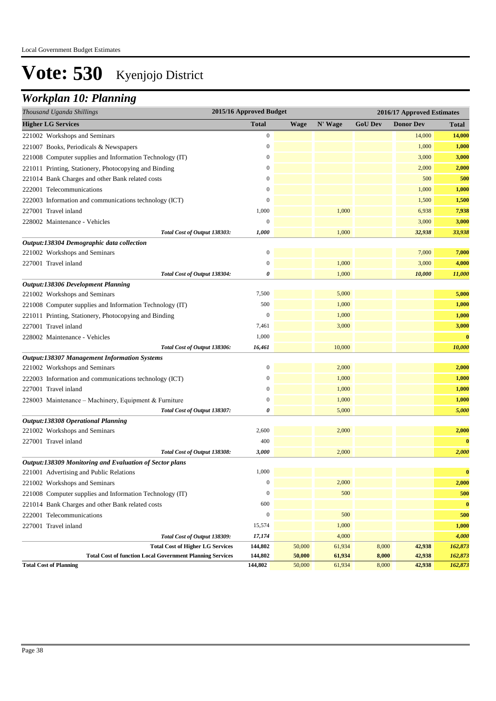## *Workplan 10: Planning*

| Thousand Uganda Shillings                                                                                   | 2015/16 Approved Budget |                  |                  | 2016/17 Approved Estimates |                  |                    |  |
|-------------------------------------------------------------------------------------------------------------|-------------------------|------------------|------------------|----------------------------|------------------|--------------------|--|
| <b>Higher LG Services</b>                                                                                   | <b>Total</b>            | <b>Wage</b>      | N' Wage          | <b>GoU Dev</b>             | <b>Donor Dev</b> | Total              |  |
| 221002 Workshops and Seminars                                                                               | 0                       |                  |                  |                            | 14,000           | 14,000             |  |
| 221007 Books, Periodicals & Newspapers                                                                      | 0                       |                  |                  |                            | 1,000            | 1,000              |  |
| 221008 Computer supplies and Information Technology (IT)                                                    | $\boldsymbol{0}$        |                  |                  |                            | 3,000            | 3,000              |  |
| 221011 Printing, Stationery, Photocopying and Binding                                                       | 0                       |                  |                  |                            | 2,000            | 2,000              |  |
| 221014 Bank Charges and other Bank related costs                                                            | $\boldsymbol{0}$        |                  |                  |                            | 500              | 500                |  |
| 222001 Telecommunications                                                                                   | 0                       |                  |                  |                            | 1,000            | 1,000              |  |
| 222003 Information and communications technology (ICT)                                                      | $\overline{0}$          |                  |                  |                            | 1,500            | 1,500              |  |
| 227001 Travel inland                                                                                        | 1,000                   |                  | 1,000            |                            | 6,938            | 7,938              |  |
| 228002 Maintenance - Vehicles                                                                               | $\boldsymbol{0}$        |                  |                  |                            | 3,000            | 3,000              |  |
| Total Cost of Output 138303:                                                                                | 1,000                   |                  | 1,000            |                            | 32,938           | 33,938             |  |
| Output:138304 Demographic data collection                                                                   |                         |                  |                  |                            |                  |                    |  |
| 221002 Workshops and Seminars                                                                               | $\overline{0}$          |                  |                  |                            | 7,000            | 7,000              |  |
| 227001 Travel inland                                                                                        | 0                       |                  | 1,000            |                            | 3,000            | 4,000              |  |
| Total Cost of Output 138304:                                                                                | 0                       |                  | 1,000            |                            | 10,000           | 11,000             |  |
| <b>Output:138306 Development Planning</b>                                                                   |                         |                  |                  |                            |                  |                    |  |
| 221002 Workshops and Seminars                                                                               | 7,500                   |                  | 5,000            |                            |                  | 5,000              |  |
| 221008 Computer supplies and Information Technology (IT)                                                    | 500                     |                  | 1,000            |                            |                  | 1,000              |  |
| 221011 Printing, Stationery, Photocopying and Binding                                                       | 0                       |                  | 1,000            |                            |                  | 1,000              |  |
| 227001 Travel inland                                                                                        | 7,461                   |                  | 3,000            |                            |                  | 3,000              |  |
| 228002 Maintenance - Vehicles                                                                               | 1,000                   |                  |                  |                            |                  | $\bf{0}$           |  |
| Total Cost of Output 138306:                                                                                | 16,461                  |                  | 10,000           |                            |                  | 10,000             |  |
| <b>Output:138307 Management Information Systems</b>                                                         |                         |                  |                  |                            |                  |                    |  |
| 221002 Workshops and Seminars                                                                               | $\overline{0}$          |                  | 2,000            |                            |                  | 2,000              |  |
| 222003 Information and communications technology (ICT)                                                      | $\boldsymbol{0}$        |                  | 1,000            |                            |                  | 1,000              |  |
| 227001 Travel inland                                                                                        | 0                       |                  | 1,000            |                            |                  | 1,000              |  |
| 228003 Maintenance – Machinery, Equipment & Furniture                                                       | $\overline{0}$          |                  | 1,000            |                            |                  | 1,000              |  |
| Total Cost of Output 138307:                                                                                | 0                       |                  | 5,000            |                            |                  | 5,000              |  |
| <b>Output:138308 Operational Planning</b>                                                                   |                         |                  |                  |                            |                  |                    |  |
| 221002 Workshops and Seminars                                                                               | 2,600                   |                  | 2,000            |                            |                  | 2,000              |  |
| 227001 Travel inland                                                                                        | 400                     |                  |                  |                            |                  | $\bf{0}$           |  |
| Total Cost of Output 138308:                                                                                | 3,000                   |                  | 2,000            |                            |                  | 2,000              |  |
| Output:138309 Monitoring and Evaluation of Sector plans                                                     |                         |                  |                  |                            |                  |                    |  |
| 221001 Advertising and Public Relations                                                                     | 1,000                   |                  |                  |                            |                  | $\bf{0}$           |  |
| 221002 Workshops and Seminars                                                                               | $\boldsymbol{0}$        |                  | 2,000            |                            |                  | 2,000              |  |
| 221008 Computer supplies and Information Technology (IT)                                                    | $\boldsymbol{0}$        |                  | 500              |                            |                  | 500                |  |
| 221014 Bank Charges and other Bank related costs                                                            | 600                     |                  |                  |                            |                  | $\bf{0}$           |  |
| 222001 Telecommunications                                                                                   | $\boldsymbol{0}$        |                  | 500              |                            |                  | 500                |  |
| 227001 Travel inland                                                                                        | 15,574                  |                  | 1,000            |                            |                  | 1,000              |  |
| Total Cost of Output 138309:                                                                                | 17,174                  |                  | 4,000            |                            |                  | 4,000              |  |
| <b>Total Cost of Higher LG Services</b><br><b>Total Cost of function Local Government Planning Services</b> | 144,802<br>144,802      | 50,000<br>50,000 | 61,934<br>61,934 | 8,000<br>8,000             | 42,938<br>42,938 | 162,873<br>162,873 |  |
| <b>Total Cost of Planning</b>                                                                               | 144,802                 | 50,000           | 61,934           | 8,000                      | 42,938           | 162,873            |  |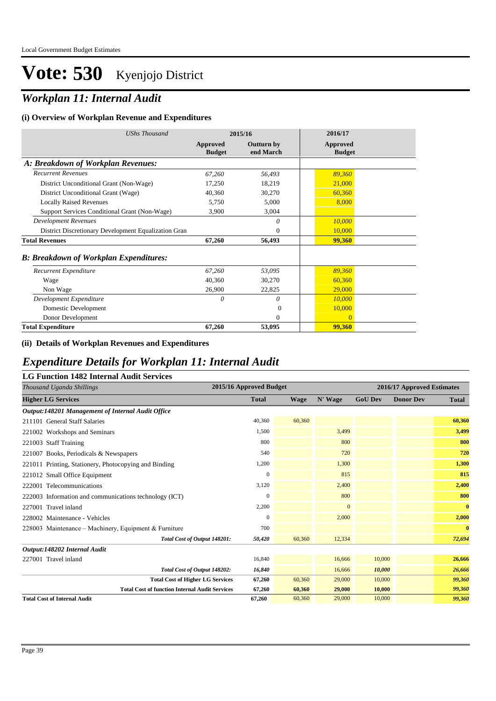## *Workplan 11: Internal Audit*

#### **(i) Overview of Workplan Revenue and Expenditures**

| <b>UShs Thousand</b>                                 | 2015/16                   |                                | 2016/17                   |
|------------------------------------------------------|---------------------------|--------------------------------|---------------------------|
|                                                      | Approved<br><b>Budget</b> | <b>Outturn by</b><br>end March | Approved<br><b>Budget</b> |
| A: Breakdown of Workplan Revenues:                   |                           |                                |                           |
| <b>Recurrent Revenues</b>                            | 67,260                    | 56,493                         | 89,360                    |
| District Unconditional Grant (Non-Wage)              | 17,250                    | 18,219                         | 21,000                    |
| District Unconditional Grant (Wage)                  | 40,360                    | 30,270                         | 60,360                    |
| <b>Locally Raised Revenues</b>                       | 5,750                     | 5,000                          | 8,000                     |
| Support Services Conditional Grant (Non-Wage)        | 3,900                     | 3,004                          |                           |
| <b>Development Revenues</b>                          |                           | 0                              | 10,000                    |
| District Discretionary Development Equalization Gran |                           | $\theta$                       | 10,000                    |
| <b>Total Revenues</b>                                | 67,260                    | 56,493                         | 99,360                    |
| <b>B: Breakdown of Workplan Expenditures:</b>        |                           |                                |                           |
| Recurrent Expenditure                                | 67,260                    | 53,095                         | 89,360                    |
| Wage                                                 | 40,360                    | 30,270                         | 60,360                    |
| Non Wage                                             | 26,900                    | 22,825                         | 29,000                    |
| Development Expenditure                              | 0                         | 0                              | 10,000                    |
| Domestic Development                                 |                           | $\Omega$                       | 10,000                    |
| Donor Development                                    |                           | $\Omega$                       | $\mathbf{0}$              |
| <b>Total Expenditure</b>                             | 67,260                    | 53,095                         | 99,360                    |

#### **(ii) Details of Workplan Revenues and Expenditures**

### *Expenditure Details for Workplan 11: Internal Audit*

| <b>LG Function 1482 Internal Audit Services</b>          |                         |        |              |                |                            |              |  |  |
|----------------------------------------------------------|-------------------------|--------|--------------|----------------|----------------------------|--------------|--|--|
| Thousand Uganda Shillings                                | 2015/16 Approved Budget |        |              |                | 2016/17 Approved Estimates |              |  |  |
| <b>Higher LG Services</b>                                | <b>Total</b>            | Wage   | N' Wage      | <b>GoU Dev</b> | <b>Donor Dev</b>           | <b>Total</b> |  |  |
| <b>Output:148201 Management of Internal Audit Office</b> |                         |        |              |                |                            |              |  |  |
| 211101 General Staff Salaries                            | 40,360                  | 60,360 |              |                |                            | 60,360       |  |  |
| 221002 Workshops and Seminars                            | 1,500                   |        | 3.499        |                |                            | 3,499        |  |  |
| 221003 Staff Training                                    | 800                     |        | 800          |                |                            | 800          |  |  |
| 221007 Books, Periodicals & Newspapers                   | 540                     |        | 720          |                |                            | 720          |  |  |
| 221011 Printing, Stationery, Photocopying and Binding    | 1,200                   |        | 1,300        |                |                            | 1,300        |  |  |
| 221012 Small Office Equipment                            | $\mathbf{0}$            |        | 815          |                |                            | 815          |  |  |
| 222001 Telecommunications                                | 3,120                   |        | 2,400        |                |                            | 2,400        |  |  |
| 222003 Information and communications technology (ICT)   | $\mathbf{0}$            |        | 800          |                |                            | 800          |  |  |
| 227001 Travel inland                                     | 2,200                   |        | $\mathbf{0}$ |                |                            | $\bf{0}$     |  |  |
| 228002 Maintenance - Vehicles                            | $\mathbf{0}$            |        | 2,000        |                |                            | 2,000        |  |  |
| 228003 Maintenance – Machinery, Equipment & Furniture    | 700                     |        |              |                |                            | $\bf{0}$     |  |  |
| Total Cost of Output 148201:                             | 50,420                  | 60,360 | 12,334       |                |                            | 72,694       |  |  |
| Output:148202 Internal Audit                             |                         |        |              |                |                            |              |  |  |
| 227001 Travel inland                                     | 16,840                  |        | 16,666       | 10,000         |                            | 26,666       |  |  |
| Total Cost of Output 148202:                             | 16,840                  |        | 16,666       | 10,000         |                            | 26,666       |  |  |
| <b>Total Cost of Higher LG Services</b>                  | 67,260                  | 60,360 | 29,000       | 10,000         |                            | 99,360       |  |  |
| <b>Total Cost of function Internal Audit Services</b>    | 67,260                  | 60,360 | 29,000       | 10,000         |                            | 99,360       |  |  |
| <b>Total Cost of Internal Audit</b>                      | 67,260                  | 60,360 | 29,000       | 10,000         |                            | 99,360       |  |  |